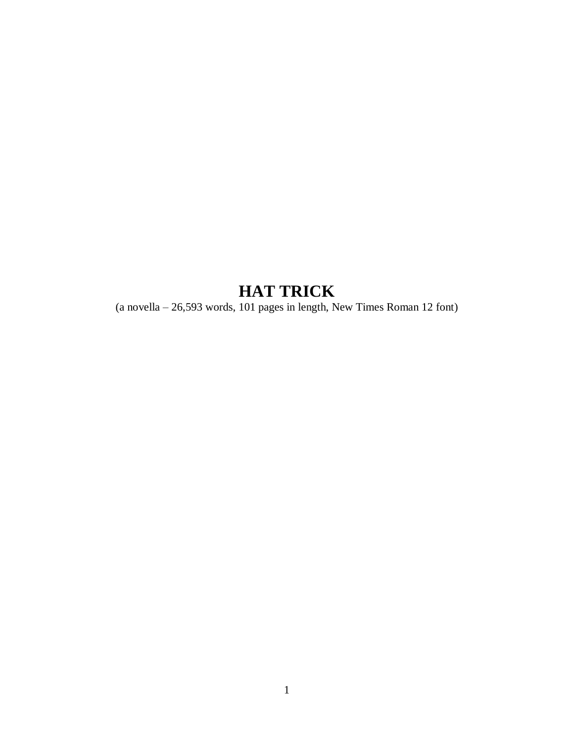# **HAT TRICK**

(a novella – 26,593 words, 101 pages in length, New Times Roman 12 font)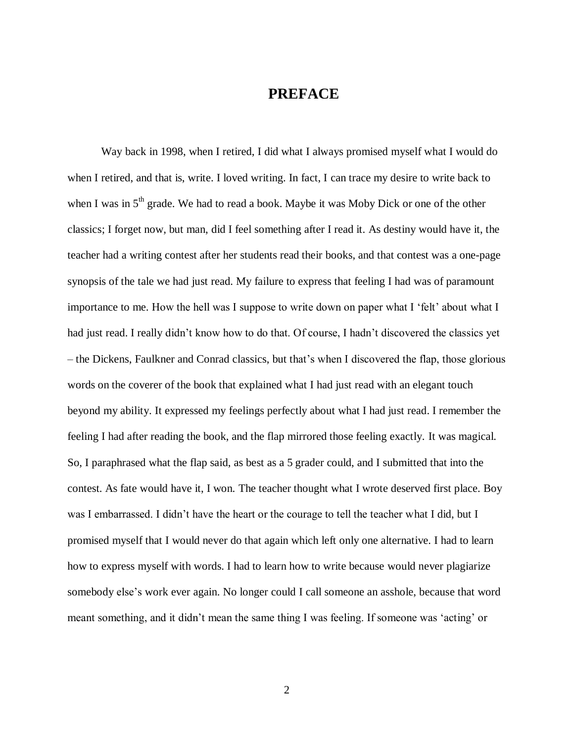#### **PREFACE**

Way back in 1998, when I retired, I did what I always promised myself what I would do when I retired, and that is, write. I loved writing. In fact, I can trace my desire to write back to when I was in  $5<sup>th</sup>$  grade. We had to read a book. Maybe it was Moby Dick or one of the other classics; I forget now, but man, did I feel something after I read it. As destiny would have it, the teacher had a writing contest after her students read their books, and that contest was a one-page synopsis of the tale we had just read. My failure to express that feeling I had was of paramount importance to me. How the hell was I suppose to write down on paper what I 'felt' about what I had just read. I really didn't know how to do that. Of course, I hadn't discovered the classics yet – the Dickens, Faulkner and Conrad classics, but that's when I discovered the flap, those glorious words on the coverer of the book that explained what I had just read with an elegant touch beyond my ability. It expressed my feelings perfectly about what I had just read. I remember the feeling I had after reading the book, and the flap mirrored those feeling exactly. It was magical. So, I paraphrased what the flap said, as best as a 5 grader could, and I submitted that into the contest. As fate would have it, I won. The teacher thought what I wrote deserved first place. Boy was I embarrassed. I didn't have the heart or the courage to tell the teacher what I did, but I promised myself that I would never do that again which left only one alternative. I had to learn how to express myself with words. I had to learn how to write because would never plagiarize somebody else's work ever again. No longer could I call someone an asshole, because that word meant something, and it didn't mean the same thing I was feeling. If someone was 'acting' or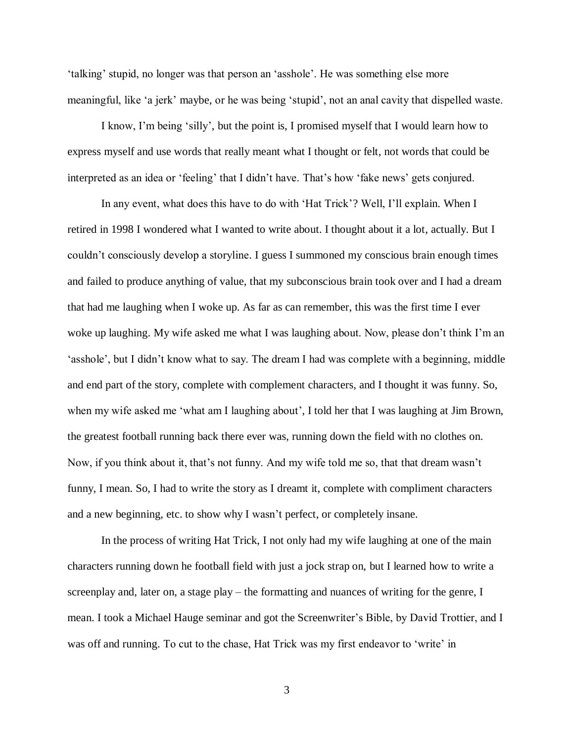'talking' stupid, no longer was that person an 'asshole'. He was something else more meaningful, like 'a jerk' maybe, or he was being 'stupid', not an anal cavity that dispelled waste.

I know, I'm being 'silly', but the point is, I promised myself that I would learn how to express myself and use words that really meant what I thought or felt, not words that could be interpreted as an idea or 'feeling' that I didn't have. That's how 'fake news' gets conjured.

In any event, what does this have to do with 'Hat Trick'? Well, I'll explain. When I retired in 1998 I wondered what I wanted to write about. I thought about it a lot, actually. But I couldn't consciously develop a storyline. I guess I summoned my conscious brain enough times and failed to produce anything of value, that my subconscious brain took over and I had a dream that had me laughing when I woke up. As far as can remember, this was the first time I ever woke up laughing. My wife asked me what I was laughing about. Now, please don't think I'm an 'asshole', but I didn't know what to say. The dream I had was complete with a beginning, middle and end part of the story, complete with complement characters, and I thought it was funny. So, when my wife asked me 'what am I laughing about', I told her that I was laughing at Jim Brown, the greatest football running back there ever was, running down the field with no clothes on. Now, if you think about it, that's not funny. And my wife told me so, that that dream wasn't funny, I mean. So, I had to write the story as I dreamt it, complete with compliment characters and a new beginning, etc. to show why I wasn't perfect, or completely insane.

In the process of writing Hat Trick, I not only had my wife laughing at one of the main characters running down he football field with just a jock strap on, but I learned how to write a screenplay and, later on, a stage play – the formatting and nuances of writing for the genre, I mean. I took a Michael Hauge seminar and got the Screenwriter's Bible, by David Trottier, and I was off and running. To cut to the chase, Hat Trick was my first endeavor to 'write' in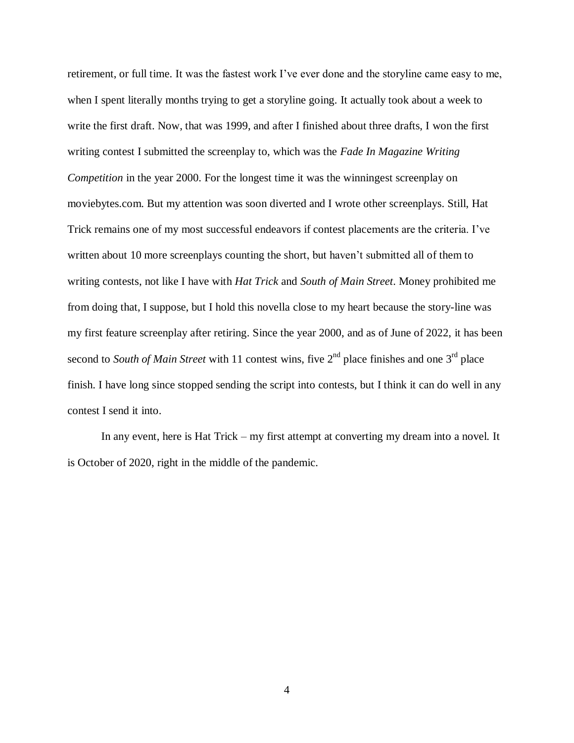retirement, or full time. It was the fastest work I've ever done and the storyline came easy to me, when I spent literally months trying to get a storyline going. It actually took about a week to write the first draft. Now, that was 1999, and after I finished about three drafts, I won the first writing contest I submitted the screenplay to, which was the *Fade In Magazine Writing Competition* in the year 2000. For the longest time it was the winningest screenplay on moviebytes.com. But my attention was soon diverted and I wrote other screenplays. Still, Hat Trick remains one of my most successful endeavors if contest placements are the criteria. I've written about 10 more screenplays counting the short, but haven't submitted all of them to writing contests, not like I have with *Hat Trick* and *South of Main Street*. Money prohibited me from doing that, I suppose, but I hold this novella close to my heart because the story-line was my first feature screenplay after retiring. Since the year 2000, and as of June of 2022, it has been second to *South of Main Street* with 11 contest wins, five  $2^{nd}$  place finishes and one  $3^{rd}$  place finish. I have long since stopped sending the script into contests, but I think it can do well in any contest I send it into.

In any event, here is Hat Trick – my first attempt at converting my dream into a novel. It is October of 2020, right in the middle of the pandemic.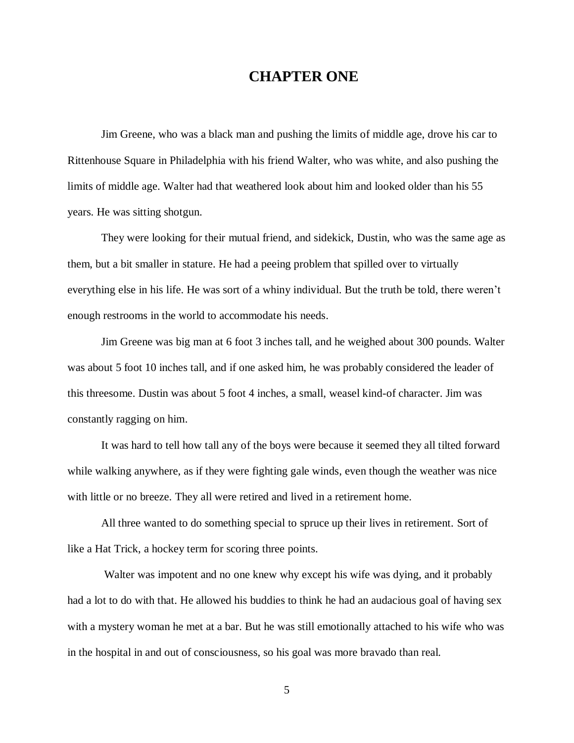## **CHAPTER ONE**

Jim Greene, who was a black man and pushing the limits of middle age, drove his car to Rittenhouse Square in Philadelphia with his friend Walter, who was white, and also pushing the limits of middle age. Walter had that weathered look about him and looked older than his 55 years. He was sitting shotgun.

They were looking for their mutual friend, and sidekick, Dustin, who was the same age as them, but a bit smaller in stature. He had a peeing problem that spilled over to virtually everything else in his life. He was sort of a whiny individual. But the truth be told, there weren't enough restrooms in the world to accommodate his needs.

Jim Greene was big man at 6 foot 3 inches tall, and he weighed about 300 pounds. Walter was about 5 foot 10 inches tall, and if one asked him, he was probably considered the leader of this threesome. Dustin was about 5 foot 4 inches, a small, weasel kind-of character. Jim was constantly ragging on him.

It was hard to tell how tall any of the boys were because it seemed they all tilted forward while walking anywhere, as if they were fighting gale winds, even though the weather was nice with little or no breeze. They all were retired and lived in a retirement home.

All three wanted to do something special to spruce up their lives in retirement. Sort of like a Hat Trick, a hockey term for scoring three points.

Walter was impotent and no one knew why except his wife was dying, and it probably had a lot to do with that. He allowed his buddies to think he had an audacious goal of having sex with a mystery woman he met at a bar. But he was still emotionally attached to his wife who was in the hospital in and out of consciousness, so his goal was more bravado than real.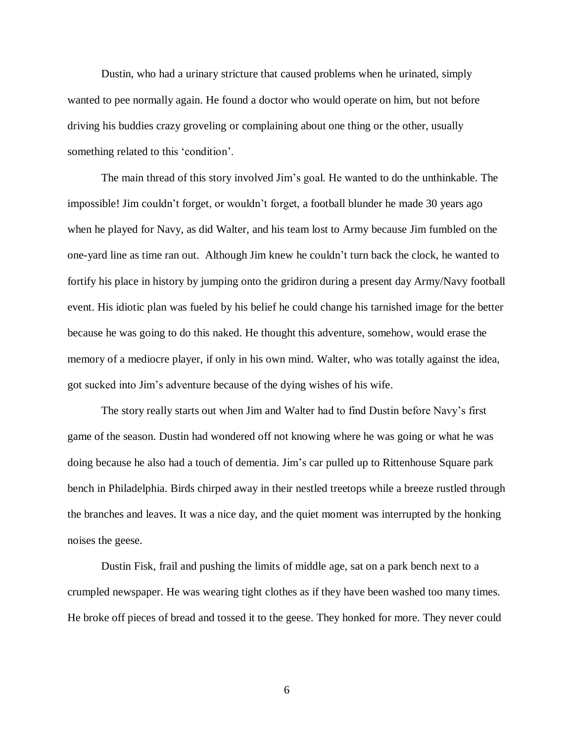Dustin, who had a urinary stricture that caused problems when he urinated, simply wanted to pee normally again. He found a doctor who would operate on him, but not before driving his buddies crazy groveling or complaining about one thing or the other, usually something related to this 'condition'.

The main thread of this story involved Jim's goal. He wanted to do the unthinkable. The impossible! Jim couldn't forget, or wouldn't forget, a football blunder he made 30 years ago when he played for Navy, as did Walter, and his team lost to Army because Jim fumbled on the one-yard line as time ran out. Although Jim knew he couldn't turn back the clock, he wanted to fortify his place in history by jumping onto the gridiron during a present day Army/Navy football event. His idiotic plan was fueled by his belief he could change his tarnished image for the better because he was going to do this naked. He thought this adventure, somehow, would erase the memory of a mediocre player, if only in his own mind. Walter, who was totally against the idea, got sucked into Jim's adventure because of the dying wishes of his wife.

The story really starts out when Jim and Walter had to find Dustin before Navy's first game of the season. Dustin had wondered off not knowing where he was going or what he was doing because he also had a touch of dementia. Jim's car pulled up to Rittenhouse Square park bench in Philadelphia. Birds chirped away in their nestled treetops while a breeze rustled through the branches and leaves. It was a nice day, and the quiet moment was interrupted by the honking noises the geese.

Dustin Fisk, frail and pushing the limits of middle age, sat on a park bench next to a crumpled newspaper. He was wearing tight clothes as if they have been washed too many times. He broke off pieces of bread and tossed it to the geese. They honked for more. They never could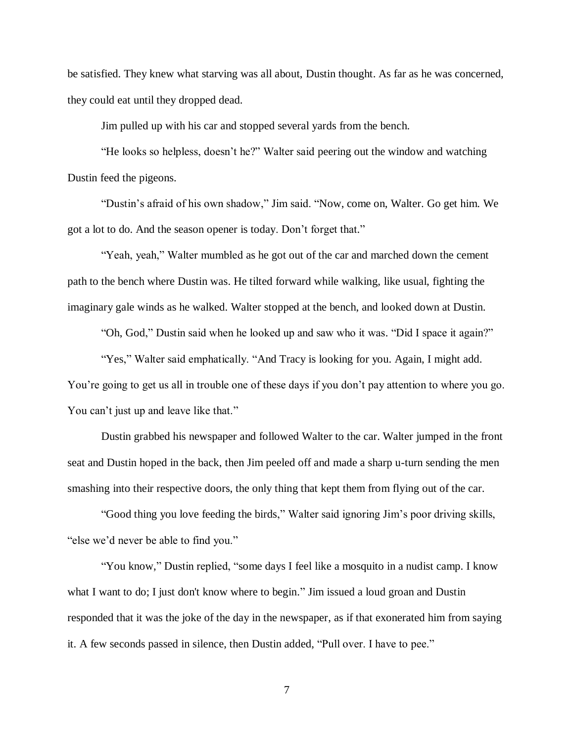be satisfied. They knew what starving was all about, Dustin thought. As far as he was concerned, they could eat until they dropped dead.

Jim pulled up with his car and stopped several yards from the bench.

"He looks so helpless, doesn't he?" Walter said peering out the window and watching Dustin feed the pigeons.

"Dustin's afraid of his own shadow," Jim said. "Now, come on, Walter. Go get him. We got a lot to do. And the season opener is today. Don't forget that."

"Yeah, yeah," Walter mumbled as he got out of the car and marched down the cement path to the bench where Dustin was. He tilted forward while walking, like usual, fighting the imaginary gale winds as he walked. Walter stopped at the bench, and looked down at Dustin.

"Oh, God," Dustin said when he looked up and saw who it was. "Did I space it again?"

"Yes," Walter said emphatically. "And Tracy is looking for you. Again, I might add. You're going to get us all in trouble one of these days if you don't pay attention to where you go. You can't just up and leave like that."

Dustin grabbed his newspaper and followed Walter to the car. Walter jumped in the front seat and Dustin hoped in the back, then Jim peeled off and made a sharp u-turn sending the men smashing into their respective doors, the only thing that kept them from flying out of the car.

"Good thing you love feeding the birds," Walter said ignoring Jim's poor driving skills, "else we'd never be able to find you."

"You know," Dustin replied, "some days I feel like a mosquito in a nudist camp. I know what I want to do; I just don't know where to begin." Jim issued a loud groan and Dustin responded that it was the joke of the day in the newspaper, as if that exonerated him from saying it. A few seconds passed in silence, then Dustin added, "Pull over. I have to pee."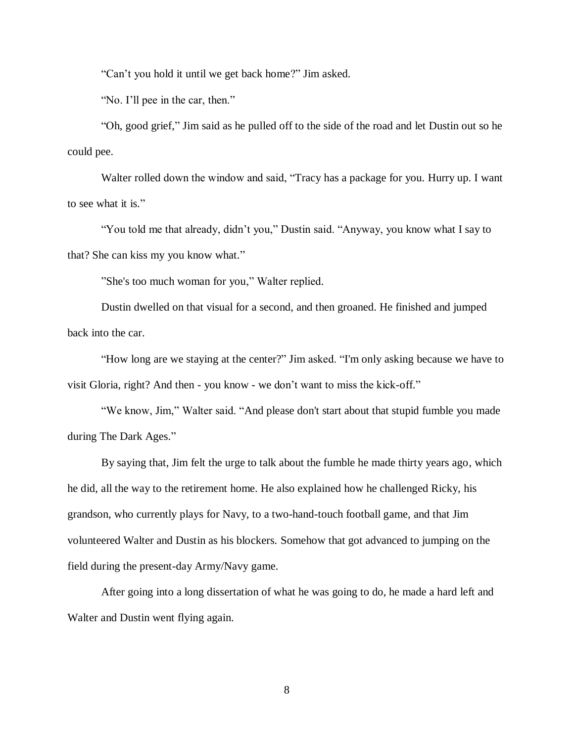"Can't you hold it until we get back home?" Jim asked.

"No. I'll pee in the car, then."

"Oh, good grief," Jim said as he pulled off to the side of the road and let Dustin out so he could pee.

Walter rolled down the window and said, "Tracy has a package for you. Hurry up. I want to see what it is."

"You told me that already, didn't you," Dustin said. "Anyway, you know what I say to that? She can kiss my you know what."

"She's too much woman for you," Walter replied.

Dustin dwelled on that visual for a second, and then groaned. He finished and jumped back into the car.

"How long are we staying at the center?" Jim asked. "I'm only asking because we have to visit Gloria, right? And then - you know - we don't want to miss the kick-off."

"We know, Jim," Walter said. "And please don't start about that stupid fumble you made during The Dark Ages."

By saying that, Jim felt the urge to talk about the fumble he made thirty years ago, which he did, all the way to the retirement home. He also explained how he challenged Ricky, his grandson, who currently plays for Navy, to a two-hand-touch football game, and that Jim volunteered Walter and Dustin as his blockers. Somehow that got advanced to jumping on the field during the present-day Army/Navy game.

After going into a long dissertation of what he was going to do, he made a hard left and Walter and Dustin went flying again.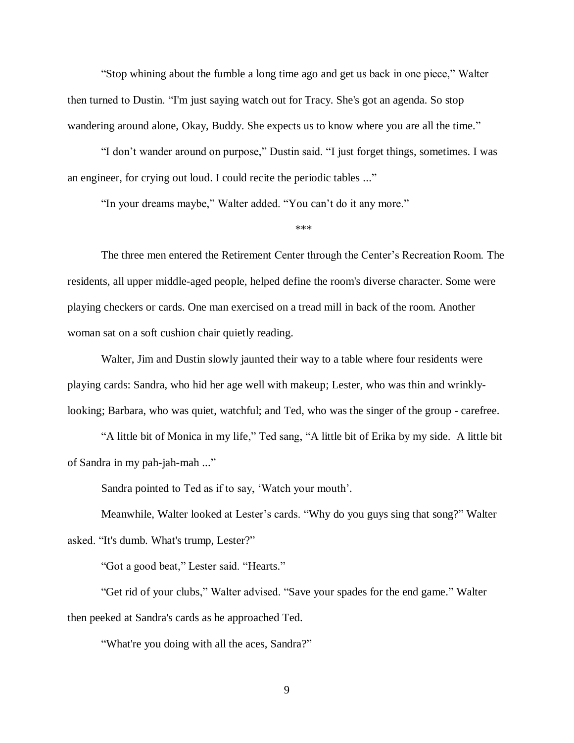"Stop whining about the fumble a long time ago and get us back in one piece," Walter then turned to Dustin. "I'm just saying watch out for Tracy. She's got an agenda. So stop wandering around alone, Okay, Buddy. She expects us to know where you are all the time."

"I don't wander around on purpose," Dustin said. "I just forget things, sometimes. I was an engineer, for crying out loud. I could recite the periodic tables ..."

"In your dreams maybe," Walter added. "You can't do it any more."

\*\*\*

The three men entered the Retirement Center through the Center's Recreation Room. The residents, all upper middle-aged people, helped define the room's diverse character. Some were playing checkers or cards. One man exercised on a tread mill in back of the room. Another woman sat on a soft cushion chair quietly reading.

Walter, Jim and Dustin slowly jaunted their way to a table where four residents were playing cards: Sandra, who hid her age well with makeup; Lester, who was thin and wrinklylooking; Barbara, who was quiet, watchful; and Ted, who was the singer of the group - carefree.

"A little bit of Monica in my life," Ted sang, "A little bit of Erika by my side. A little bit of Sandra in my pah-jah-mah ..."

Sandra pointed to Ted as if to say, 'Watch your mouth'.

Meanwhile, Walter looked at Lester's cards. "Why do you guys sing that song?" Walter asked. "It's dumb. What's trump, Lester?"

"Got a good beat," Lester said. "Hearts."

"Get rid of your clubs," Walter advised. "Save your spades for the end game." Walter then peeked at Sandra's cards as he approached Ted.

"What're you doing with all the aces, Sandra?"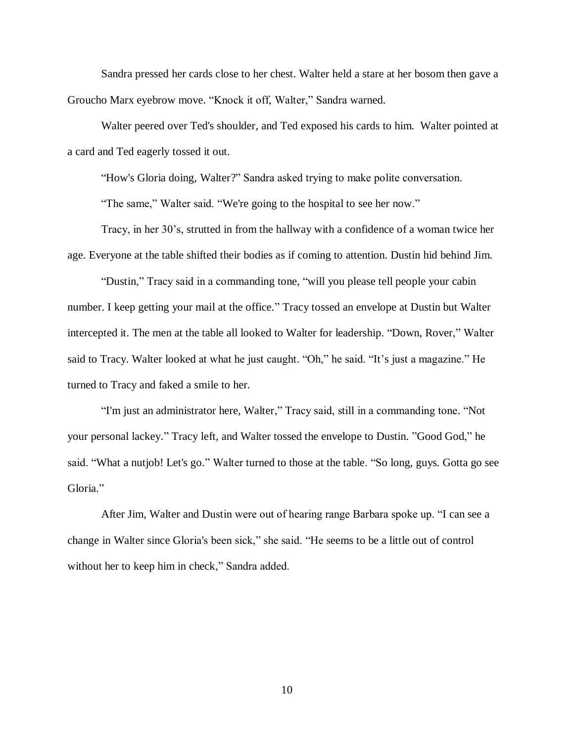Sandra pressed her cards close to her chest. Walter held a stare at her bosom then gave a Groucho Marx eyebrow move. "Knock it off, Walter," Sandra warned.

Walter peered over Ted's shoulder, and Ted exposed his cards to him. Walter pointed at a card and Ted eagerly tossed it out.

"How's Gloria doing, Walter?" Sandra asked trying to make polite conversation.

"The same," Walter said. "We're going to the hospital to see her now."

Tracy, in her 30's, strutted in from the hallway with a confidence of a woman twice her age. Everyone at the table shifted their bodies as if coming to attention. Dustin hid behind Jim.

"Dustin," Tracy said in a commanding tone, "will you please tell people your cabin number. I keep getting your mail at the office." Tracy tossed an envelope at Dustin but Walter intercepted it. The men at the table all looked to Walter for leadership. "Down, Rover," Walter said to Tracy. Walter looked at what he just caught. "Oh," he said. "It's just a magazine." He turned to Tracy and faked a smile to her.

"I'm just an administrator here, Walter," Tracy said, still in a commanding tone. "Not your personal lackey." Tracy left, and Walter tossed the envelope to Dustin. "Good God," he said. "What a nutjob! Let's go." Walter turned to those at the table. "So long, guys. Gotta go see Gloria."

After Jim, Walter and Dustin were out of hearing range Barbara spoke up. "I can see a change in Walter since Gloria's been sick," she said. "He seems to be a little out of control without her to keep him in check," Sandra added.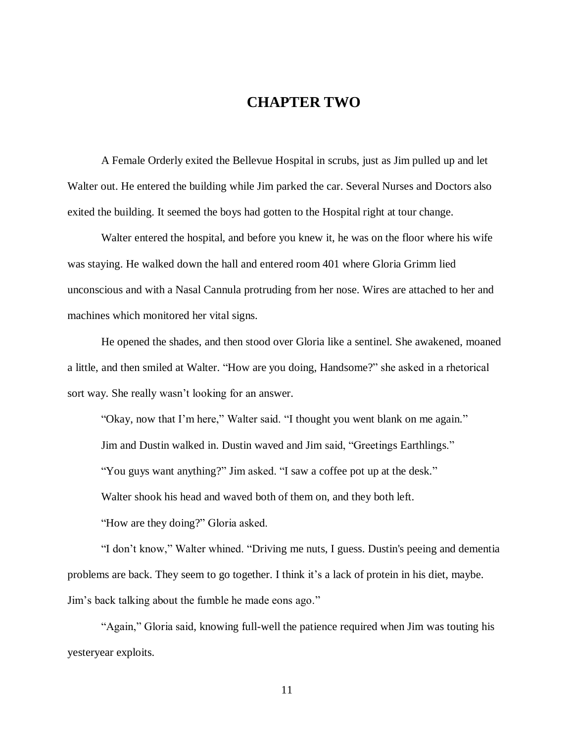# **CHAPTER TWO**

A Female Orderly exited the Bellevue Hospital in scrubs, just as Jim pulled up and let Walter out. He entered the building while Jim parked the car. Several Nurses and Doctors also exited the building. It seemed the boys had gotten to the Hospital right at tour change.

Walter entered the hospital, and before you knew it, he was on the floor where his wife was staying. He walked down the hall and entered room 401 where Gloria Grimm lied unconscious and with a Nasal Cannula protruding from her nose. Wires are attached to her and machines which monitored her vital signs.

He opened the shades, and then stood over Gloria like a sentinel. She awakened, moaned a little, and then smiled at Walter. "How are you doing, Handsome?" she asked in a rhetorical sort way. She really wasn't looking for an answer.

"Okay, now that I'm here," Walter said. "I thought you went blank on me again." Jim and Dustin walked in. Dustin waved and Jim said, "Greetings Earthlings." "You guys want anything?" Jim asked. "I saw a coffee pot up at the desk." Walter shook his head and waved both of them on, and they both left. "How are they doing?" Gloria asked.

"I don't know," Walter whined. "Driving me nuts, I guess. Dustin's peeing and dementia problems are back. They seem to go together. I think it's a lack of protein in his diet, maybe. Jim's back talking about the fumble he made eons ago."

"Again," Gloria said, knowing full-well the patience required when Jim was touting his yesteryear exploits.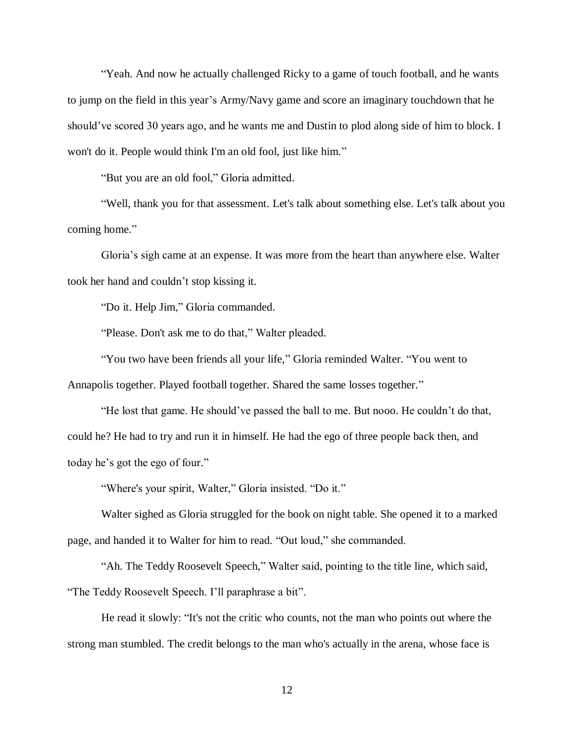"Yeah. And now he actually challenged Ricky to a game of touch football, and he wants to jump on the field in this year's Army/Navy game and score an imaginary touchdown that he should've scored 30 years ago, and he wants me and Dustin to plod along side of him to block. I won't do it. People would think I'm an old fool, just like him."

"But you are an old fool," Gloria admitted.

"Well, thank you for that assessment. Let's talk about something else. Let's talk about you coming home."

Gloria's sigh came at an expense. It was more from the heart than anywhere else. Walter took her hand and couldn't stop kissing it.

"Do it. Help Jim," Gloria commanded.

"Please. Don't ask me to do that," Walter pleaded.

"You two have been friends all your life," Gloria reminded Walter. "You went to Annapolis together. Played football together. Shared the same losses together."

"He lost that game. He should've passed the ball to me. But nooo. He couldn't do that, could he? He had to try and run it in himself. He had the ego of three people back then, and today he's got the ego of four."

"Where's your spirit, Walter," Gloria insisted. "Do it."

Walter sighed as Gloria struggled for the book on night table. She opened it to a marked page, and handed it to Walter for him to read. "Out loud," she commanded.

"Ah. The Teddy Roosevelt Speech," Walter said, pointing to the title line, which said, "The Teddy Roosevelt Speech. I'll paraphrase a bit".

He read it slowly: "It's not the critic who counts, not the man who points out where the strong man stumbled. The credit belongs to the man who's actually in the arena, whose face is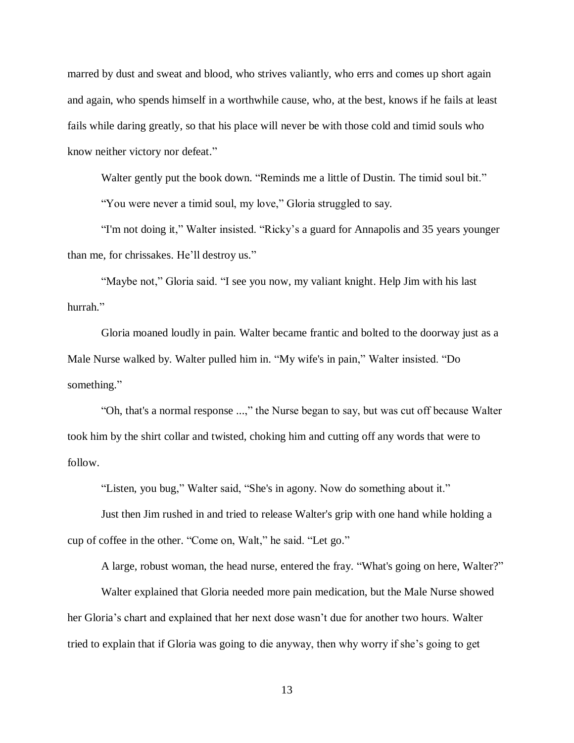marred by dust and sweat and blood, who strives valiantly, who errs and comes up short again and again, who spends himself in a worthwhile cause, who, at the best, knows if he fails at least fails while daring greatly, so that his place will never be with those cold and timid souls who know neither victory nor defeat."

Walter gently put the book down. "Reminds me a little of Dustin. The timid soul bit."

"You were never a timid soul, my love," Gloria struggled to say.

"I'm not doing it," Walter insisted. "Ricky's a guard for Annapolis and 35 years younger than me, for chrissakes. He'll destroy us."

"Maybe not," Gloria said. "I see you now, my valiant knight. Help Jim with his last hurrah."

Gloria moaned loudly in pain. Walter became frantic and bolted to the doorway just as a Male Nurse walked by. Walter pulled him in. "My wife's in pain," Walter insisted. "Do something."

"Oh, that's a normal response ...," the Nurse began to say, but was cut off because Walter took him by the shirt collar and twisted, choking him and cutting off any words that were to follow.

"Listen, you bug," Walter said, "She's in agony. Now do something about it."

Just then Jim rushed in and tried to release Walter's grip with one hand while holding a cup of coffee in the other. "Come on, Walt," he said. "Let go."

A large, robust woman, the head nurse, entered the fray. "What's going on here, Walter?"

Walter explained that Gloria needed more pain medication, but the Male Nurse showed her Gloria's chart and explained that her next dose wasn't due for another two hours. Walter tried to explain that if Gloria was going to die anyway, then why worry if she's going to get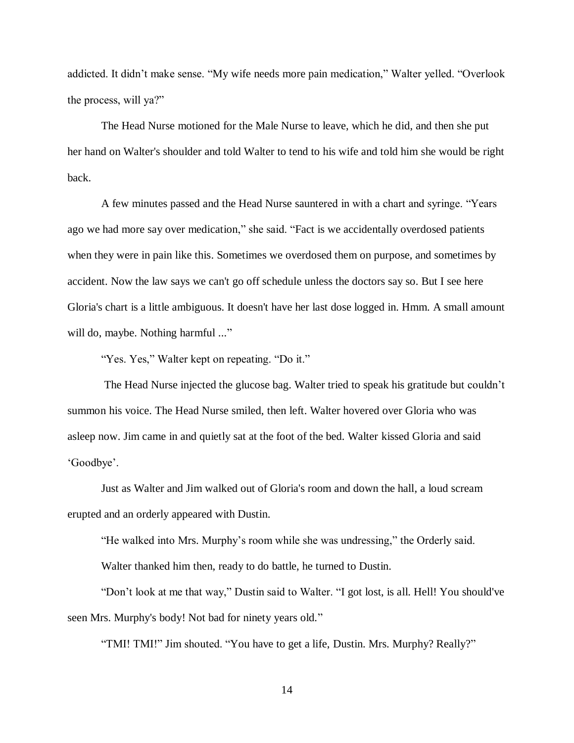addicted. It didn't make sense. "My wife needs more pain medication," Walter yelled. "Overlook the process, will ya?"

The Head Nurse motioned for the Male Nurse to leave, which he did, and then she put her hand on Walter's shoulder and told Walter to tend to his wife and told him she would be right back.

A few minutes passed and the Head Nurse sauntered in with a chart and syringe. "Years ago we had more say over medication," she said. "Fact is we accidentally overdosed patients when they were in pain like this. Sometimes we overdosed them on purpose, and sometimes by accident. Now the law says we can't go off schedule unless the doctors say so. But I see here Gloria's chart is a little ambiguous. It doesn't have her last dose logged in. Hmm. A small amount will do, maybe. Nothing harmful ..."

"Yes. Yes," Walter kept on repeating. "Do it."

The Head Nurse injected the glucose bag. Walter tried to speak his gratitude but couldn't summon his voice. The Head Nurse smiled, then left. Walter hovered over Gloria who was asleep now. Jim came in and quietly sat at the foot of the bed. Walter kissed Gloria and said 'Goodbye'.

Just as Walter and Jim walked out of Gloria's room and down the hall, a loud scream erupted and an orderly appeared with Dustin.

"He walked into Mrs. Murphy's room while she was undressing," the Orderly said.

Walter thanked him then, ready to do battle, he turned to Dustin.

"Don't look at me that way," Dustin said to Walter. "I got lost, is all. Hell! You should've seen Mrs. Murphy's body! Not bad for ninety years old."

"TMI! TMI!" Jim shouted. "You have to get a life, Dustin. Mrs. Murphy? Really?"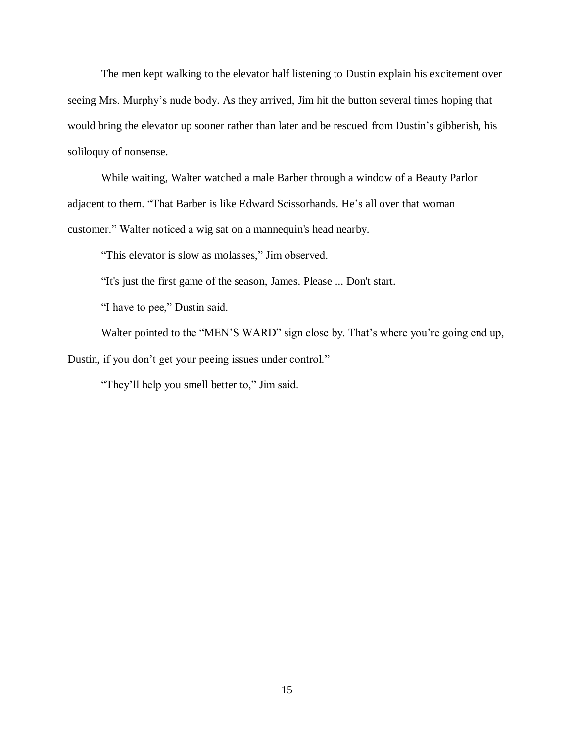The men kept walking to the elevator half listening to Dustin explain his excitement over seeing Mrs. Murphy's nude body. As they arrived, Jim hit the button several times hoping that would bring the elevator up sooner rather than later and be rescued from Dustin's gibberish, his soliloquy of nonsense.

While waiting, Walter watched a male Barber through a window of a Beauty Parlor adjacent to them. "That Barber is like Edward Scissorhands. He's all over that woman customer." Walter noticed a wig sat on a mannequin's head nearby.

"This elevator is slow as molasses," Jim observed.

"It's just the first game of the season, James. Please ... Don't start.

"I have to pee," Dustin said.

Walter pointed to the "MEN'S WARD" sign close by. That's where you're going end up, Dustin, if you don't get your peeing issues under control."

"They'll help you smell better to," Jim said.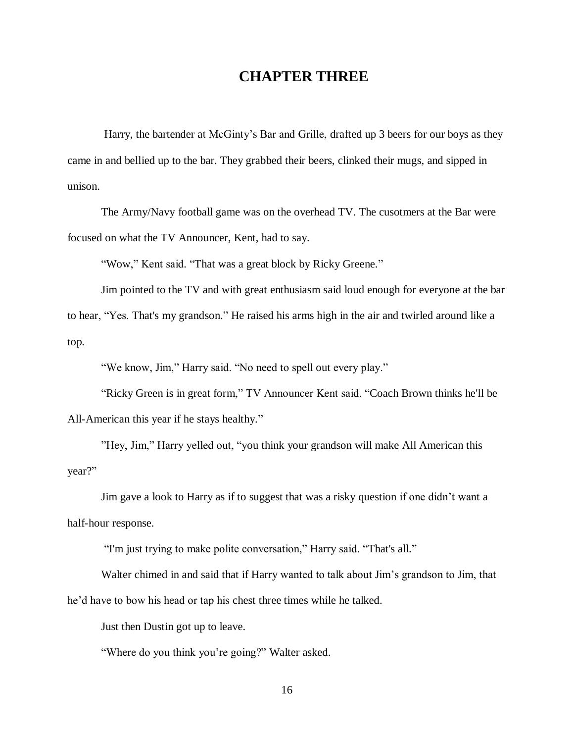# **CHAPTER THREE**

 Harry, the bartender at McGinty's Bar and Grille, drafted up 3 beers for our boys as they came in and bellied up to the bar. They grabbed their beers, clinked their mugs, and sipped in unison.

The Army/Navy football game was on the overhead TV. The cusotmers at the Bar were focused on what the TV Announcer, Kent, had to say.

"Wow," Kent said. "That was a great block by Ricky Greene."

Jim pointed to the TV and with great enthusiasm said loud enough for everyone at the bar to hear, "Yes. That's my grandson." He raised his arms high in the air and twirled around like a top.

"We know, Jim," Harry said. "No need to spell out every play."

"Ricky Green is in great form," TV Announcer Kent said. "Coach Brown thinks he'll be All-American this year if he stays healthy."

"Hey, Jim," Harry yelled out, "you think your grandson will make All American this year?"

Jim gave a look to Harry as if to suggest that was a risky question if one didn't want a half-hour response.

"I'm just trying to make polite conversation," Harry said. "That's all."

Walter chimed in and said that if Harry wanted to talk about Jim's grandson to Jim, that he'd have to bow his head or tap his chest three times while he talked.

Just then Dustin got up to leave.

"Where do you think you're going?" Walter asked.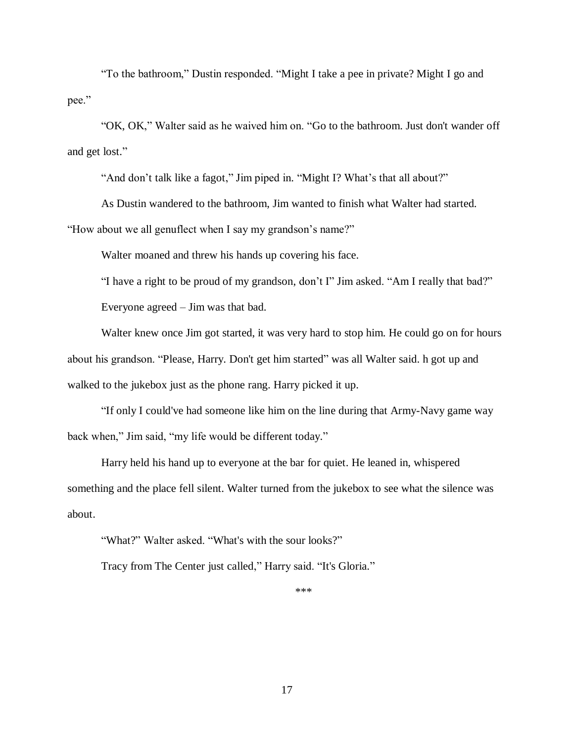"To the bathroom," Dustin responded. "Might I take a pee in private? Might I go and pee."

"OK, OK," Walter said as he waived him on. "Go to the bathroom. Just don't wander off and get lost."

"And don't talk like a fagot," Jim piped in. "Might I? What's that all about?"

As Dustin wandered to the bathroom, Jim wanted to finish what Walter had started. "How about we all genuflect when I say my grandson's name?"

Walter moaned and threw his hands up covering his face.

"I have a right to be proud of my grandson, don't I" Jim asked. "Am I really that bad?"

Everyone agreed – Jim was that bad.

Walter knew once Jim got started, it was very hard to stop him. He could go on for hours about his grandson. "Please, Harry. Don't get him started" was all Walter said. h got up and walked to the jukebox just as the phone rang. Harry picked it up.

"If only I could've had someone like him on the line during that Army-Navy game way back when," Jim said, "my life would be different today."

Harry held his hand up to everyone at the bar for quiet. He leaned in, whispered something and the place fell silent. Walter turned from the jukebox to see what the silence was about.

"What?" Walter asked. "What's with the sour looks?"

Tracy from The Center just called," Harry said. "It's Gloria."

\*\*\*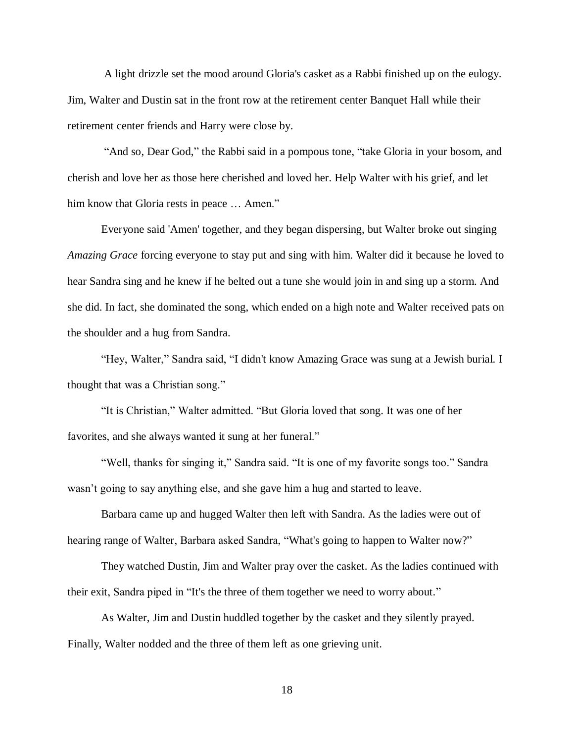A light drizzle set the mood around Gloria's casket as a Rabbi finished up on the eulogy. Jim, Walter and Dustin sat in the front row at the retirement center Banquet Hall while their retirement center friends and Harry were close by.

"And so, Dear God," the Rabbi said in a pompous tone, "take Gloria in your bosom, and cherish and love her as those here cherished and loved her. Help Walter with his grief, and let him know that Gloria rests in peace ... Amen."

Everyone said 'Amen' together, and they began dispersing, but Walter broke out singing *Amazing Grace* forcing everyone to stay put and sing with him. Walter did it because he loved to hear Sandra sing and he knew if he belted out a tune she would join in and sing up a storm. And she did. In fact, she dominated the song, which ended on a high note and Walter received pats on the shoulder and a hug from Sandra.

"Hey, Walter," Sandra said, "I didn't know Amazing Grace was sung at a Jewish burial. I thought that was a Christian song."

"It is Christian," Walter admitted. "But Gloria loved that song. It was one of her favorites, and she always wanted it sung at her funeral."

"Well, thanks for singing it," Sandra said. "It is one of my favorite songs too." Sandra wasn't going to say anything else, and she gave him a hug and started to leave.

Barbara came up and hugged Walter then left with Sandra. As the ladies were out of hearing range of Walter, Barbara asked Sandra, "What's going to happen to Walter now?"

They watched Dustin, Jim and Walter pray over the casket. As the ladies continued with their exit, Sandra piped in "It's the three of them together we need to worry about."

As Walter, Jim and Dustin huddled together by the casket and they silently prayed. Finally, Walter nodded and the three of them left as one grieving unit.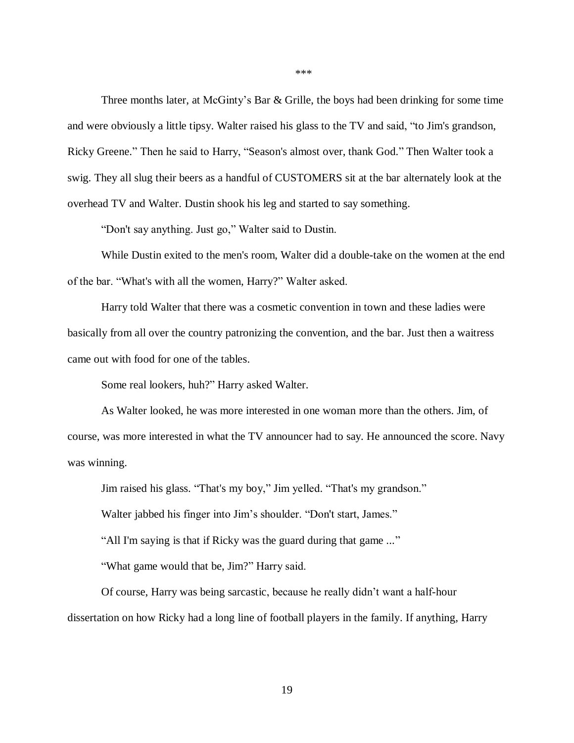Three months later, at McGinty's Bar & Grille, the boys had been drinking for some time and were obviously a little tipsy. Walter raised his glass to the TV and said, "to Jim's grandson, Ricky Greene." Then he said to Harry, "Season's almost over, thank God." Then Walter took a swig. They all slug their beers as a handful of CUSTOMERS sit at the bar alternately look at the overhead TV and Walter. Dustin shook his leg and started to say something.

"Don't say anything. Just go," Walter said to Dustin.

While Dustin exited to the men's room, Walter did a double-take on the women at the end of the bar. "What's with all the women, Harry?" Walter asked.

Harry told Walter that there was a cosmetic convention in town and these ladies were basically from all over the country patronizing the convention, and the bar. Just then a waitress came out with food for one of the tables.

Some real lookers, huh?" Harry asked Walter.

As Walter looked, he was more interested in one woman more than the others. Jim, of course, was more interested in what the TV announcer had to say. He announced the score. Navy was winning.

Jim raised his glass. "That's my boy," Jim yelled. "That's my grandson."

Walter jabbed his finger into Jim's shoulder. "Don't start, James."

"All I'm saying is that if Ricky was the guard during that game ..."

"What game would that be, Jim?" Harry said.

Of course, Harry was being sarcastic, because he really didn't want a half-hour dissertation on how Ricky had a long line of football players in the family. If anything, Harry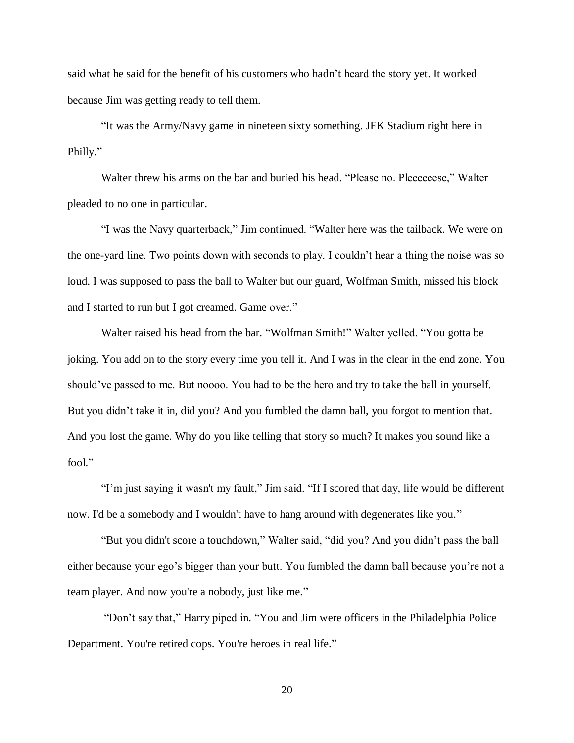said what he said for the benefit of his customers who hadn't heard the story yet. It worked because Jim was getting ready to tell them.

"It was the Army/Navy game in nineteen sixty something. JFK Stadium right here in Philly."

Walter threw his arms on the bar and buried his head. "Please no. Pleeeeeese," Walter pleaded to no one in particular.

"I was the Navy quarterback," Jim continued. "Walter here was the tailback. We were on the one-yard line. Two points down with seconds to play. I couldn't hear a thing the noise was so loud. I was supposed to pass the ball to Walter but our guard, Wolfman Smith, missed his block and I started to run but I got creamed. Game over."

Walter raised his head from the bar. "Wolfman Smith!" Walter yelled. "You gotta be joking. You add on to the story every time you tell it. And I was in the clear in the end zone. You should've passed to me. But noooo. You had to be the hero and try to take the ball in yourself. But you didn't take it in, did you? And you fumbled the damn ball, you forgot to mention that. And you lost the game. Why do you like telling that story so much? It makes you sound like a fool."

"I'm just saying it wasn't my fault," Jim said. "If I scored that day, life would be different now. I'd be a somebody and I wouldn't have to hang around with degenerates like you."

"But you didn't score a touchdown," Walter said, "did you? And you didn't pass the ball either because your ego's bigger than your butt. You fumbled the damn ball because you're not a team player. And now you're a nobody, just like me."

"Don't say that," Harry piped in. "You and Jim were officers in the Philadelphia Police Department. You're retired cops. You're heroes in real life."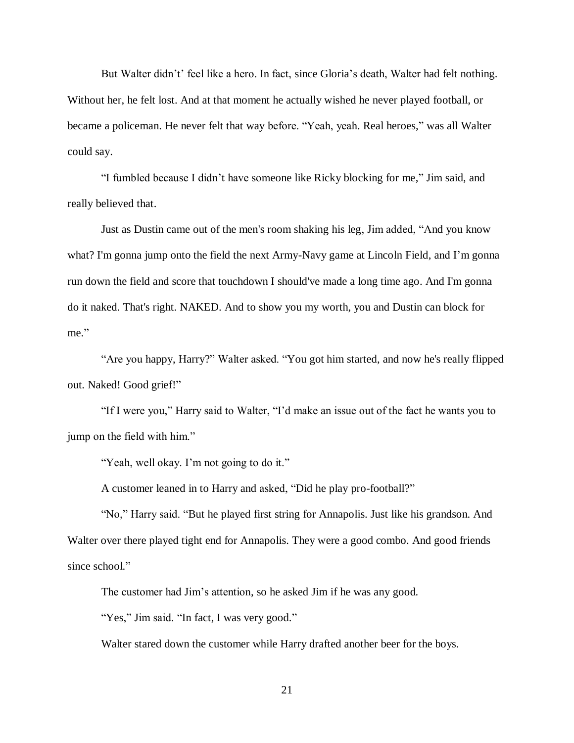But Walter didn't' feel like a hero. In fact, since Gloria's death, Walter had felt nothing. Without her, he felt lost. And at that moment he actually wished he never played football, or became a policeman. He never felt that way before. "Yeah, yeah. Real heroes," was all Walter could say.

"I fumbled because I didn't have someone like Ricky blocking for me," Jim said, and really believed that.

Just as Dustin came out of the men's room shaking his leg, Jim added, "And you know what? I'm gonna jump onto the field the next Army-Navy game at Lincoln Field, and I'm gonna run down the field and score that touchdown I should've made a long time ago. And I'm gonna do it naked. That's right. NAKED. And to show you my worth, you and Dustin can block for me."

"Are you happy, Harry?" Walter asked. "You got him started, and now he's really flipped out. Naked! Good grief!"

"If I were you," Harry said to Walter, "I'd make an issue out of the fact he wants you to jump on the field with him."

"Yeah, well okay. I'm not going to do it."

A customer leaned in to Harry and asked, "Did he play pro-football?"

"No," Harry said. "But he played first string for Annapolis. Just like his grandson. And Walter over there played tight end for Annapolis. They were a good combo. And good friends since school."

The customer had Jim's attention, so he asked Jim if he was any good.

"Yes," Jim said. "In fact, I was very good."

Walter stared down the customer while Harry drafted another beer for the boys.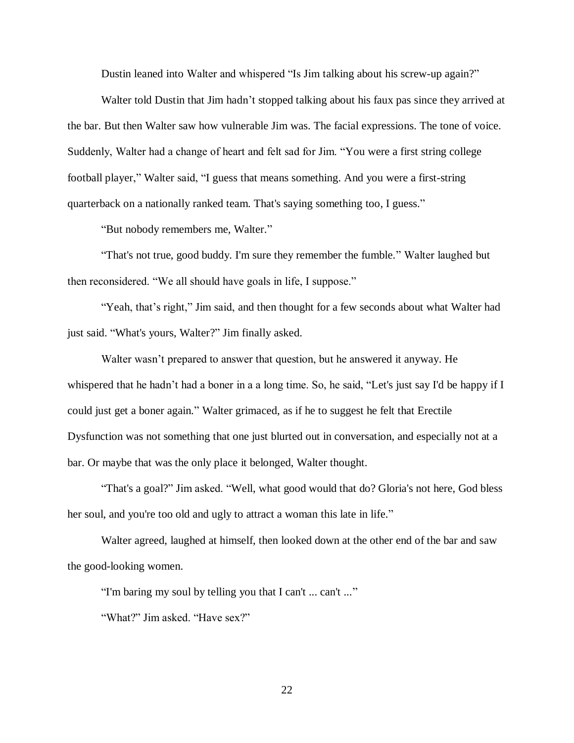Dustin leaned into Walter and whispered "Is Jim talking about his screw-up again?"

Walter told Dustin that Jim hadn't stopped talking about his faux pas since they arrived at the bar. But then Walter saw how vulnerable Jim was. The facial expressions. The tone of voice. Suddenly, Walter had a change of heart and felt sad for Jim. "You were a first string college football player," Walter said, "I guess that means something. And you were a first-string quarterback on a nationally ranked team. That's saying something too, I guess."

"But nobody remembers me, Walter."

"That's not true, good buddy. I'm sure they remember the fumble." Walter laughed but then reconsidered. "We all should have goals in life, I suppose."

"Yeah, that's right," Jim said, and then thought for a few seconds about what Walter had just said. "What's yours, Walter?" Jim finally asked.

Walter wasn't prepared to answer that question, but he answered it anyway. He whispered that he hadn't had a boner in a a long time. So, he said, "Let's just say I'd be happy if I could just get a boner again." Walter grimaced, as if he to suggest he felt that Erectile Dysfunction was not something that one just blurted out in conversation, and especially not at a bar. Or maybe that was the only place it belonged, Walter thought.

"That's a goal?" Jim asked. "Well, what good would that do? Gloria's not here, God bless her soul, and you're too old and ugly to attract a woman this late in life."

Walter agreed, laughed at himself, then looked down at the other end of the bar and saw the good-looking women.

"I'm baring my soul by telling you that I can't ... can't ..."

"What?" Jim asked. "Have sex?"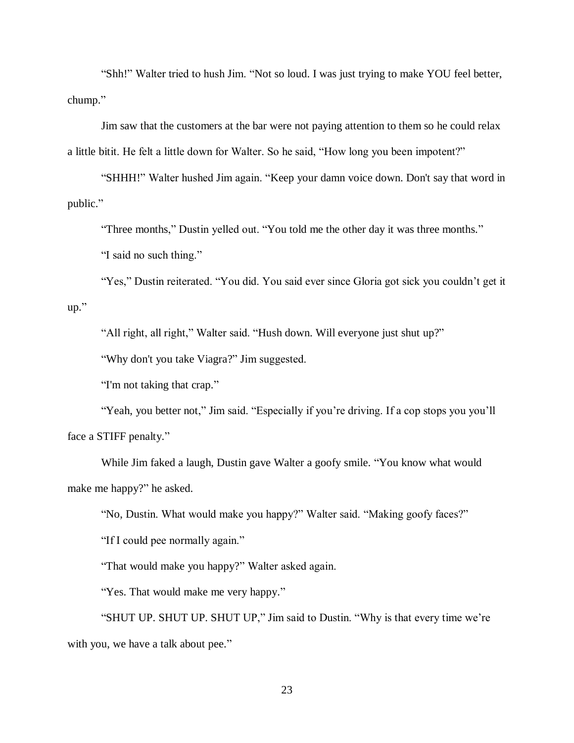"Shh!" Walter tried to hush Jim. "Not so loud. I was just trying to make YOU feel better, chump."

Jim saw that the customers at the bar were not paying attention to them so he could relax a little bitit. He felt a little down for Walter. So he said, "How long you been impotent?"

"SHHH!" Walter hushed Jim again. "Keep your damn voice down. Don't say that word in public."

"Three months," Dustin yelled out. "You told me the other day it was three months."

"I said no such thing."

"Yes," Dustin reiterated. "You did. You said ever since Gloria got sick you couldn't get it

up."

"All right, all right," Walter said. "Hush down. Will everyone just shut up?"

"Why don't you take Viagra?" Jim suggested.

"I'm not taking that crap."

"Yeah, you better not," Jim said. "Especially if you're driving. If a cop stops you you'll face a STIFF penalty."

While Jim faked a laugh, Dustin gave Walter a goofy smile. "You know what would make me happy?" he asked.

"No, Dustin. What would make you happy?" Walter said. "Making goofy faces?"

"If I could pee normally again."

"That would make you happy?" Walter asked again.

"Yes. That would make me very happy."

"SHUT UP. SHUT UP. SHUT UP," Jim said to Dustin. "Why is that every time we're with you, we have a talk about pee."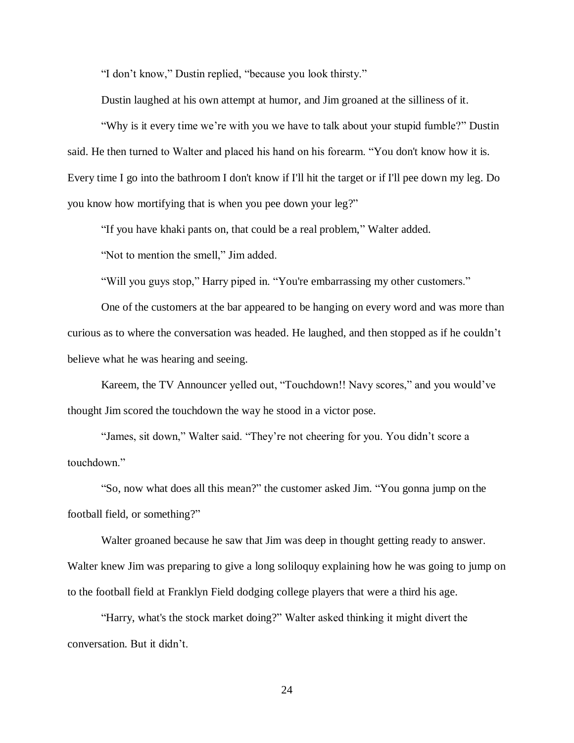"I don't know," Dustin replied, "because you look thirsty."

Dustin laughed at his own attempt at humor, and Jim groaned at the silliness of it.

"Why is it every time we're with you we have to talk about your stupid fumble?" Dustin said. He then turned to Walter and placed his hand on his forearm. "You don't know how it is. Every time I go into the bathroom I don't know if I'll hit the target or if I'll pee down my leg. Do you know how mortifying that is when you pee down your leg?"

"If you have khaki pants on, that could be a real problem," Walter added.

"Not to mention the smell," Jim added.

"Will you guys stop," Harry piped in. "You're embarrassing my other customers."

One of the customers at the bar appeared to be hanging on every word and was more than curious as to where the conversation was headed. He laughed, and then stopped as if he couldn't believe what he was hearing and seeing.

Kareem, the TV Announcer yelled out, "Touchdown!! Navy scores," and you would've thought Jim scored the touchdown the way he stood in a victor pose.

"James, sit down," Walter said. "They're not cheering for you. You didn't score a touchdown."

"So, now what does all this mean?" the customer asked Jim. "You gonna jump on the football field, or something?"

Walter groaned because he saw that Jim was deep in thought getting ready to answer. Walter knew Jim was preparing to give a long soliloquy explaining how he was going to jump on to the football field at Franklyn Field dodging college players that were a third his age.

"Harry, what's the stock market doing?" Walter asked thinking it might divert the conversation. But it didn't.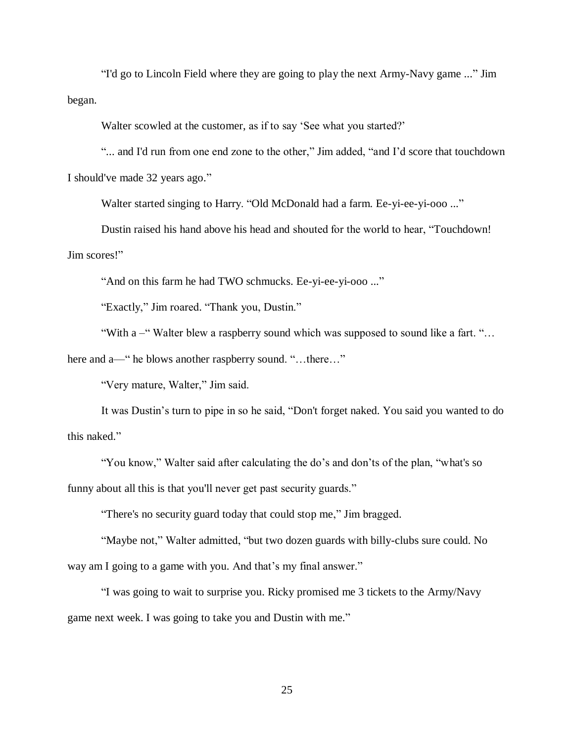"I'd go to Lincoln Field where they are going to play the next Army-Navy game ..." Jim began.

Walter scowled at the customer, as if to say 'See what you started?'

"... and I'd run from one end zone to the other," Jim added, "and I'd score that touchdown I should've made 32 years ago."

Walter started singing to Harry. "Old McDonald had a farm. Ee-yi-ee-yi-ooo ..."

Dustin raised his hand above his head and shouted for the world to hear, "Touchdown! Jim scores!"

"And on this farm he had TWO schmucks. Ee-yi-ee-yi-ooo ..."

"Exactly," Jim roared. "Thank you, Dustin."

"With a –" Walter blew a raspberry sound which was supposed to sound like a fart. "…

here and a—" he blows another raspberry sound. "...there..."

"Very mature, Walter," Jim said.

It was Dustin's turn to pipe in so he said, "Don't forget naked. You said you wanted to do this naked."

"You know," Walter said after calculating the do's and don'ts of the plan, "what's so funny about all this is that you'll never get past security guards."

"There's no security guard today that could stop me," Jim bragged.

"Maybe not," Walter admitted, "but two dozen guards with billy-clubs sure could. No way am I going to a game with you. And that's my final answer."

"I was going to wait to surprise you. Ricky promised me 3 tickets to the Army/Navy game next week. I was going to take you and Dustin with me."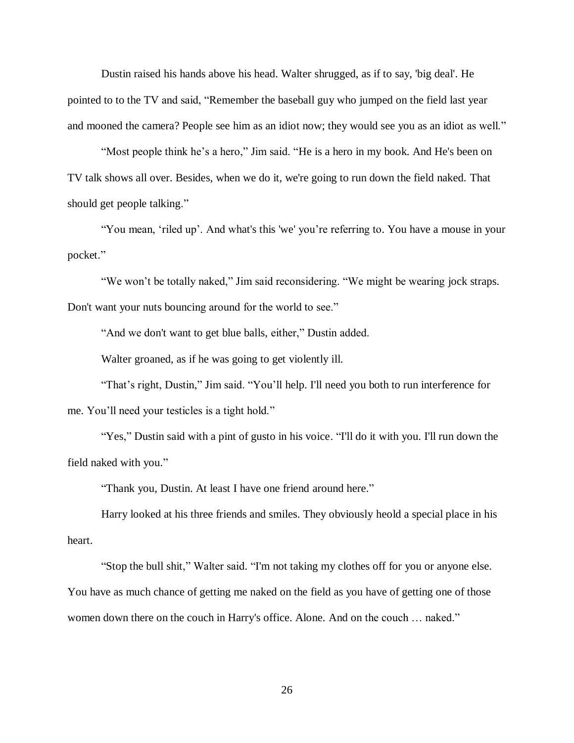Dustin raised his hands above his head. Walter shrugged, as if to say, 'big deal'. He pointed to to the TV and said, "Remember the baseball guy who jumped on the field last year and mooned the camera? People see him as an idiot now; they would see you as an idiot as well."

"Most people think he's a hero," Jim said. "He is a hero in my book. And He's been on TV talk shows all over. Besides, when we do it, we're going to run down the field naked. That should get people talking."

"You mean, 'riled up'. And what's this 'we' you're referring to. You have a mouse in your pocket."

"We won't be totally naked," Jim said reconsidering. "We might be wearing jock straps. Don't want your nuts bouncing around for the world to see."

"And we don't want to get blue balls, either," Dustin added.

Walter groaned, as if he was going to get violently ill.

"That's right, Dustin," Jim said. "You'll help. I'll need you both to run interference for me. You'll need your testicles is a tight hold."

"Yes," Dustin said with a pint of gusto in his voice. "I'll do it with you. I'll run down the field naked with you."

"Thank you, Dustin. At least I have one friend around here."

Harry looked at his three friends and smiles. They obviously heold a special place in his heart.

"Stop the bull shit," Walter said. "I'm not taking my clothes off for you or anyone else. You have as much chance of getting me naked on the field as you have of getting one of those women down there on the couch in Harry's office. Alone. And on the couch … naked."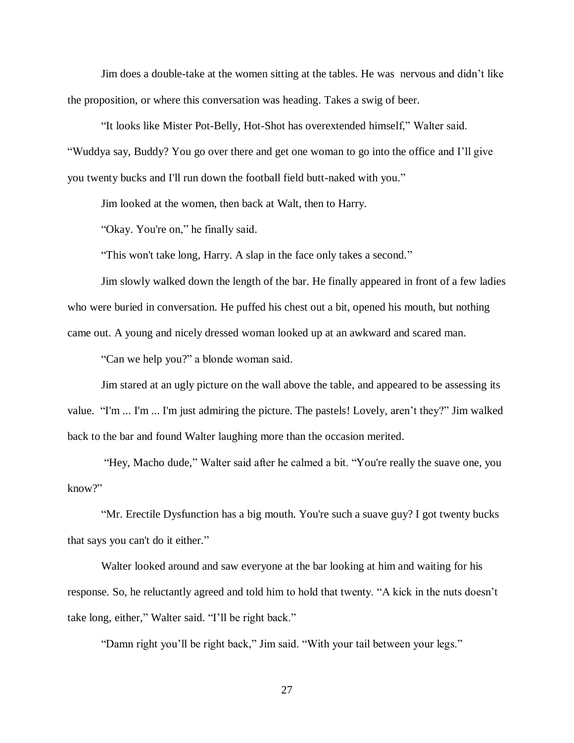Jim does a double-take at the women sitting at the tables. He was nervous and didn't like the proposition, or where this conversation was heading. Takes a swig of beer.

"It looks like Mister Pot-Belly, Hot-Shot has overextended himself," Walter said. "Wuddya say, Buddy? You go over there and get one woman to go into the office and I'll give you twenty bucks and I'll run down the football field butt-naked with you."

Jim looked at the women, then back at Walt, then to Harry.

"Okay. You're on," he finally said.

"This won't take long, Harry. A slap in the face only takes a second."

Jim slowly walked down the length of the bar. He finally appeared in front of a few ladies who were buried in conversation. He puffed his chest out a bit, opened his mouth, but nothing came out. A young and nicely dressed woman looked up at an awkward and scared man.

"Can we help you?" a blonde woman said.

Jim stared at an ugly picture on the wall above the table, and appeared to be assessing its value. "I'm ... I'm ... I'm just admiring the picture. The pastels! Lovely, aren't they?" Jim walked back to the bar and found Walter laughing more than the occasion merited.

"Hey, Macho dude," Walter said after he calmed a bit. "You're really the suave one, you know?"

"Mr. Erectile Dysfunction has a big mouth. You're such a suave guy? I got twenty bucks that says you can't do it either."

Walter looked around and saw everyone at the bar looking at him and waiting for his response. So, he reluctantly agreed and told him to hold that twenty. "A kick in the nuts doesn't take long, either," Walter said. "I'll be right back."

"Damn right you'll be right back," Jim said. "With your tail between your legs."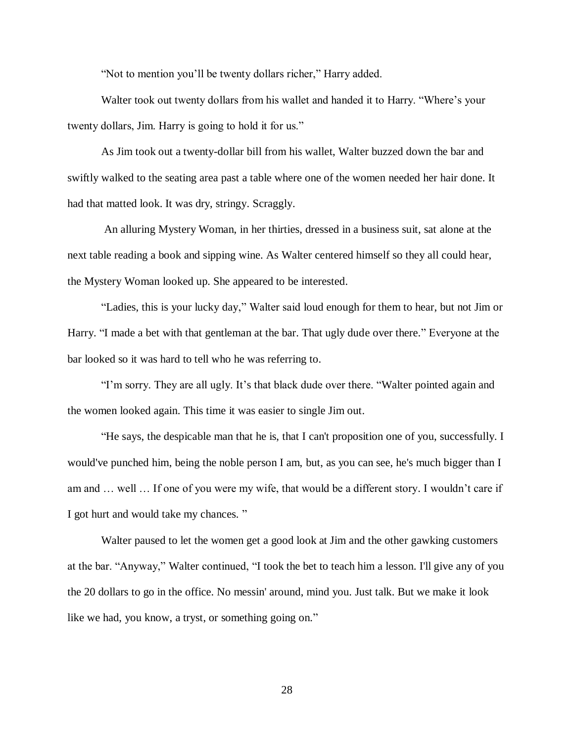"Not to mention you'll be twenty dollars richer," Harry added.

Walter took out twenty dollars from his wallet and handed it to Harry. "Where's your twenty dollars, Jim. Harry is going to hold it for us."

As Jim took out a twenty-dollar bill from his wallet, Walter buzzed down the bar and swiftly walked to the seating area past a table where one of the women needed her hair done. It had that matted look. It was dry, stringy. Scraggly.

An alluring Mystery Woman, in her thirties, dressed in a business suit, sat alone at the next table reading a book and sipping wine. As Walter centered himself so they all could hear, the Mystery Woman looked up. She appeared to be interested.

"Ladies, this is your lucky day," Walter said loud enough for them to hear, but not Jim or Harry. "I made a bet with that gentleman at the bar. That ugly dude over there." Everyone at the bar looked so it was hard to tell who he was referring to.

"I'm sorry. They are all ugly. It's that black dude over there. "Walter pointed again and the women looked again. This time it was easier to single Jim out.

"He says, the despicable man that he is, that I can't proposition one of you, successfully. I would've punched him, being the noble person I am, but, as you can see, he's much bigger than I am and … well … If one of you were my wife, that would be a different story. I wouldn't care if I got hurt and would take my chances. "

Walter paused to let the women get a good look at Jim and the other gawking customers at the bar. "Anyway," Walter continued, "I took the bet to teach him a lesson. I'll give any of you the 20 dollars to go in the office. No messin' around, mind you. Just talk. But we make it look like we had, you know, a tryst, or something going on."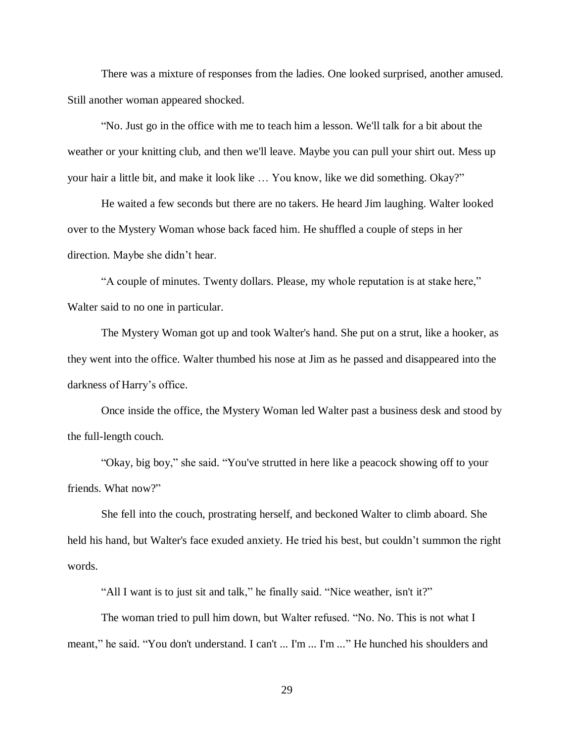There was a mixture of responses from the ladies. One looked surprised, another amused. Still another woman appeared shocked.

"No. Just go in the office with me to teach him a lesson. We'll talk for a bit about the weather or your knitting club, and then we'll leave. Maybe you can pull your shirt out. Mess up your hair a little bit, and make it look like … You know, like we did something. Okay?"

He waited a few seconds but there are no takers. He heard Jim laughing. Walter looked over to the Mystery Woman whose back faced him. He shuffled a couple of steps in her direction. Maybe she didn't hear.

"A couple of minutes. Twenty dollars. Please, my whole reputation is at stake here," Walter said to no one in particular.

The Mystery Woman got up and took Walter's hand. She put on a strut, like a hooker, as they went into the office. Walter thumbed his nose at Jim as he passed and disappeared into the darkness of Harry's office.

Once inside the office, the Mystery Woman led Walter past a business desk and stood by the full-length couch.

"Okay, big boy," she said. "You've strutted in here like a peacock showing off to your friends. What now?"

She fell into the couch, prostrating herself, and beckoned Walter to climb aboard. She held his hand, but Walter's face exuded anxiety. He tried his best, but couldn't summon the right words.

"All I want is to just sit and talk," he finally said. "Nice weather, isn't it?"

The woman tried to pull him down, but Walter refused. "No. No. This is not what I meant," he said. "You don't understand. I can't ... I'm ... I'm ..." He hunched his shoulders and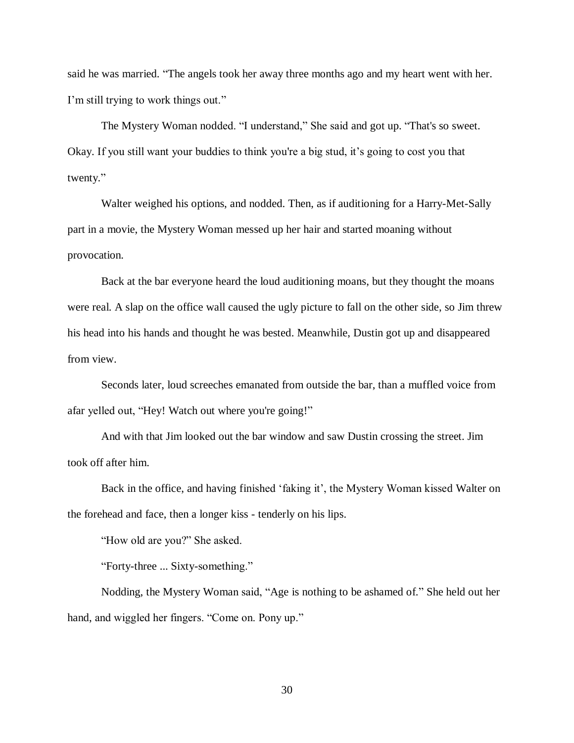said he was married. "The angels took her away three months ago and my heart went with her. I'm still trying to work things out."

The Mystery Woman nodded. "I understand," She said and got up. "That's so sweet. Okay. If you still want your buddies to think you're a big stud, it's going to cost you that twenty."

Walter weighed his options, and nodded. Then, as if auditioning for a Harry-Met-Sally part in a movie, the Mystery Woman messed up her hair and started moaning without provocation.

Back at the bar everyone heard the loud auditioning moans, but they thought the moans were real. A slap on the office wall caused the ugly picture to fall on the other side, so Jim threw his head into his hands and thought he was bested. Meanwhile, Dustin got up and disappeared from view.

Seconds later, loud screeches emanated from outside the bar, than a muffled voice from afar yelled out, "Hey! Watch out where you're going!"

And with that Jim looked out the bar window and saw Dustin crossing the street. Jim took off after him.

Back in the office, and having finished 'faking it', the Mystery Woman kissed Walter on the forehead and face, then a longer kiss - tenderly on his lips.

"How old are you?" She asked.

"Forty-three ... Sixty-something."

Nodding, the Mystery Woman said, "Age is nothing to be ashamed of." She held out her hand, and wiggled her fingers. "Come on. Pony up."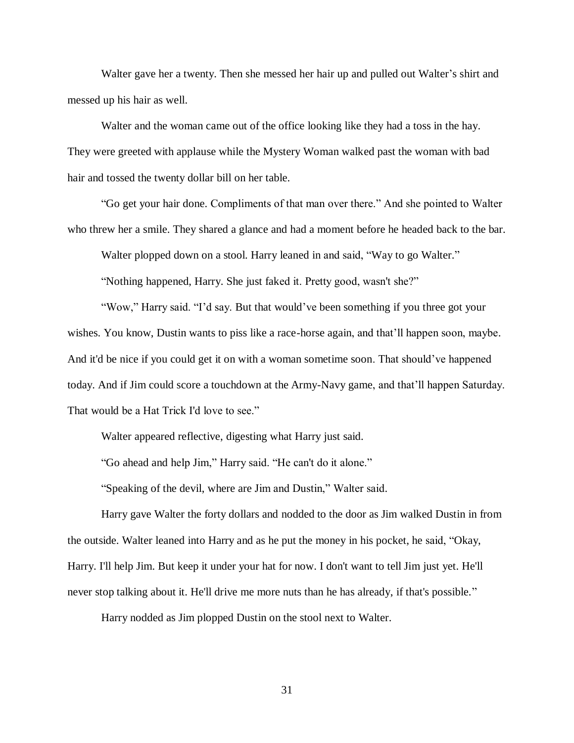Walter gave her a twenty. Then she messed her hair up and pulled out Walter's shirt and messed up his hair as well.

Walter and the woman came out of the office looking like they had a toss in the hay. They were greeted with applause while the Mystery Woman walked past the woman with bad hair and tossed the twenty dollar bill on her table.

"Go get your hair done. Compliments of that man over there." And she pointed to Walter who threw her a smile. They shared a glance and had a moment before he headed back to the bar.

Walter plopped down on a stool. Harry leaned in and said, "Way to go Walter."

"Nothing happened, Harry. She just faked it. Pretty good, wasn't she?"

"Wow," Harry said. "I'd say. But that would've been something if you three got your wishes. You know, Dustin wants to piss like a race-horse again, and that'll happen soon, maybe. And it'd be nice if you could get it on with a woman sometime soon. That should've happened today. And if Jim could score a touchdown at the Army-Navy game, and that'll happen Saturday. That would be a Hat Trick I'd love to see."

Walter appeared reflective, digesting what Harry just said.

"Go ahead and help Jim," Harry said. "He can't do it alone."

"Speaking of the devil, where are Jim and Dustin," Walter said.

Harry gave Walter the forty dollars and nodded to the door as Jim walked Dustin in from the outside. Walter leaned into Harry and as he put the money in his pocket, he said, "Okay, Harry. I'll help Jim. But keep it under your hat for now. I don't want to tell Jim just yet. He'll never stop talking about it. He'll drive me more nuts than he has already, if that's possible."

Harry nodded as Jim plopped Dustin on the stool next to Walter.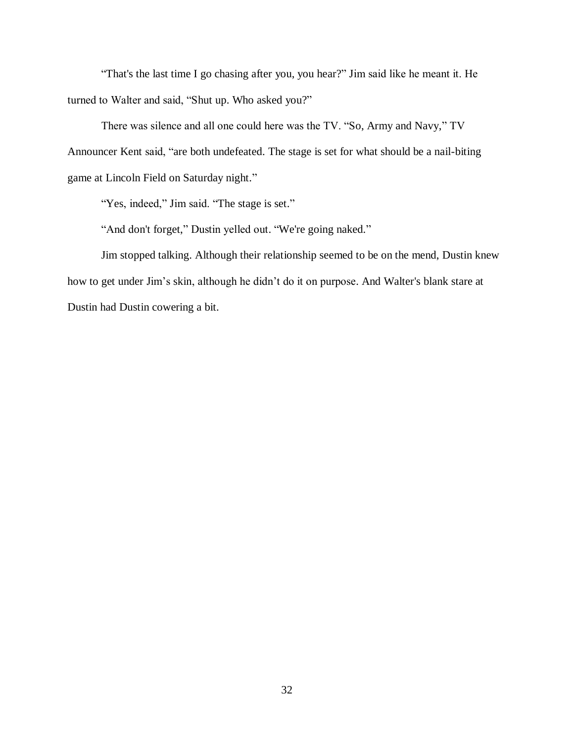"That's the last time I go chasing after you, you hear?" Jim said like he meant it. He turned to Walter and said, "Shut up. Who asked you?"

There was silence and all one could here was the TV. "So, Army and Navy," TV Announcer Kent said, "are both undefeated. The stage is set for what should be a nail-biting game at Lincoln Field on Saturday night."

"Yes, indeed," Jim said. "The stage is set."

"And don't forget," Dustin yelled out. "We're going naked."

Jim stopped talking. Although their relationship seemed to be on the mend, Dustin knew how to get under Jim's skin, although he didn't do it on purpose. And Walter's blank stare at Dustin had Dustin cowering a bit.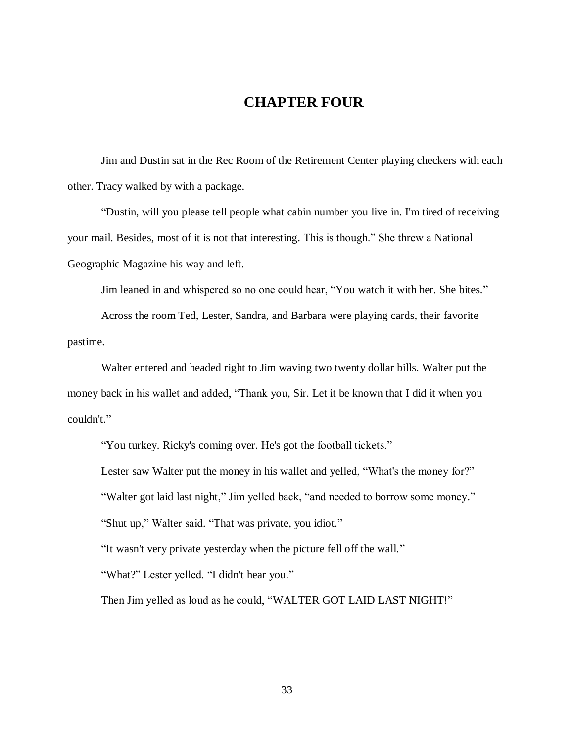# **CHAPTER FOUR**

Jim and Dustin sat in the Rec Room of the Retirement Center playing checkers with each other. Tracy walked by with a package.

"Dustin, will you please tell people what cabin number you live in. I'm tired of receiving your mail. Besides, most of it is not that interesting. This is though." She threw a National Geographic Magazine his way and left.

Jim leaned in and whispered so no one could hear, "You watch it with her. She bites."

Across the room Ted, Lester, Sandra, and Barbara were playing cards, their favorite pastime.

Walter entered and headed right to Jim waving two twenty dollar bills. Walter put the money back in his wallet and added, "Thank you, Sir. Let it be known that I did it when you couldn't."

"You turkey. Ricky's coming over. He's got the football tickets."

Lester saw Walter put the money in his wallet and yelled, "What's the money for?" "Walter got laid last night," Jim yelled back, "and needed to borrow some money."

"Shut up," Walter said. "That was private, you idiot."

"It wasn't very private yesterday when the picture fell off the wall."

"What?" Lester yelled. "I didn't hear you."

Then Jim yelled as loud as he could, "WALTER GOT LAID LAST NIGHT!"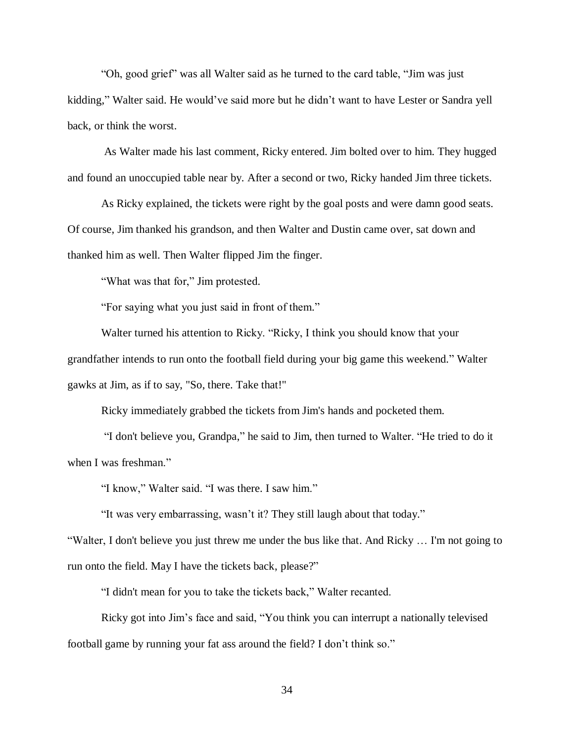"Oh, good grief" was all Walter said as he turned to the card table, "Jim was just kidding," Walter said. He would've said more but he didn't want to have Lester or Sandra yell back, or think the worst.

As Walter made his last comment, Ricky entered. Jim bolted over to him. They hugged and found an unoccupied table near by. After a second or two, Ricky handed Jim three tickets.

As Ricky explained, the tickets were right by the goal posts and were damn good seats. Of course, Jim thanked his grandson, and then Walter and Dustin came over, sat down and thanked him as well. Then Walter flipped Jim the finger.

"What was that for," Jim protested.

"For saying what you just said in front of them."

Walter turned his attention to Ricky. "Ricky, I think you should know that your grandfather intends to run onto the football field during your big game this weekend." Walter gawks at Jim, as if to say, "So, there. Take that!"

Ricky immediately grabbed the tickets from Jim's hands and pocketed them.

"I don't believe you, Grandpa," he said to Jim, then turned to Walter. "He tried to do it when I was freshman."

"I know," Walter said. "I was there. I saw him."

"It was very embarrassing, wasn't it? They still laugh about that today."

"Walter, I don't believe you just threw me under the bus like that. And Ricky … I'm not going to run onto the field. May I have the tickets back, please?"

"I didn't mean for you to take the tickets back," Walter recanted.

Ricky got into Jim's face and said, "You think you can interrupt a nationally televised football game by running your fat ass around the field? I don't think so."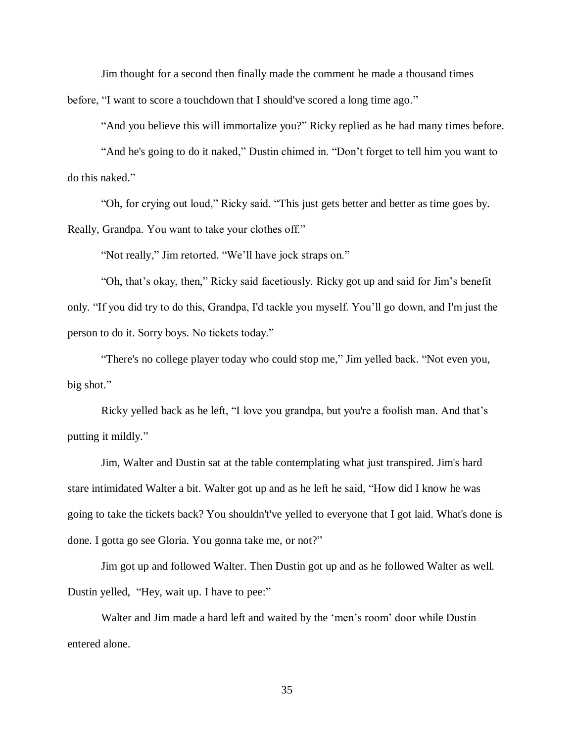Jim thought for a second then finally made the comment he made a thousand times before, "I want to score a touchdown that I should've scored a long time ago."

"And you believe this will immortalize you?" Ricky replied as he had many times before.

"And he's going to do it naked," Dustin chimed in. "Don't forget to tell him you want to do this naked."

"Oh, for crying out loud," Ricky said. "This just gets better and better as time goes by. Really, Grandpa. You want to take your clothes off."

"Not really," Jim retorted. "We'll have jock straps on."

"Oh, that's okay, then," Ricky said facetiously. Ricky got up and said for Jim's benefit only. "If you did try to do this, Grandpa, I'd tackle you myself. You'll go down, and I'm just the person to do it. Sorry boys. No tickets today."

"There's no college player today who could stop me," Jim yelled back. "Not even you, big shot."

Ricky yelled back as he left, "I love you grandpa, but you're a foolish man. And that's putting it mildly."

Jim, Walter and Dustin sat at the table contemplating what just transpired. Jim's hard stare intimidated Walter a bit. Walter got up and as he left he said, "How did I know he was going to take the tickets back? You shouldn't've yelled to everyone that I got laid. What's done is done. I gotta go see Gloria. You gonna take me, or not?"

Jim got up and followed Walter. Then Dustin got up and as he followed Walter as well. Dustin yelled, "Hey, wait up. I have to pee:"

Walter and Jim made a hard left and waited by the 'men's room' door while Dustin entered alone.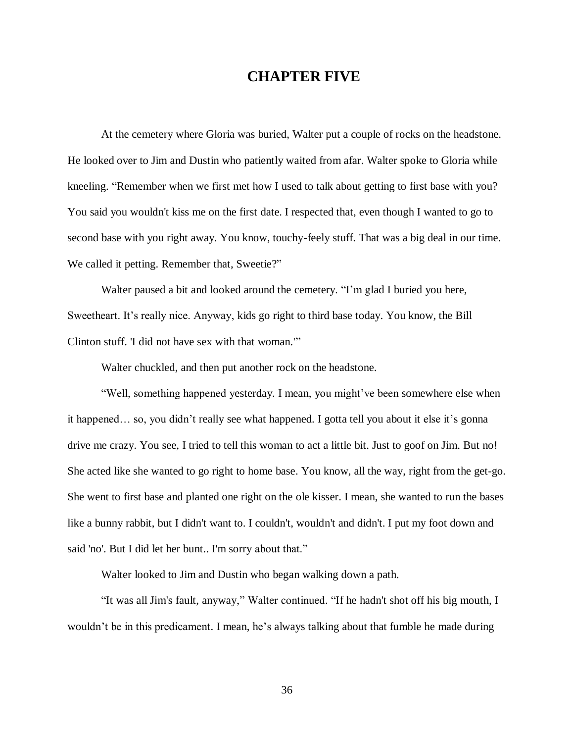# **CHAPTER FIVE**

At the cemetery where Gloria was buried, Walter put a couple of rocks on the headstone. He looked over to Jim and Dustin who patiently waited from afar. Walter spoke to Gloria while kneeling. "Remember when we first met how I used to talk about getting to first base with you? You said you wouldn't kiss me on the first date. I respected that, even though I wanted to go to second base with you right away. You know, touchy-feely stuff. That was a big deal in our time. We called it petting. Remember that, Sweetie?"

Walter paused a bit and looked around the cemetery. "I'm glad I buried you here, Sweetheart. It's really nice. Anyway, kids go right to third base today. You know, the Bill Clinton stuff. 'I did not have sex with that woman.'"

Walter chuckled, and then put another rock on the headstone.

"Well, something happened yesterday. I mean, you might've been somewhere else when it happened… so, you didn't really see what happened. I gotta tell you about it else it's gonna drive me crazy. You see, I tried to tell this woman to act a little bit. Just to goof on Jim. But no! She acted like she wanted to go right to home base. You know, all the way, right from the get-go. She went to first base and planted one right on the ole kisser. I mean, she wanted to run the bases like a bunny rabbit, but I didn't want to. I couldn't, wouldn't and didn't. I put my foot down and said 'no'. But I did let her bunt.. I'm sorry about that."

Walter looked to Jim and Dustin who began walking down a path.

"It was all Jim's fault, anyway," Walter continued. "If he hadn't shot off his big mouth, I wouldn't be in this predicament. I mean, he's always talking about that fumble he made during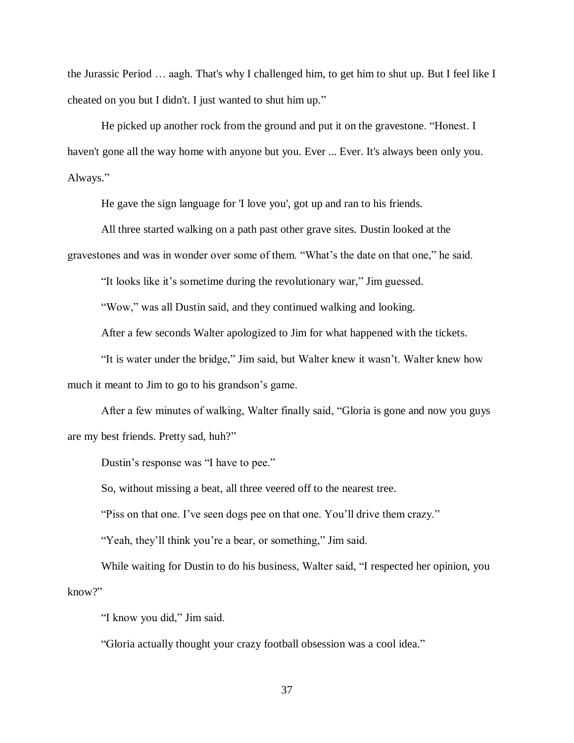the Jurassic Period … aagh. That's why I challenged him, to get him to shut up. But I feel like I cheated on you but I didn't. I just wanted to shut him up."

He picked up another rock from the ground and put it on the gravestone. "Honest. I haven't gone all the way home with anyone but you. Ever ... Ever. It's always been only you. Always."

He gave the sign language for 'I love you', got up and ran to his friends.

All three started walking on a path past other grave sites. Dustin looked at the gravestones and was in wonder over some of them. "What's the date on that one," he said.

"It looks like it's sometime during the revolutionary war," Jim guessed.

"Wow," was all Dustin said, and they continued walking and looking.

After a few seconds Walter apologized to Jim for what happened with the tickets.

"It is water under the bridge," Jim said, but Walter knew it wasn't. Walter knew how much it meant to Jim to go to his grandson's game.

After a few minutes of walking, Walter finally said, "Gloria is gone and now you guys are my best friends. Pretty sad, huh?"

Dustin's response was "I have to pee."

So, without missing a beat, all three veered off to the nearest tree.

"Piss on that one. I've seen dogs pee on that one. You'll drive them crazy."

"Yeah, they'll think you're a bear, or something," Jim said.

While waiting for Dustin to do his business, Walter said, "I respected her opinion, you know?"

"I know you did," Jim said.

"Gloria actually thought your crazy football obsession was a cool idea."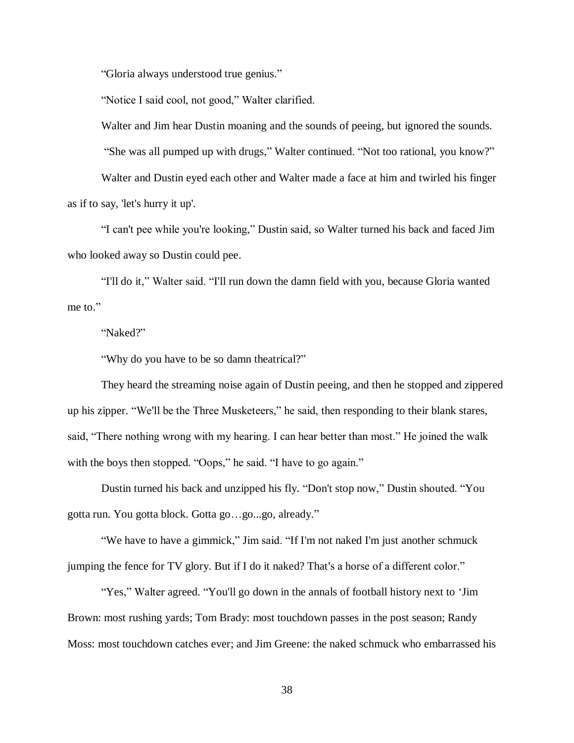"Gloria always understood true genius."

"Notice I said cool, not good," Walter clarified.

Walter and Jim hear Dustin moaning and the sounds of peeing, but ignored the sounds.

"She was all pumped up with drugs," Walter continued. "Not too rational, you know?"

Walter and Dustin eyed each other and Walter made a face at him and twirled his finger as if to say, 'let's hurry it up'.

"I can't pee while you're looking," Dustin said, so Walter turned his back and faced Jim who looked away so Dustin could pee.

"I'll do it," Walter said. "I'll run down the damn field with you, because Gloria wanted me to."

"Naked?"

"Why do you have to be so damn theatrical?"

They heard the streaming noise again of Dustin peeing, and then he stopped and zippered up his zipper. "We'll be the Three Musketeers," he said, then responding to their blank stares, said, "There nothing wrong with my hearing. I can hear better than most." He joined the walk with the boys then stopped. "Oops," he said. "I have to go again."

Dustin turned his back and unzipped his fly. "Don't stop now," Dustin shouted. "You gotta run. You gotta block. Gotta go…go...go, already."

"We have to have a gimmick," Jim said. "If I'm not naked I'm just another schmuck jumping the fence for TV glory. But if I do it naked? That's a horse of a different color."

"Yes," Walter agreed. "You'll go down in the annals of football history next to 'Jim Brown: most rushing yards; Tom Brady: most touchdown passes in the post season; Randy Moss: most touchdown catches ever; and Jim Greene: the naked schmuck who embarrassed his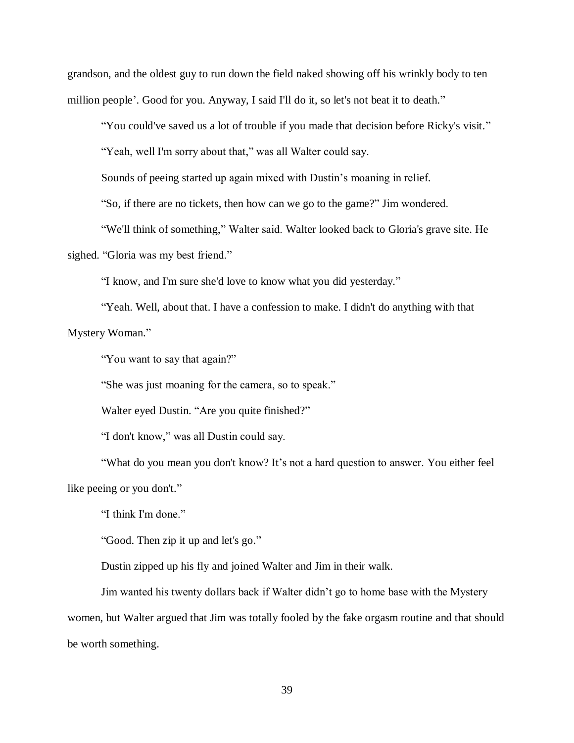grandson, and the oldest guy to run down the field naked showing off his wrinkly body to ten million people'. Good for you. Anyway, I said I'll do it, so let's not beat it to death."

"You could've saved us a lot of trouble if you made that decision before Ricky's visit."

"Yeah, well I'm sorry about that," was all Walter could say.

Sounds of peeing started up again mixed with Dustin's moaning in relief.

"So, if there are no tickets, then how can we go to the game?" Jim wondered.

"We'll think of something," Walter said. Walter looked back to Gloria's grave site. He sighed. "Gloria was my best friend."

"I know, and I'm sure she'd love to know what you did yesterday."

"Yeah. Well, about that. I have a confession to make. I didn't do anything with that Mystery Woman."

"You want to say that again?"

"She was just moaning for the camera, so to speak."

Walter eyed Dustin. "Are you quite finished?"

"I don't know," was all Dustin could say.

"What do you mean you don't know? It's not a hard question to answer. You either feel like peeing or you don't."

"I think I'm done."

"Good. Then zip it up and let's go."

Dustin zipped up his fly and joined Walter and Jim in their walk.

Jim wanted his twenty dollars back if Walter didn't go to home base with the Mystery women, but Walter argued that Jim was totally fooled by the fake orgasm routine and that should be worth something.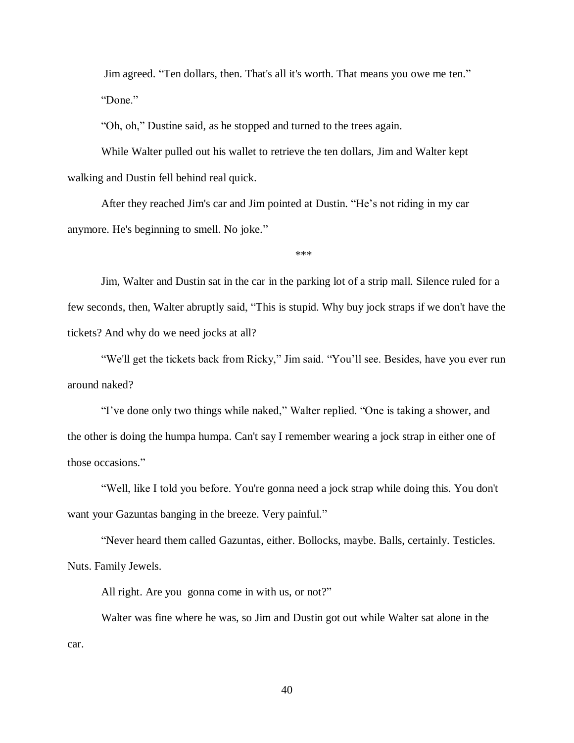Jim agreed. "Ten dollars, then. That's all it's worth. That means you owe me ten." "Done."

"Oh, oh," Dustine said, as he stopped and turned to the trees again.

While Walter pulled out his wallet to retrieve the ten dollars, Jim and Walter kept walking and Dustin fell behind real quick.

After they reached Jim's car and Jim pointed at Dustin. "He's not riding in my car anymore. He's beginning to smell. No joke."

\*\*\*

Jim, Walter and Dustin sat in the car in the parking lot of a strip mall. Silence ruled for a few seconds, then, Walter abruptly said, "This is stupid. Why buy jock straps if we don't have the tickets? And why do we need jocks at all?

"We'll get the tickets back from Ricky," Jim said. "You'll see. Besides, have you ever run around naked?

"I've done only two things while naked," Walter replied. "One is taking a shower, and the other is doing the humpa humpa. Can't say I remember wearing a jock strap in either one of those occasions."

"Well, like I told you before. You're gonna need a jock strap while doing this. You don't want your Gazuntas banging in the breeze. Very painful."

"Never heard them called Gazuntas, either. Bollocks, maybe. Balls, certainly. Testicles. Nuts. Family Jewels.

All right. Are you gonna come in with us, or not?"

Walter was fine where he was, so Jim and Dustin got out while Walter sat alone in the car.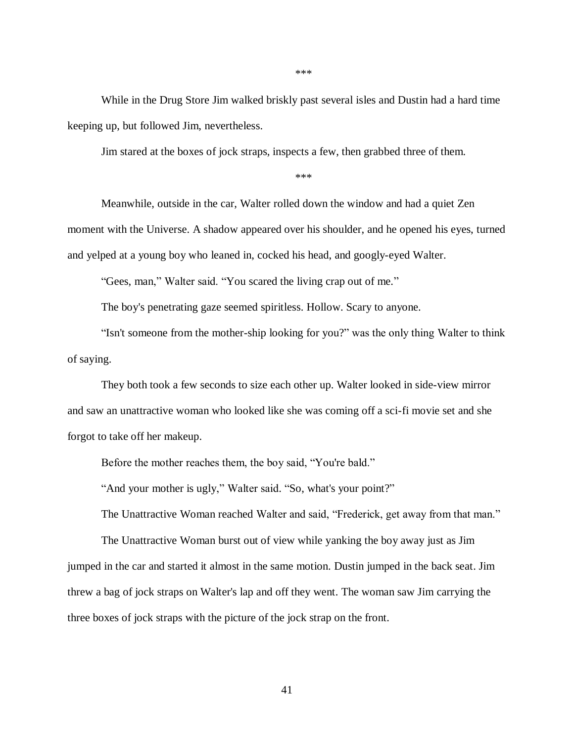While in the Drug Store Jim walked briskly past several isles and Dustin had a hard time keeping up, but followed Jim, nevertheless.

Jim stared at the boxes of jock straps, inspects a few, then grabbed three of them.

\*\*\*

\*\*\*

Meanwhile, outside in the car, Walter rolled down the window and had a quiet Zen moment with the Universe. A shadow appeared over his shoulder, and he opened his eyes, turned and yelped at a young boy who leaned in, cocked his head, and googly-eyed Walter.

"Gees, man," Walter said. "You scared the living crap out of me."

The boy's penetrating gaze seemed spiritless. Hollow. Scary to anyone.

"Isn't someone from the mother-ship looking for you?" was the only thing Walter to think of saying.

They both took a few seconds to size each other up. Walter looked in side-view mirror and saw an unattractive woman who looked like she was coming off a sci-fi movie set and she forgot to take off her makeup.

Before the mother reaches them, the boy said, "You're bald."

"And your mother is ugly," Walter said. "So, what's your point?"

The Unattractive Woman reached Walter and said, "Frederick, get away from that man."

The Unattractive Woman burst out of view while yanking the boy away just as Jim jumped in the car and started it almost in the same motion. Dustin jumped in the back seat. Jim threw a bag of jock straps on Walter's lap and off they went. The woman saw Jim carrying the three boxes of jock straps with the picture of the jock strap on the front.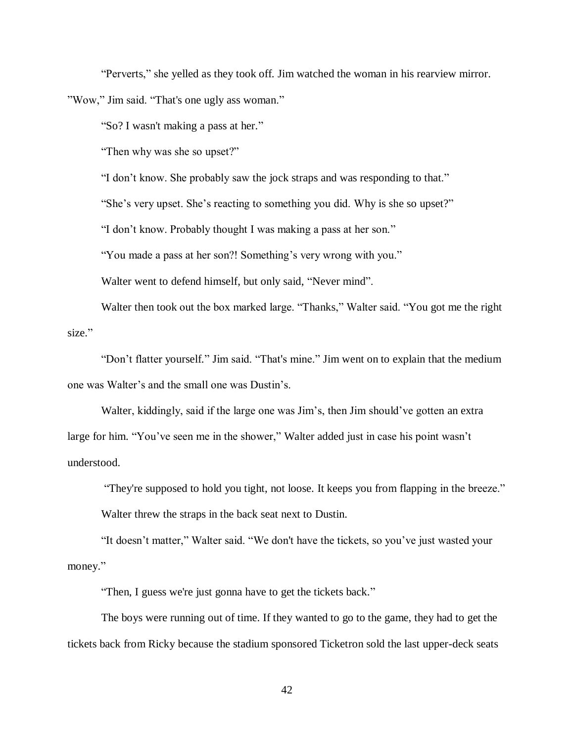"Perverts," she yelled as they took off. Jim watched the woman in his rearview mirror.

"Wow," Jim said. "That's one ugly ass woman."

"So? I wasn't making a pass at her."

"Then why was she so upset?"

"I don't know. She probably saw the jock straps and was responding to that."

"She's very upset. She's reacting to something you did. Why is she so upset?"

"I don't know. Probably thought I was making a pass at her son."

"You made a pass at her son?! Something's very wrong with you."

Walter went to defend himself, but only said, "Never mind".

Walter then took out the box marked large. "Thanks," Walter said. "You got me the right size."

"Don't flatter yourself." Jim said. "That's mine." Jim went on to explain that the medium one was Walter's and the small one was Dustin's.

Walter, kiddingly, said if the large one was Jim's, then Jim should've gotten an extra large for him. "You've seen me in the shower," Walter added just in case his point wasn't understood.

"They're supposed to hold you tight, not loose. It keeps you from flapping in the breeze."

Walter threw the straps in the back seat next to Dustin.

"It doesn't matter," Walter said. "We don't have the tickets, so you've just wasted your money."

"Then, I guess we're just gonna have to get the tickets back."

The boys were running out of time. If they wanted to go to the game, they had to get the tickets back from Ricky because the stadium sponsored Ticketron sold the last upper-deck seats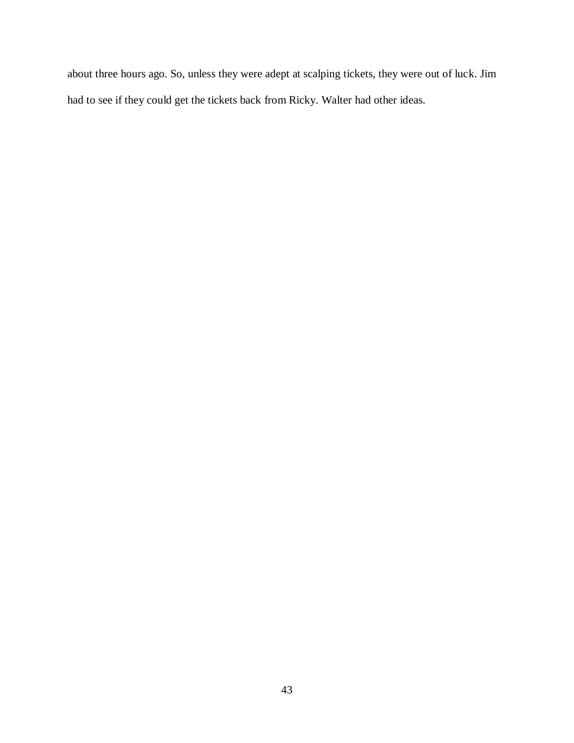about three hours ago. So, unless they were adept at scalping tickets, they were out of luck. Jim had to see if they could get the tickets back from Ricky. Walter had other ideas.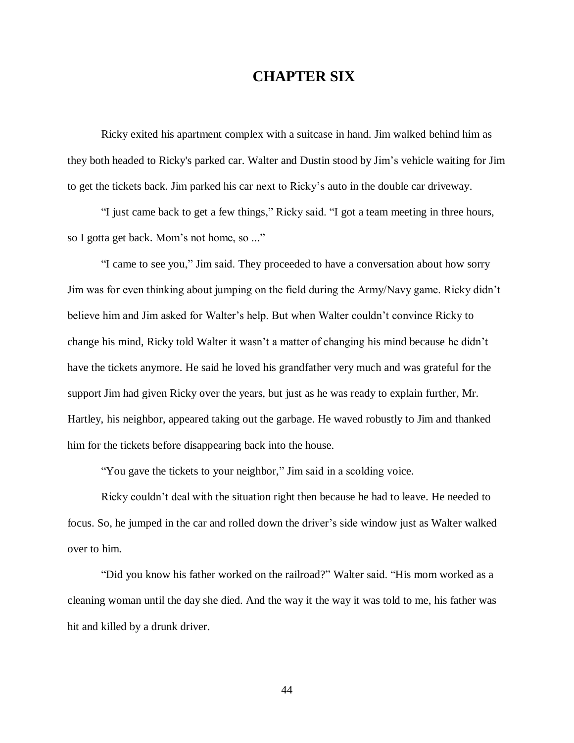## **CHAPTER SIX**

Ricky exited his apartment complex with a suitcase in hand. Jim walked behind him as they both headed to Ricky's parked car. Walter and Dustin stood by Jim's vehicle waiting for Jim to get the tickets back. Jim parked his car next to Ricky's auto in the double car driveway.

"I just came back to get a few things," Ricky said. "I got a team meeting in three hours, so I gotta get back. Mom's not home, so ..."

"I came to see you," Jim said. They proceeded to have a conversation about how sorry Jim was for even thinking about jumping on the field during the Army/Navy game. Ricky didn't believe him and Jim asked for Walter's help. But when Walter couldn't convince Ricky to change his mind, Ricky told Walter it wasn't a matter of changing his mind because he didn't have the tickets anymore. He said he loved his grandfather very much and was grateful for the support Jim had given Ricky over the years, but just as he was ready to explain further, Mr. Hartley, his neighbor, appeared taking out the garbage. He waved robustly to Jim and thanked him for the tickets before disappearing back into the house.

"You gave the tickets to your neighbor," Jim said in a scolding voice.

Ricky couldn't deal with the situation right then because he had to leave. He needed to focus. So, he jumped in the car and rolled down the driver's side window just as Walter walked over to him.

"Did you know his father worked on the railroad?" Walter said. "His mom worked as a cleaning woman until the day she died. And the way it the way it was told to me, his father was hit and killed by a drunk driver.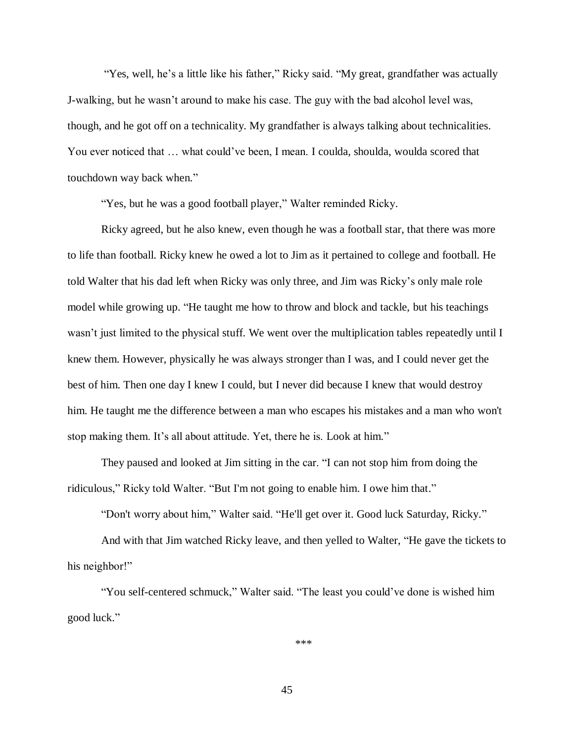"Yes, well, he's a little like his father," Ricky said. "My great, grandfather was actually J-walking, but he wasn't around to make his case. The guy with the bad alcohol level was, though, and he got off on a technicality. My grandfather is always talking about technicalities. You ever noticed that ... what could've been, I mean. I coulda, shoulda, woulda scored that touchdown way back when."

"Yes, but he was a good football player," Walter reminded Ricky.

Ricky agreed, but he also knew, even though he was a football star, that there was more to life than football. Ricky knew he owed a lot to Jim as it pertained to college and football. He told Walter that his dad left when Ricky was only three, and Jim was Ricky's only male role model while growing up. "He taught me how to throw and block and tackle, but his teachings wasn't just limited to the physical stuff. We went over the multiplication tables repeatedly until I knew them. However, physically he was always stronger than I was, and I could never get the best of him. Then one day I knew I could, but I never did because I knew that would destroy him. He taught me the difference between a man who escapes his mistakes and a man who won't stop making them. It's all about attitude. Yet, there he is. Look at him."

They paused and looked at Jim sitting in the car. "I can not stop him from doing the ridiculous," Ricky told Walter. "But I'm not going to enable him. I owe him that."

"Don't worry about him," Walter said. "He'll get over it. Good luck Saturday, Ricky."

And with that Jim watched Ricky leave, and then yelled to Walter, "He gave the tickets to his neighbor!"

"You self-centered schmuck," Walter said. "The least you could've done is wished him good luck."

\*\*\*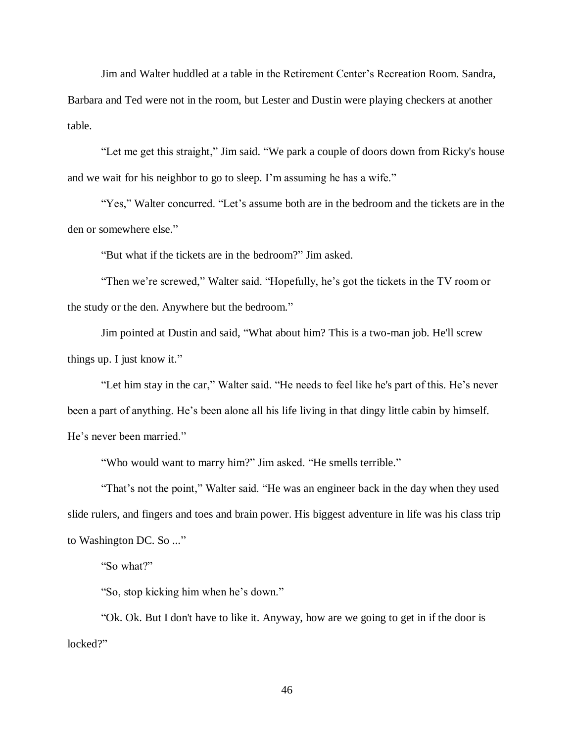Jim and Walter huddled at a table in the Retirement Center's Recreation Room. Sandra, Barbara and Ted were not in the room, but Lester and Dustin were playing checkers at another table.

"Let me get this straight," Jim said. "We park a couple of doors down from Ricky's house and we wait for his neighbor to go to sleep. I'm assuming he has a wife."

"Yes," Walter concurred. "Let's assume both are in the bedroom and the tickets are in the den or somewhere else."

"But what if the tickets are in the bedroom?" Jim asked.

"Then we're screwed," Walter said. "Hopefully, he's got the tickets in the TV room or the study or the den. Anywhere but the bedroom."

Jim pointed at Dustin and said, "What about him? This is a two-man job. He'll screw things up. I just know it."

"Let him stay in the car," Walter said. "He needs to feel like he's part of this. He's never been a part of anything. He's been alone all his life living in that dingy little cabin by himself. He's never been married."

"Who would want to marry him?" Jim asked. "He smells terrible."

"That's not the point," Walter said. "He was an engineer back in the day when they used slide rulers, and fingers and toes and brain power. His biggest adventure in life was his class trip to Washington DC. So ..."

"So what?"

"So, stop kicking him when he's down."

"Ok. Ok. But I don't have to like it. Anyway, how are we going to get in if the door is locked?"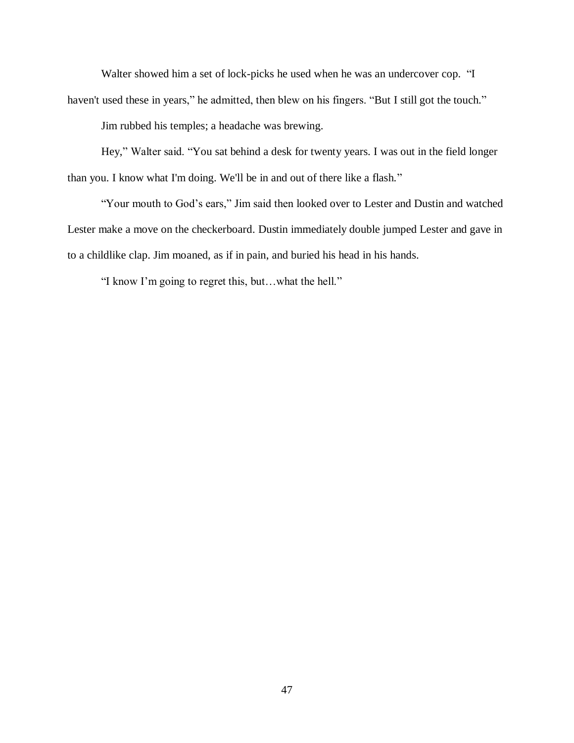Walter showed him a set of lock-picks he used when he was an undercover cop. "I haven't used these in years," he admitted, then blew on his fingers. "But I still got the touch."

Jim rubbed his temples; a headache was brewing.

Hey," Walter said. "You sat behind a desk for twenty years. I was out in the field longer than you. I know what I'm doing. We'll be in and out of there like a flash."

"Your mouth to God's ears," Jim said then looked over to Lester and Dustin and watched Lester make a move on the checkerboard. Dustin immediately double jumped Lester and gave in to a childlike clap. Jim moaned, as if in pain, and buried his head in his hands.

"I know I'm going to regret this, but…what the hell."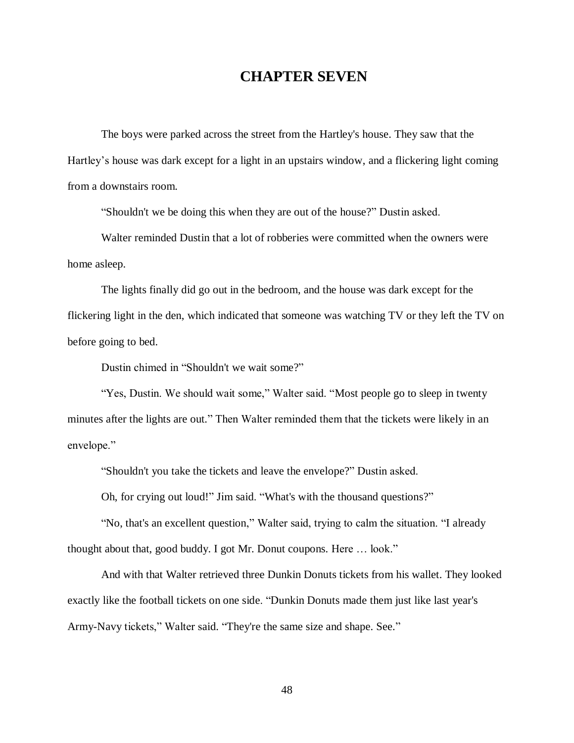## **CHAPTER SEVEN**

The boys were parked across the street from the Hartley's house. They saw that the Hartley's house was dark except for a light in an upstairs window, and a flickering light coming from a downstairs room.

"Shouldn't we be doing this when they are out of the house?" Dustin asked.

Walter reminded Dustin that a lot of robberies were committed when the owners were home asleep.

The lights finally did go out in the bedroom, and the house was dark except for the flickering light in the den, which indicated that someone was watching TV or they left the TV on before going to bed.

Dustin chimed in "Shouldn't we wait some?"

"Yes, Dustin. We should wait some," Walter said. "Most people go to sleep in twenty minutes after the lights are out." Then Walter reminded them that the tickets were likely in an envelope."

"Shouldn't you take the tickets and leave the envelope?" Dustin asked.

Oh, for crying out loud!" Jim said. "What's with the thousand questions?"

"No, that's an excellent question," Walter said, trying to calm the situation. "I already thought about that, good buddy. I got Mr. Donut coupons. Here … look."

And with that Walter retrieved three Dunkin Donuts tickets from his wallet. They looked exactly like the football tickets on one side. "Dunkin Donuts made them just like last year's Army-Navy tickets," Walter said. "They're the same size and shape. See."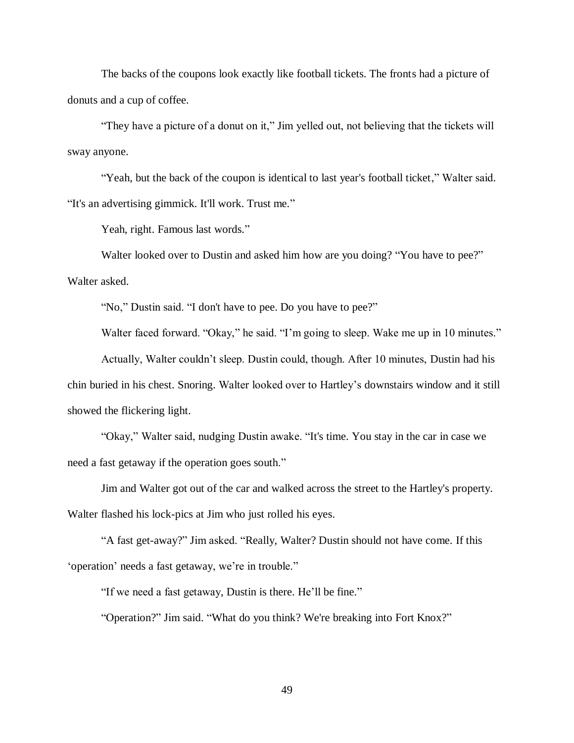The backs of the coupons look exactly like football tickets. The fronts had a picture of donuts and a cup of coffee.

"They have a picture of a donut on it," Jim yelled out, not believing that the tickets will sway anyone.

"Yeah, but the back of the coupon is identical to last year's football ticket," Walter said. "It's an advertising gimmick. It'll work. Trust me."

Yeah, right. Famous last words."

Walter looked over to Dustin and asked him how are you doing? "You have to pee?" Walter asked.

"No," Dustin said. "I don't have to pee. Do you have to pee?"

Walter faced forward. "Okay," he said. "I'm going to sleep. Wake me up in 10 minutes."

Actually, Walter couldn't sleep. Dustin could, though. After 10 minutes, Dustin had his chin buried in his chest. Snoring. Walter looked over to Hartley's downstairs window and it still showed the flickering light.

"Okay," Walter said, nudging Dustin awake. "It's time. You stay in the car in case we need a fast getaway if the operation goes south."

Jim and Walter got out of the car and walked across the street to the Hartley's property. Walter flashed his lock-pics at Jim who just rolled his eyes.

"A fast get-away?" Jim asked. "Really, Walter? Dustin should not have come. If this 'operation' needs a fast getaway, we're in trouble."

"If we need a fast getaway, Dustin is there. He'll be fine."

"Operation?" Jim said. "What do you think? We're breaking into Fort Knox?"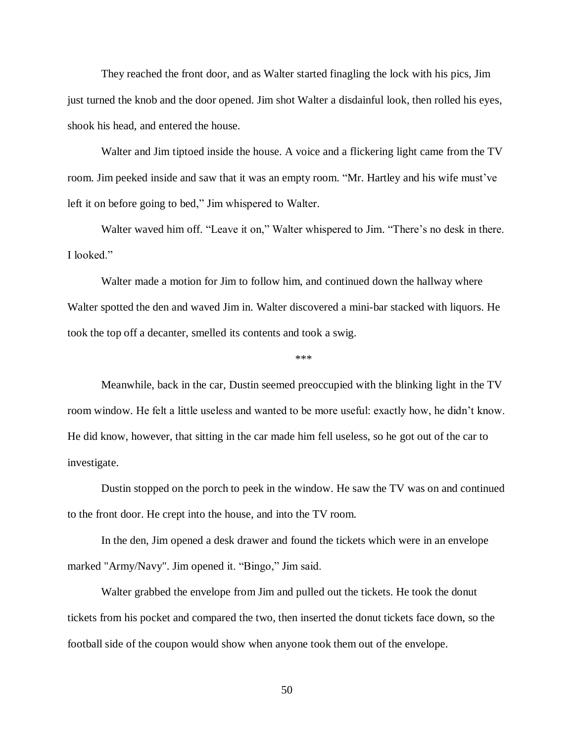They reached the front door, and as Walter started finagling the lock with his pics, Jim just turned the knob and the door opened. Jim shot Walter a disdainful look, then rolled his eyes, shook his head, and entered the house.

Walter and Jim tiptoed inside the house. A voice and a flickering light came from the TV room. Jim peeked inside and saw that it was an empty room. "Mr. Hartley and his wife must've left it on before going to bed," Jim whispered to Walter.

Walter waved him off. "Leave it on," Walter whispered to Jim. "There's no desk in there. I looked."

Walter made a motion for Jim to follow him, and continued down the hallway where Walter spotted the den and waved Jim in. Walter discovered a mini-bar stacked with liquors. He took the top off a decanter, smelled its contents and took a swig.

\*\*\*

Meanwhile, back in the car, Dustin seemed preoccupied with the blinking light in the TV room window. He felt a little useless and wanted to be more useful: exactly how, he didn't know. He did know, however, that sitting in the car made him fell useless, so he got out of the car to investigate.

Dustin stopped on the porch to peek in the window. He saw the TV was on and continued to the front door. He crept into the house, and into the TV room.

In the den, Jim opened a desk drawer and found the tickets which were in an envelope marked "Army/Navy". Jim opened it. "Bingo," Jim said.

Walter grabbed the envelope from Jim and pulled out the tickets. He took the donut tickets from his pocket and compared the two, then inserted the donut tickets face down, so the football side of the coupon would show when anyone took them out of the envelope.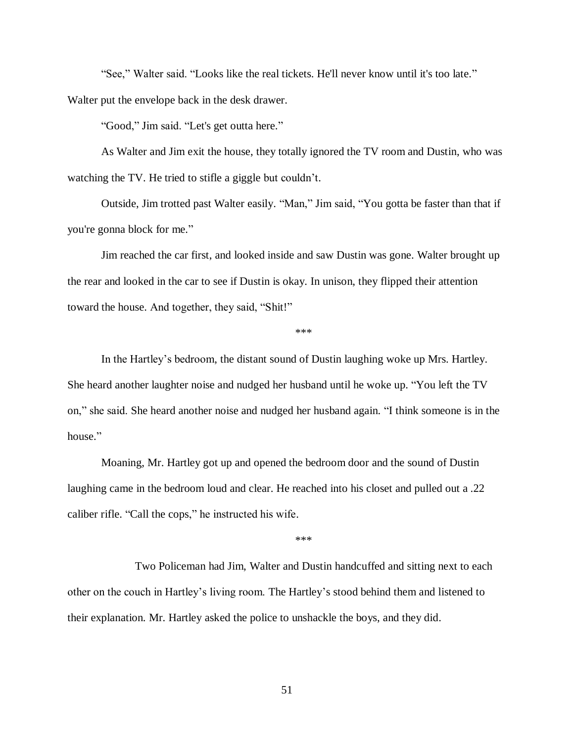"See," Walter said. "Looks like the real tickets. He'll never know until it's too late."

Walter put the envelope back in the desk drawer.

"Good," Jim said. "Let's get outta here."

As Walter and Jim exit the house, they totally ignored the TV room and Dustin, who was watching the TV. He tried to stifle a giggle but couldn't.

Outside, Jim trotted past Walter easily. "Man," Jim said, "You gotta be faster than that if you're gonna block for me."

Jim reached the car first, and looked inside and saw Dustin was gone. Walter brought up the rear and looked in the car to see if Dustin is okay. In unison, they flipped their attention toward the house. And together, they said, "Shit!"

\*\*\*

In the Hartley's bedroom, the distant sound of Dustin laughing woke up Mrs. Hartley. She heard another laughter noise and nudged her husband until he woke up. "You left the TV on," she said. She heard another noise and nudged her husband again. "I think someone is in the house."

Moaning, Mr. Hartley got up and opened the bedroom door and the sound of Dustin laughing came in the bedroom loud and clear. He reached into his closet and pulled out a .22 caliber rifle. "Call the cops," he instructed his wife.

\*\*\*

Two Policeman had Jim, Walter and Dustin handcuffed and sitting next to each other on the couch in Hartley's living room. The Hartley's stood behind them and listened to their explanation. Mr. Hartley asked the police to unshackle the boys, and they did.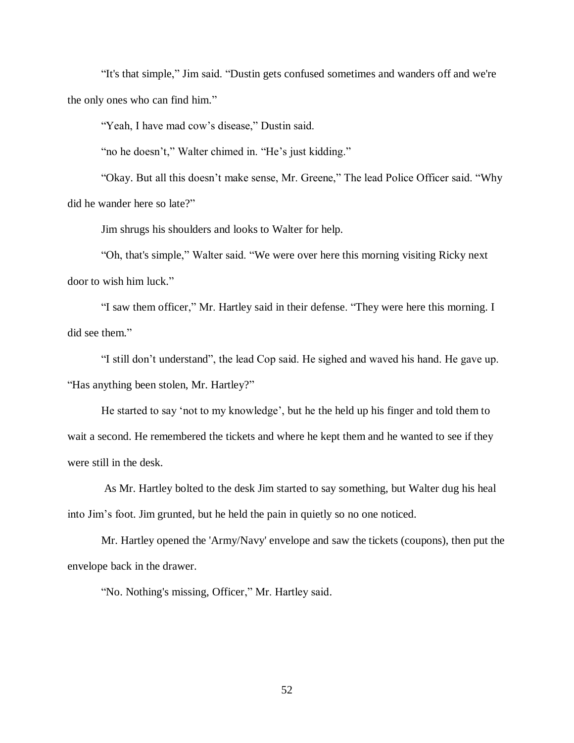"It's that simple," Jim said. "Dustin gets confused sometimes and wanders off and we're the only ones who can find him."

"Yeah, I have mad cow's disease," Dustin said.

"no he doesn't," Walter chimed in. "He's just kidding."

"Okay. But all this doesn't make sense, Mr. Greene," The lead Police Officer said. "Why did he wander here so late?"

Jim shrugs his shoulders and looks to Walter for help.

"Oh, that's simple," Walter said. "We were over here this morning visiting Ricky next door to wish him luck."

"I saw them officer," Mr. Hartley said in their defense. "They were here this morning. I did see them."

"I still don't understand", the lead Cop said. He sighed and waved his hand. He gave up. "Has anything been stolen, Mr. Hartley?"

He started to say 'not to my knowledge', but he the held up his finger and told them to wait a second. He remembered the tickets and where he kept them and he wanted to see if they were still in the desk.

As Mr. Hartley bolted to the desk Jim started to say something, but Walter dug his heal into Jim's foot. Jim grunted, but he held the pain in quietly so no one noticed.

Mr. Hartley opened the 'Army/Navy' envelope and saw the tickets (coupons), then put the envelope back in the drawer.

"No. Nothing's missing, Officer," Mr. Hartley said.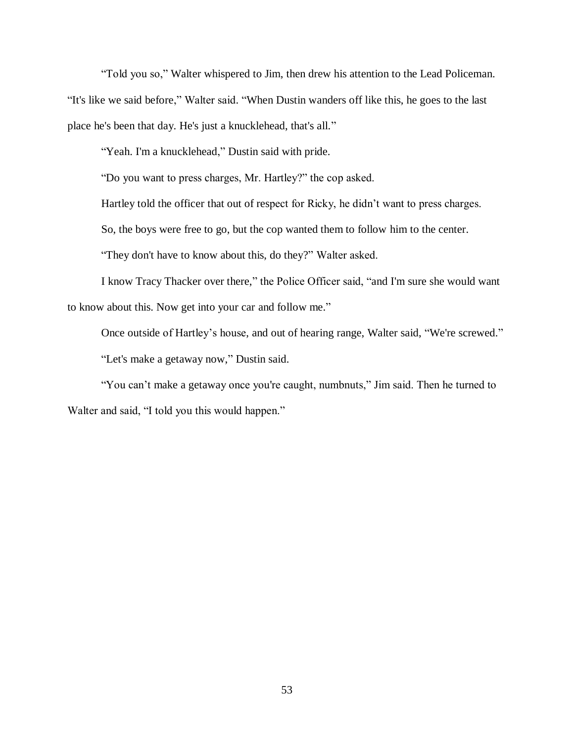"Told you so," Walter whispered to Jim, then drew his attention to the Lead Policeman. "It's like we said before," Walter said. "When Dustin wanders off like this, he goes to the last place he's been that day. He's just a knucklehead, that's all."

"Yeah. I'm a knucklehead," Dustin said with pride.

"Do you want to press charges, Mr. Hartley?" the cop asked.

Hartley told the officer that out of respect for Ricky, he didn't want to press charges.

So, the boys were free to go, but the cop wanted them to follow him to the center.

"They don't have to know about this, do they?" Walter asked.

I know Tracy Thacker over there," the Police Officer said, "and I'm sure she would want to know about this. Now get into your car and follow me."

Once outside of Hartley's house, and out of hearing range, Walter said, "We're screwed."

"Let's make a getaway now," Dustin said.

"You can't make a getaway once you're caught, numbnuts," Jim said. Then he turned to Walter and said, "I told you this would happen."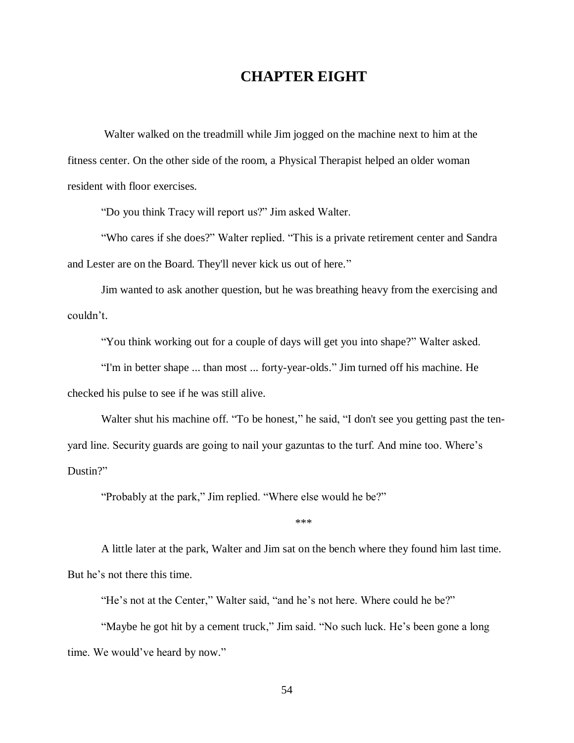## **CHAPTER EIGHT**

Walter walked on the treadmill while Jim jogged on the machine next to him at the fitness center. On the other side of the room, a Physical Therapist helped an older woman resident with floor exercises.

"Do you think Tracy will report us?" Jim asked Walter.

"Who cares if she does?" Walter replied. "This is a private retirement center and Sandra and Lester are on the Board. They'll never kick us out of here."

Jim wanted to ask another question, but he was breathing heavy from the exercising and couldn't.

"You think working out for a couple of days will get you into shape?" Walter asked.

"I'm in better shape ... than most ... forty-year-olds." Jim turned off his machine. He checked his pulse to see if he was still alive.

Walter shut his machine off. "To be honest," he said, "I don't see you getting past the tenyard line. Security guards are going to nail your gazuntas to the turf. And mine too. Where's Dustin?"

"Probably at the park," Jim replied. "Where else would he be?"

\*\*\*

A little later at the park, Walter and Jim sat on the bench where they found him last time. But he's not there this time.

"He's not at the Center," Walter said, "and he's not here. Where could he be?"

"Maybe he got hit by a cement truck," Jim said. "No such luck. He's been gone a long time. We would've heard by now."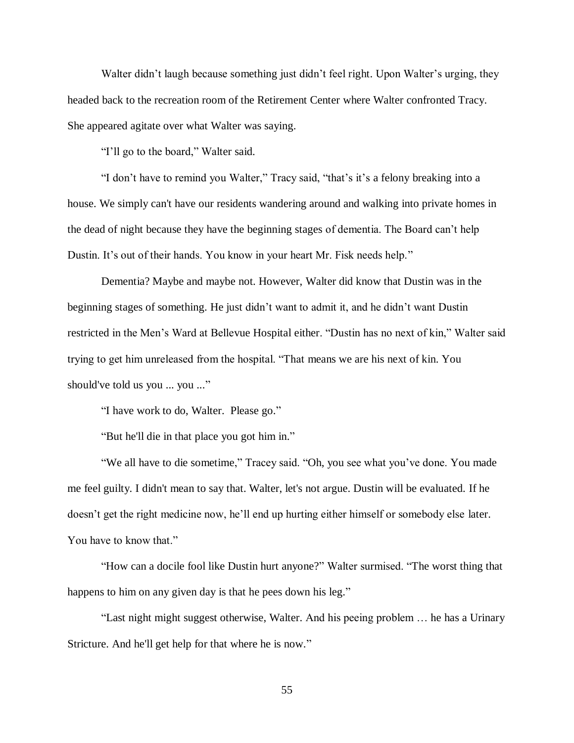Walter didn't laugh because something just didn't feel right. Upon Walter's urging, they headed back to the recreation room of the Retirement Center where Walter confronted Tracy. She appeared agitate over what Walter was saying.

"I'll go to the board," Walter said.

"I don't have to remind you Walter," Tracy said, "that's it's a felony breaking into a house. We simply can't have our residents wandering around and walking into private homes in the dead of night because they have the beginning stages of dementia. The Board can't help Dustin. It's out of their hands. You know in your heart Mr. Fisk needs help."

Dementia? Maybe and maybe not. However, Walter did know that Dustin was in the beginning stages of something. He just didn't want to admit it, and he didn't want Dustin restricted in the Men's Ward at Bellevue Hospital either. "Dustin has no next of kin," Walter said trying to get him unreleased from the hospital. "That means we are his next of kin. You should've told us you ... you ..."

"I have work to do, Walter. Please go."

"But he'll die in that place you got him in."

"We all have to die sometime," Tracey said. "Oh, you see what you've done. You made me feel guilty. I didn't mean to say that. Walter, let's not argue. Dustin will be evaluated. If he doesn't get the right medicine now, he'll end up hurting either himself or somebody else later. You have to know that."

"How can a docile fool like Dustin hurt anyone?" Walter surmised. "The worst thing that happens to him on any given day is that he pees down his leg."

"Last night might suggest otherwise, Walter. And his peeing problem … he has a Urinary Stricture. And he'll get help for that where he is now."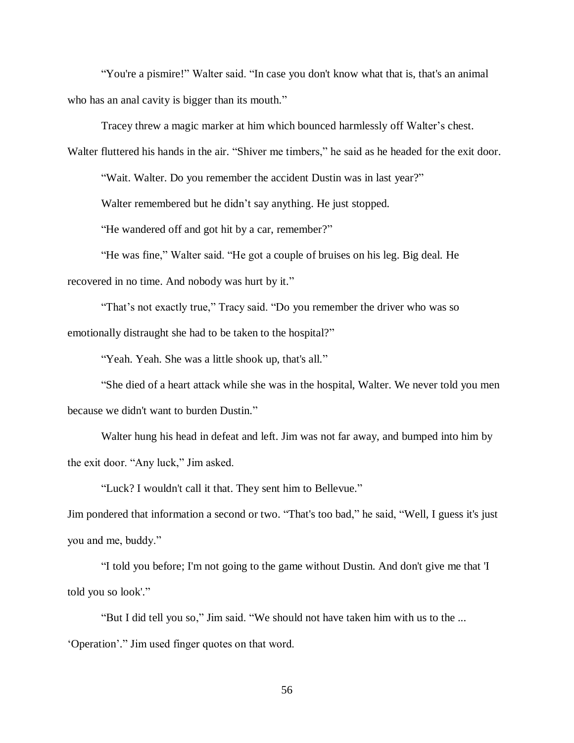"You're a pismire!" Walter said. "In case you don't know what that is, that's an animal who has an anal cavity is bigger than its mouth."

Tracey threw a magic marker at him which bounced harmlessly off Walter's chest.

Walter fluttered his hands in the air. "Shiver me timbers," he said as he headed for the exit door.

"Wait. Walter. Do you remember the accident Dustin was in last year?"

Walter remembered but he didn't say anything. He just stopped.

"He wandered off and got hit by a car, remember?"

"He was fine," Walter said. "He got a couple of bruises on his leg. Big deal. He recovered in no time. And nobody was hurt by it."

"That's not exactly true," Tracy said. "Do you remember the driver who was so emotionally distraught she had to be taken to the hospital?"

"Yeah. Yeah. She was a little shook up, that's all."

"She died of a heart attack while she was in the hospital, Walter. We never told you men because we didn't want to burden Dustin."

Walter hung his head in defeat and left. Jim was not far away, and bumped into him by the exit door. "Any luck," Jim asked.

"Luck? I wouldn't call it that. They sent him to Bellevue."

Jim pondered that information a second or two. "That's too bad," he said, "Well, I guess it's just you and me, buddy."

"I told you before; I'm not going to the game without Dustin. And don't give me that 'I told you so look'."

"But I did tell you so," Jim said. "We should not have taken him with us to the ... 'Operation'." Jim used finger quotes on that word.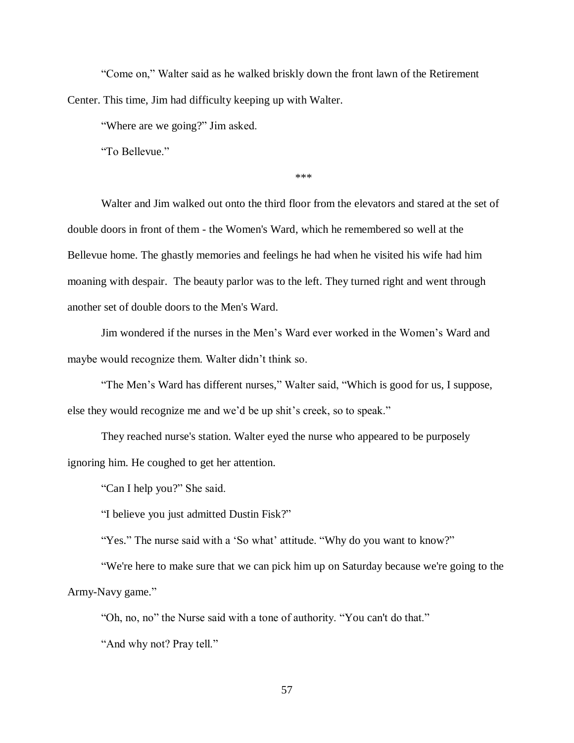"Come on," Walter said as he walked briskly down the front lawn of the Retirement Center. This time, Jim had difficulty keeping up with Walter.

"Where are we going?" Jim asked.

"To Bellevue."

\*\*\*

Walter and Jim walked out onto the third floor from the elevators and stared at the set of double doors in front of them - the Women's Ward, which he remembered so well at the Bellevue home. The ghastly memories and feelings he had when he visited his wife had him moaning with despair. The beauty parlor was to the left. They turned right and went through another set of double doors to the Men's Ward.

Jim wondered if the nurses in the Men's Ward ever worked in the Women's Ward and maybe would recognize them. Walter didn't think so.

"The Men's Ward has different nurses," Walter said, "Which is good for us, I suppose, else they would recognize me and we'd be up shit's creek, so to speak."

They reached nurse's station. Walter eyed the nurse who appeared to be purposely ignoring him. He coughed to get her attention.

"Can I help you?" She said.

"I believe you just admitted Dustin Fisk?"

"Yes." The nurse said with a 'So what' attitude. "Why do you want to know?"

"We're here to make sure that we can pick him up on Saturday because we're going to the Army-Navy game."

"Oh, no, no" the Nurse said with a tone of authority. "You can't do that."

"And why not? Pray tell."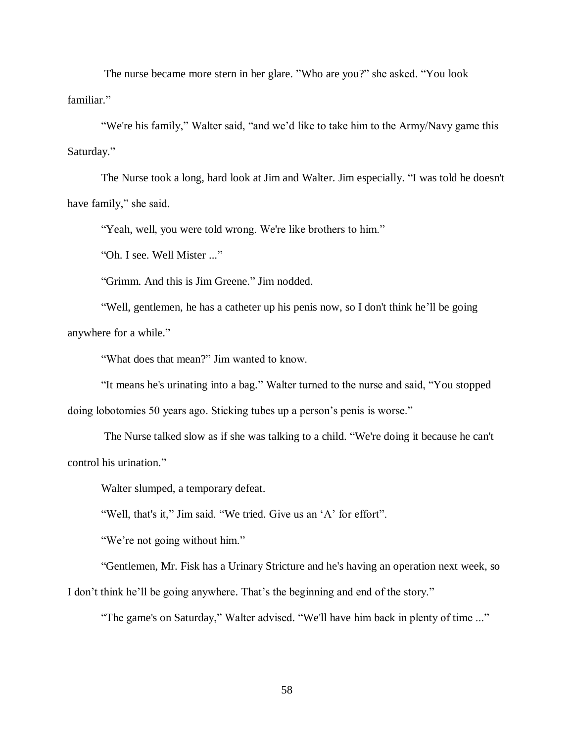The nurse became more stern in her glare. "Who are you?" she asked. "You look familiar."

"We're his family," Walter said, "and we'd like to take him to the Army/Navy game this Saturday."

The Nurse took a long, hard look at Jim and Walter. Jim especially. "I was told he doesn't have family," she said.

"Yeah, well, you were told wrong. We're like brothers to him."

"Oh. I see. Well Mister ..."

"Grimm. And this is Jim Greene." Jim nodded.

"Well, gentlemen, he has a catheter up his penis now, so I don't think he'll be going anywhere for a while."

"What does that mean?" Jim wanted to know.

"It means he's urinating into a bag." Walter turned to the nurse and said, "You stopped doing lobotomies 50 years ago. Sticking tubes up a person's penis is worse."

The Nurse talked slow as if she was talking to a child. "We're doing it because he can't control his urination."

Walter slumped, a temporary defeat.

"Well, that's it," Jim said. "We tried. Give us an 'A' for effort".

"We're not going without him."

"Gentlemen, Mr. Fisk has a Urinary Stricture and he's having an operation next week, so

I don't think he'll be going anywhere. That's the beginning and end of the story."

"The game's on Saturday," Walter advised. "We'll have him back in plenty of time ..."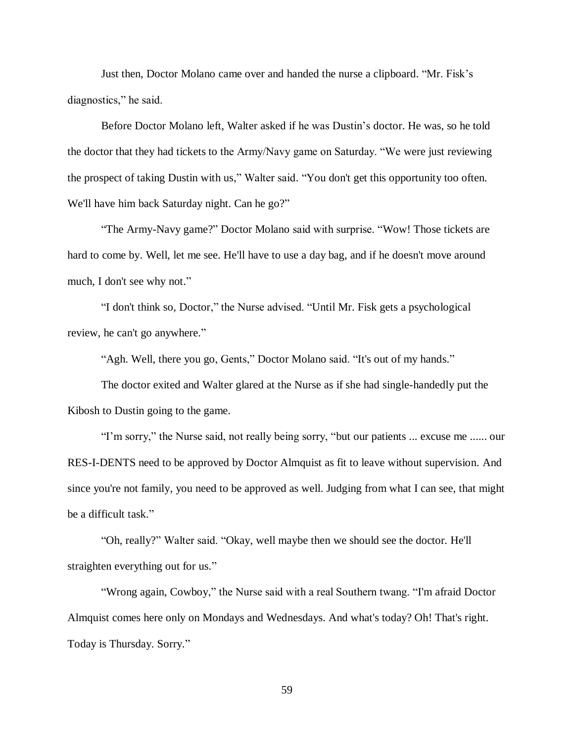Just then, Doctor Molano came over and handed the nurse a clipboard. "Mr. Fisk's diagnostics," he said.

Before Doctor Molano left, Walter asked if he was Dustin's doctor. He was, so he told the doctor that they had tickets to the Army/Navy game on Saturday. "We were just reviewing the prospect of taking Dustin with us," Walter said. "You don't get this opportunity too often. We'll have him back Saturday night. Can he go?"

"The Army-Navy game?" Doctor Molano said with surprise. "Wow! Those tickets are hard to come by. Well, let me see. He'll have to use a day bag, and if he doesn't move around much, I don't see why not."

"I don't think so, Doctor," the Nurse advised. "Until Mr. Fisk gets a psychological review, he can't go anywhere."

"Agh. Well, there you go, Gents," Doctor Molano said. "It's out of my hands."

The doctor exited and Walter glared at the Nurse as if she had single-handedly put the Kibosh to Dustin going to the game.

"I'm sorry," the Nurse said, not really being sorry, "but our patients ... excuse me ...... our RES-I-DENTS need to be approved by Doctor Almquist as fit to leave without supervision. And since you're not family, you need to be approved as well. Judging from what I can see, that might be a difficult task."

"Oh, really?" Walter said. "Okay, well maybe then we should see the doctor. He'll straighten everything out for us."

"Wrong again, Cowboy," the Nurse said with a real Southern twang. "I'm afraid Doctor Almquist comes here only on Mondays and Wednesdays. And what's today? Oh! That's right. Today is Thursday. Sorry."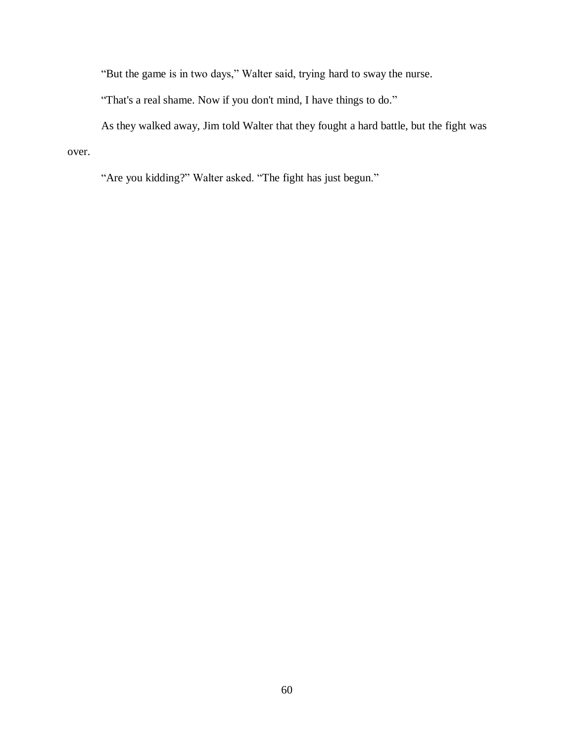"But the game is in two days," Walter said, trying hard to sway the nurse.

"That's a real shame. Now if you don't mind, I have things to do."

As they walked away, Jim told Walter that they fought a hard battle, but the fight was over.

"Are you kidding?" Walter asked. "The fight has just begun."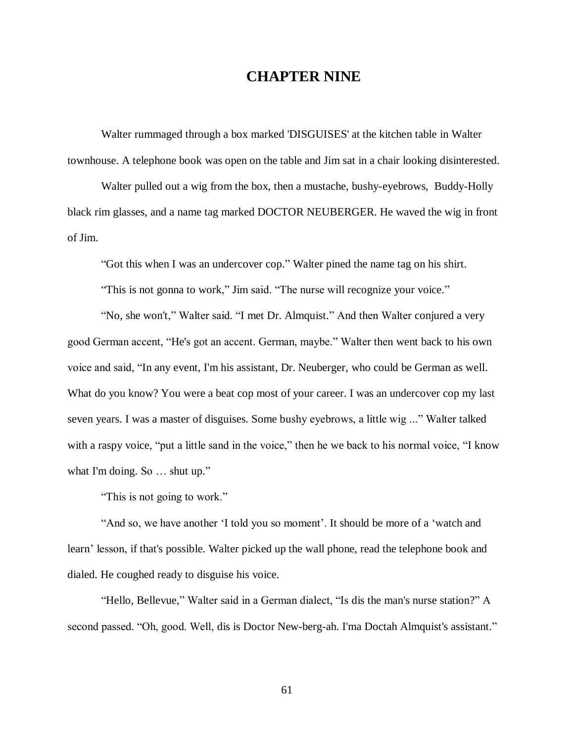## **CHAPTER NINE**

Walter rummaged through a box marked 'DISGUISES' at the kitchen table in Walter townhouse. A telephone book was open on the table and Jim sat in a chair looking disinterested.

Walter pulled out a wig from the box, then a mustache, bushy-eyebrows, Buddy-Holly black rim glasses, and a name tag marked DOCTOR NEUBERGER. He waved the wig in front of Jim.

"Got this when I was an undercover cop." Walter pined the name tag on his shirt.

"This is not gonna to work," Jim said. "The nurse will recognize your voice."

"No, she won't," Walter said. "I met Dr. Almquist." And then Walter conjured a very good German accent, "He's got an accent. German, maybe." Walter then went back to his own voice and said, "In any event, I'm his assistant, Dr. Neuberger, who could be German as well. What do you know? You were a beat cop most of your career. I was an undercover cop my last seven years. I was a master of disguises. Some bushy eyebrows, a little wig ..." Walter talked with a raspy voice, "put a little sand in the voice," then he we back to his normal voice, "I know what I'm doing. So ... shut up."

"This is not going to work."

"And so, we have another 'I told you so moment'. It should be more of a 'watch and learn' lesson, if that's possible. Walter picked up the wall phone, read the telephone book and dialed. He coughed ready to disguise his voice.

"Hello, Bellevue," Walter said in a German dialect, "Is dis the man's nurse station?" A second passed. "Oh, good. Well, dis is Doctor New-berg-ah. I'ma Doctah Almquist's assistant."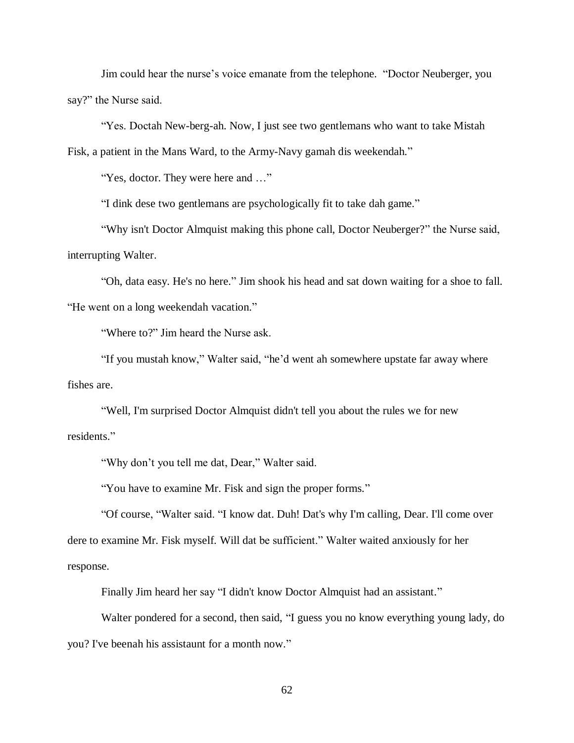Jim could hear the nurse's voice emanate from the telephone. "Doctor Neuberger, you say?" the Nurse said.

"Yes. Doctah New-berg-ah. Now, I just see two gentlemans who want to take Mistah Fisk, a patient in the Mans Ward, to the Army-Navy gamah dis weekendah."

"Yes, doctor. They were here and …"

"I dink dese two gentlemans are psychologically fit to take dah game."

"Why isn't Doctor Almquist making this phone call, Doctor Neuberger?" the Nurse said, interrupting Walter.

"Oh, data easy. He's no here." Jim shook his head and sat down waiting for a shoe to fall. "He went on a long weekendah vacation."

"Where to?" Jim heard the Nurse ask.

"If you mustah know," Walter said, "he'd went ah somewhere upstate far away where fishes are.

"Well, I'm surprised Doctor Almquist didn't tell you about the rules we for new residents."

"Why don't you tell me dat, Dear," Walter said.

"You have to examine Mr. Fisk and sign the proper forms."

"Of course, "Walter said. "I know dat. Duh! Dat's why I'm calling, Dear. I'll come over dere to examine Mr. Fisk myself. Will dat be sufficient." Walter waited anxiously for her response.

Finally Jim heard her say "I didn't know Doctor Almquist had an assistant."

Walter pondered for a second, then said, "I guess you no know everything young lady, do you? I've beenah his assistaunt for a month now."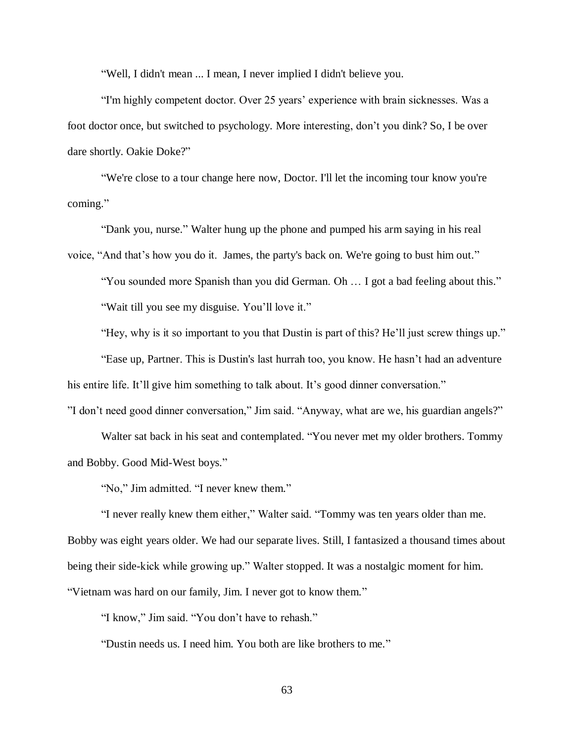"Well, I didn't mean ... I mean, I never implied I didn't believe you.

"I'm highly competent doctor. Over 25 years' experience with brain sicknesses. Was a foot doctor once, but switched to psychology. More interesting, don't you dink? So, I be over dare shortly. Oakie Doke?"

"We're close to a tour change here now, Doctor. I'll let the incoming tour know you're coming."

"Dank you, nurse." Walter hung up the phone and pumped his arm saying in his real

voice, "And that's how you do it. James, the party's back on. We're going to bust him out."

"You sounded more Spanish than you did German. Oh … I got a bad feeling about this."

"Wait till you see my disguise. You'll love it."

"Hey, why is it so important to you that Dustin is part of this? He'll just screw things up."

"Ease up, Partner. This is Dustin's last hurrah too, you know. He hasn't had an adventure his entire life. It'll give him something to talk about. It's good dinner conversation."

"I don't need good dinner conversation," Jim said. "Anyway, what are we, his guardian angels?"

Walter sat back in his seat and contemplated. "You never met my older brothers. Tommy and Bobby. Good Mid-West boys."

"No," Jim admitted. "I never knew them."

"I never really knew them either," Walter said. "Tommy was ten years older than me. Bobby was eight years older. We had our separate lives. Still, I fantasized a thousand times about being their side-kick while growing up." Walter stopped. It was a nostalgic moment for him. "Vietnam was hard on our family, Jim. I never got to know them."

"I know," Jim said. "You don't have to rehash."

"Dustin needs us. I need him. You both are like brothers to me."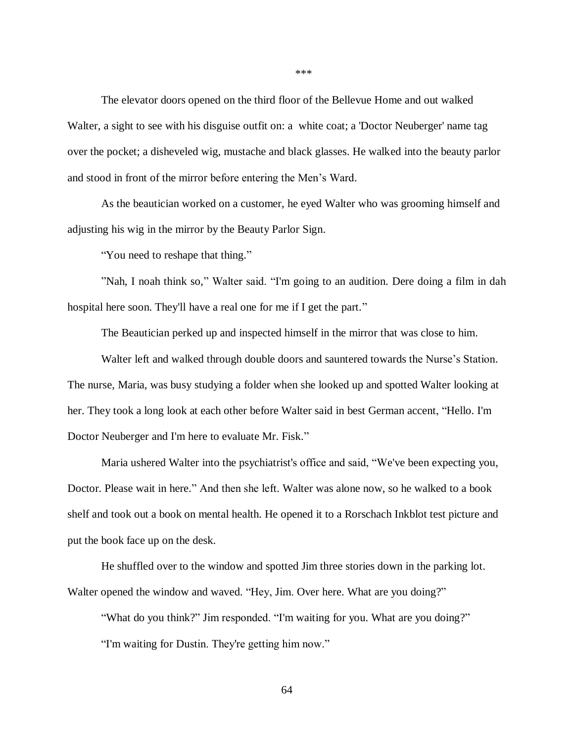The elevator doors opened on the third floor of the Bellevue Home and out walked Walter, a sight to see with his disguise outfit on: a white coat; a 'Doctor Neuberger' name tag over the pocket; a disheveled wig, mustache and black glasses. He walked into the beauty parlor and stood in front of the mirror before entering the Men's Ward.

As the beautician worked on a customer, he eyed Walter who was grooming himself and adjusting his wig in the mirror by the Beauty Parlor Sign.

"You need to reshape that thing."

"Nah, I noah think so," Walter said. "I'm going to an audition. Dere doing a film in dah hospital here soon. They'll have a real one for me if I get the part."

The Beautician perked up and inspected himself in the mirror that was close to him.

Walter left and walked through double doors and sauntered towards the Nurse's Station. The nurse, Maria, was busy studying a folder when she looked up and spotted Walter looking at her. They took a long look at each other before Walter said in best German accent, "Hello. I'm Doctor Neuberger and I'm here to evaluate Mr. Fisk."

Maria ushered Walter into the psychiatrist's office and said, "We've been expecting you, Doctor. Please wait in here." And then she left. Walter was alone now, so he walked to a book shelf and took out a book on mental health. He opened it to a Rorschach Inkblot test picture and put the book face up on the desk.

He shuffled over to the window and spotted Jim three stories down in the parking lot. Walter opened the window and waved. "Hey, Jim. Over here. What are you doing?"

"What do you think?" Jim responded. "I'm waiting for you. What are you doing?" "I'm waiting for Dustin. They're getting him now."

\*\*\*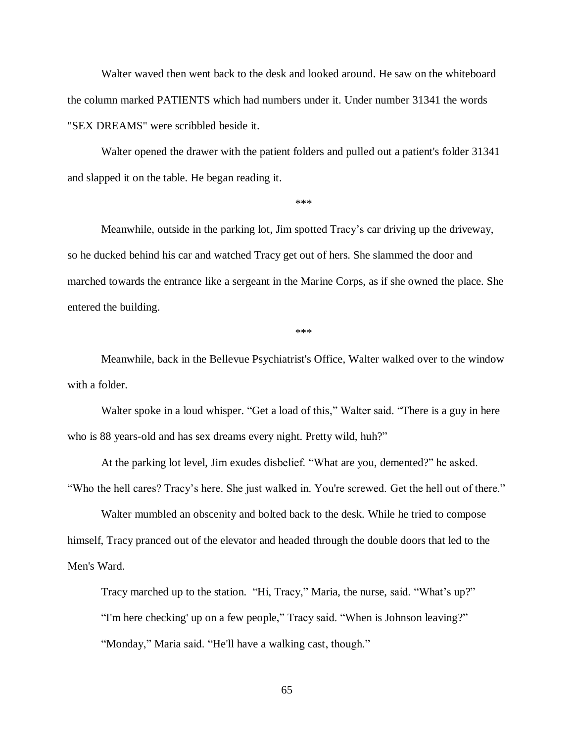Walter waved then went back to the desk and looked around. He saw on the whiteboard the column marked PATIENTS which had numbers under it. Under number 31341 the words "SEX DREAMS" were scribbled beside it.

Walter opened the drawer with the patient folders and pulled out a patient's folder 31341 and slapped it on the table. He began reading it.

\*\*\*

Meanwhile, outside in the parking lot, Jim spotted Tracy's car driving up the driveway, so he ducked behind his car and watched Tracy get out of hers. She slammed the door and marched towards the entrance like a sergeant in the Marine Corps, as if she owned the place. She entered the building.

\*\*\*

Meanwhile, back in the Bellevue Psychiatrist's Office, Walter walked over to the window with a folder.

Walter spoke in a loud whisper. "Get a load of this," Walter said. "There is a guy in here who is 88 years-old and has sex dreams every night. Pretty wild, huh?"

At the parking lot level, Jim exudes disbelief. "What are you, demented?" he asked. "Who the hell cares? Tracy's here. She just walked in. You're screwed. Get the hell out of there."

Walter mumbled an obscenity and bolted back to the desk. While he tried to compose himself, Tracy pranced out of the elevator and headed through the double doors that led to the Men's Ward.

Tracy marched up to the station. "Hi, Tracy," Maria, the nurse, said. "What's up?" "I'm here checking' up on a few people," Tracy said. "When is Johnson leaving?" "Monday," Maria said. "He'll have a walking cast, though."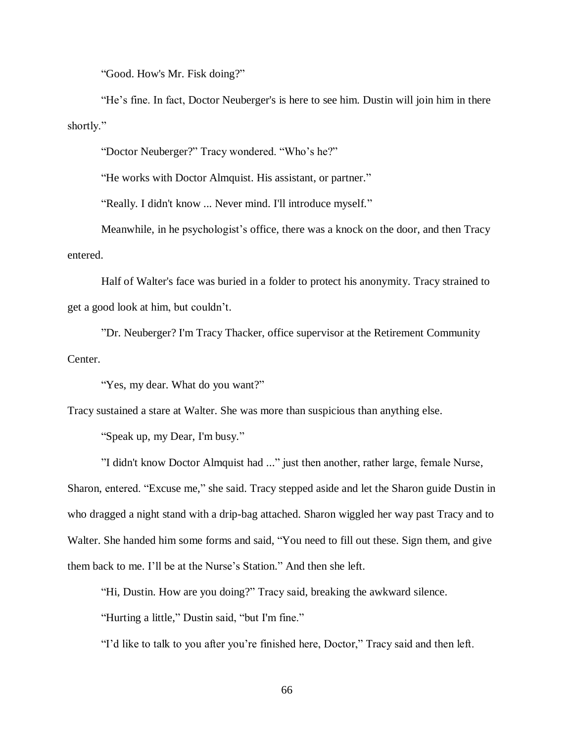"Good. How's Mr. Fisk doing?"

"He's fine. In fact, Doctor Neuberger's is here to see him. Dustin will join him in there shortly."

"Doctor Neuberger?" Tracy wondered. "Who's he?"

"He works with Doctor Almquist. His assistant, or partner."

"Really. I didn't know ... Never mind. I'll introduce myself."

Meanwhile, in he psychologist's office, there was a knock on the door, and then Tracy entered.

Half of Walter's face was buried in a folder to protect his anonymity. Tracy strained to get a good look at him, but couldn't.

"Dr. Neuberger? I'm Tracy Thacker, office supervisor at the Retirement Community Center.

"Yes, my dear. What do you want?"

Tracy sustained a stare at Walter. She was more than suspicious than anything else.

"Speak up, my Dear, I'm busy."

"I didn't know Doctor Almquist had ..." just then another, rather large, female Nurse, Sharon, entered. "Excuse me," she said. Tracy stepped aside and let the Sharon guide Dustin in who dragged a night stand with a drip-bag attached. Sharon wiggled her way past Tracy and to Walter. She handed him some forms and said, "You need to fill out these. Sign them, and give them back to me. I'll be at the Nurse's Station." And then she left.

"Hi, Dustin. How are you doing?" Tracy said, breaking the awkward silence.

"Hurting a little," Dustin said, "but I'm fine."

"I'd like to talk to you after you're finished here, Doctor," Tracy said and then left.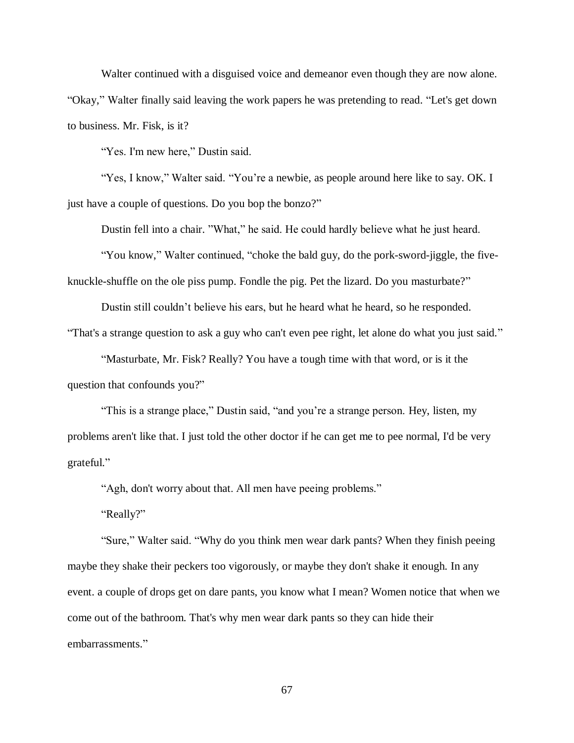Walter continued with a disguised voice and demeanor even though they are now alone. "Okay," Walter finally said leaving the work papers he was pretending to read. "Let's get down to business. Mr. Fisk, is it?

"Yes. I'm new here," Dustin said.

"Yes, I know," Walter said. "You're a newbie, as people around here like to say. OK. I just have a couple of questions. Do you bop the bonzo?"

Dustin fell into a chair. "What," he said. He could hardly believe what he just heard.

"You know," Walter continued, "choke the bald guy, do the pork-sword-jiggle, the fiveknuckle-shuffle on the ole piss pump. Fondle the pig. Pet the lizard. Do you masturbate?"

Dustin still couldn't believe his ears, but he heard what he heard, so he responded.

"That's a strange question to ask a guy who can't even pee right, let alone do what you just said."

"Masturbate, Mr. Fisk? Really? You have a tough time with that word, or is it the question that confounds you?"

"This is a strange place," Dustin said, "and you're a strange person. Hey, listen, my problems aren't like that. I just told the other doctor if he can get me to pee normal, I'd be very grateful."

"Agh, don't worry about that. All men have peeing problems."

"Really?"

"Sure," Walter said. "Why do you think men wear dark pants? When they finish peeing maybe they shake their peckers too vigorously, or maybe they don't shake it enough. In any event. a couple of drops get on dare pants, you know what I mean? Women notice that when we come out of the bathroom. That's why men wear dark pants so they can hide their embarrassments."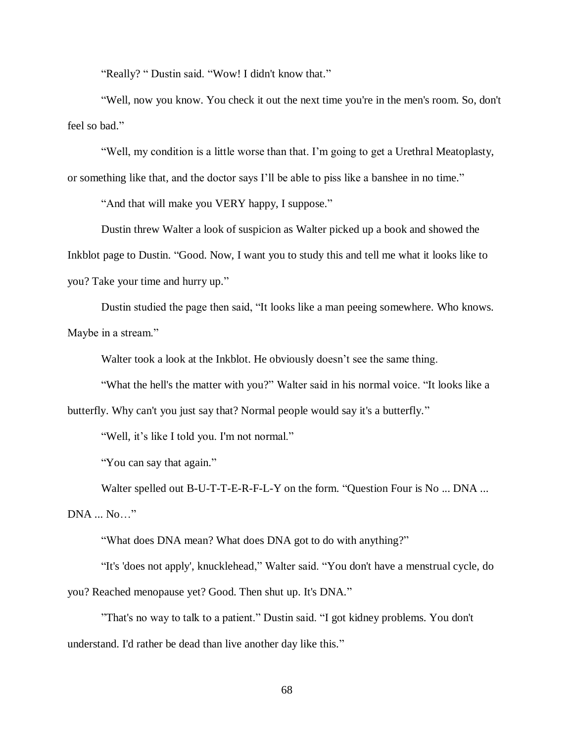"Really? " Dustin said. "Wow! I didn't know that."

"Well, now you know. You check it out the next time you're in the men's room. So, don't feel so bad."

"Well, my condition is a little worse than that. I'm going to get a Urethral Meatoplasty, or something like that, and the doctor says I'll be able to piss like a banshee in no time."

"And that will make you VERY happy, I suppose."

Dustin threw Walter a look of suspicion as Walter picked up a book and showed the Inkblot page to Dustin. "Good. Now, I want you to study this and tell me what it looks like to you? Take your time and hurry up."

Dustin studied the page then said, "It looks like a man peeing somewhere. Who knows. Maybe in a stream."

Walter took a look at the Inkblot. He obviously doesn't see the same thing.

"What the hell's the matter with you?" Walter said in his normal voice. "It looks like a butterfly. Why can't you just say that? Normal people would say it's a butterfly."

"Well, it's like I told you. I'm not normal."

"You can say that again."

Walter spelled out B-U-T-T-E-R-F-L-Y on the form. "Question Four is No ... DNA ... DNA ... No…"

"What does DNA mean? What does DNA got to do with anything?"

"It's 'does not apply', knucklehead," Walter said. "You don't have a menstrual cycle, do you? Reached menopause yet? Good. Then shut up. It's DNA."

"That's no way to talk to a patient." Dustin said. "I got kidney problems. You don't understand. I'd rather be dead than live another day like this."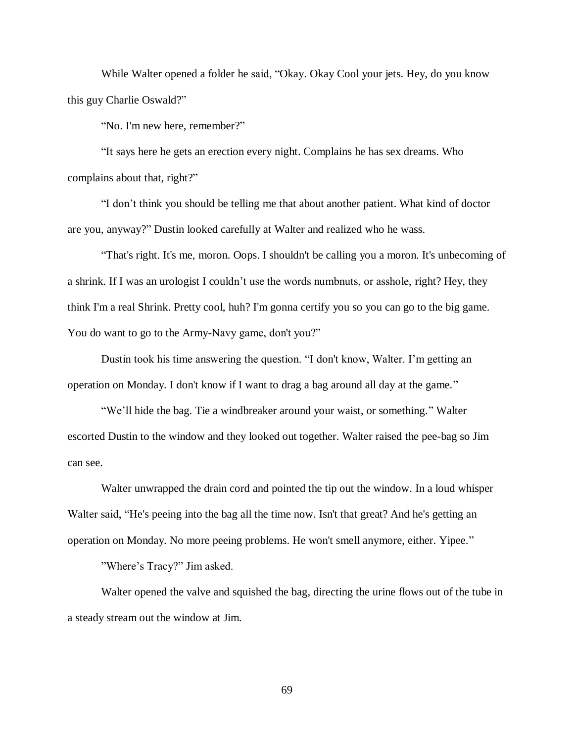While Walter opened a folder he said, "Okay. Okay Cool your jets. Hey, do you know this guy Charlie Oswald?"

"No. I'm new here, remember?"

"It says here he gets an erection every night. Complains he has sex dreams. Who complains about that, right?"

"I don't think you should be telling me that about another patient. What kind of doctor are you, anyway?" Dustin looked carefully at Walter and realized who he wass.

"That's right. It's me, moron. Oops. I shouldn't be calling you a moron. It's unbecoming of a shrink. If I was an urologist I couldn't use the words numbnuts, or asshole, right? Hey, they think I'm a real Shrink. Pretty cool, huh? I'm gonna certify you so you can go to the big game. You do want to go to the Army-Navy game, don't you?"

Dustin took his time answering the question. "I don't know, Walter. I'm getting an operation on Monday. I don't know if I want to drag a bag around all day at the game."

"We'll hide the bag. Tie a windbreaker around your waist, or something." Walter escorted Dustin to the window and they looked out together. Walter raised the pee-bag so Jim can see.

Walter unwrapped the drain cord and pointed the tip out the window. In a loud whisper Walter said, "He's peeing into the bag all the time now. Isn't that great? And he's getting an operation on Monday. No more peeing problems. He won't smell anymore, either. Yipee."

"Where's Tracy?" Jim asked.

Walter opened the valve and squished the bag, directing the urine flows out of the tube in a steady stream out the window at Jim.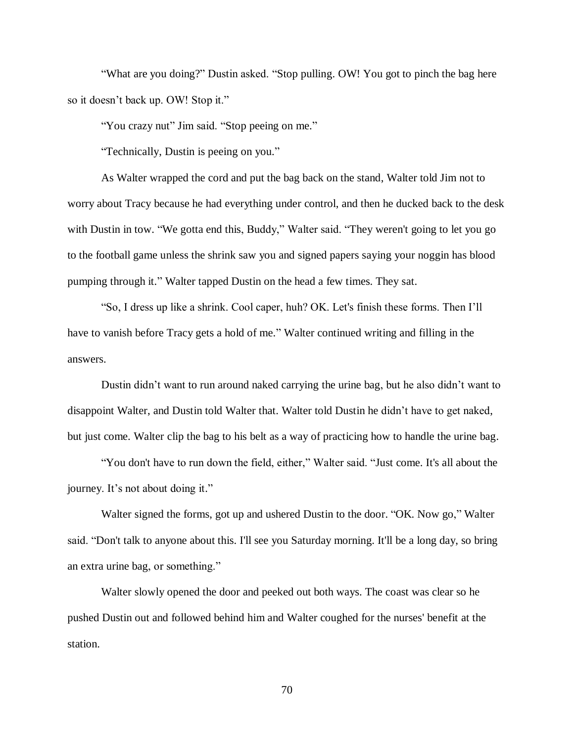"What are you doing?" Dustin asked. "Stop pulling. OW! You got to pinch the bag here so it doesn't back up. OW! Stop it."

"You crazy nut" Jim said. "Stop peeing on me."

"Technically, Dustin is peeing on you."

As Walter wrapped the cord and put the bag back on the stand, Walter told Jim not to worry about Tracy because he had everything under control, and then he ducked back to the desk with Dustin in tow. "We gotta end this, Buddy," Walter said. "They weren't going to let you go to the football game unless the shrink saw you and signed papers saying your noggin has blood pumping through it." Walter tapped Dustin on the head a few times. They sat.

"So, I dress up like a shrink. Cool caper, huh? OK. Let's finish these forms. Then I'll have to vanish before Tracy gets a hold of me." Walter continued writing and filling in the answers.

Dustin didn't want to run around naked carrying the urine bag, but he also didn't want to disappoint Walter, and Dustin told Walter that. Walter told Dustin he didn't have to get naked, but just come. Walter clip the bag to his belt as a way of practicing how to handle the urine bag.

"You don't have to run down the field, either," Walter said. "Just come. It's all about the journey. It's not about doing it."

Walter signed the forms, got up and ushered Dustin to the door. "OK. Now go," Walter said. "Don't talk to anyone about this. I'll see you Saturday morning. It'll be a long day, so bring an extra urine bag, or something."

Walter slowly opened the door and peeked out both ways. The coast was clear so he pushed Dustin out and followed behind him and Walter coughed for the nurses' benefit at the station.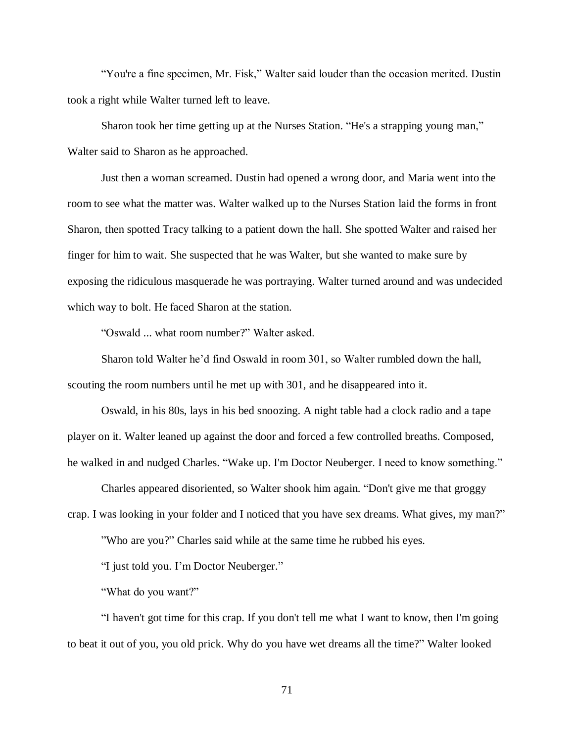"You're a fine specimen, Mr. Fisk," Walter said louder than the occasion merited. Dustin took a right while Walter turned left to leave.

Sharon took her time getting up at the Nurses Station. "He's a strapping young man," Walter said to Sharon as he approached.

Just then a woman screamed. Dustin had opened a wrong door, and Maria went into the room to see what the matter was. Walter walked up to the Nurses Station laid the forms in front Sharon, then spotted Tracy talking to a patient down the hall. She spotted Walter and raised her finger for him to wait. She suspected that he was Walter, but she wanted to make sure by exposing the ridiculous masquerade he was portraying. Walter turned around and was undecided which way to bolt. He faced Sharon at the station.

"Oswald ... what room number?" Walter asked.

Sharon told Walter he'd find Oswald in room 301, so Walter rumbled down the hall, scouting the room numbers until he met up with 301, and he disappeared into it.

Oswald, in his 80s, lays in his bed snoozing. A night table had a clock radio and a tape player on it. Walter leaned up against the door and forced a few controlled breaths. Composed, he walked in and nudged Charles. "Wake up. I'm Doctor Neuberger. I need to know something."

Charles appeared disoriented, so Walter shook him again. "Don't give me that groggy crap. I was looking in your folder and I noticed that you have sex dreams. What gives, my man?"

"Who are you?" Charles said while at the same time he rubbed his eyes.

"I just told you. I'm Doctor Neuberger."

"What do you want?"

"I haven't got time for this crap. If you don't tell me what I want to know, then I'm going to beat it out of you, you old prick. Why do you have wet dreams all the time?" Walter looked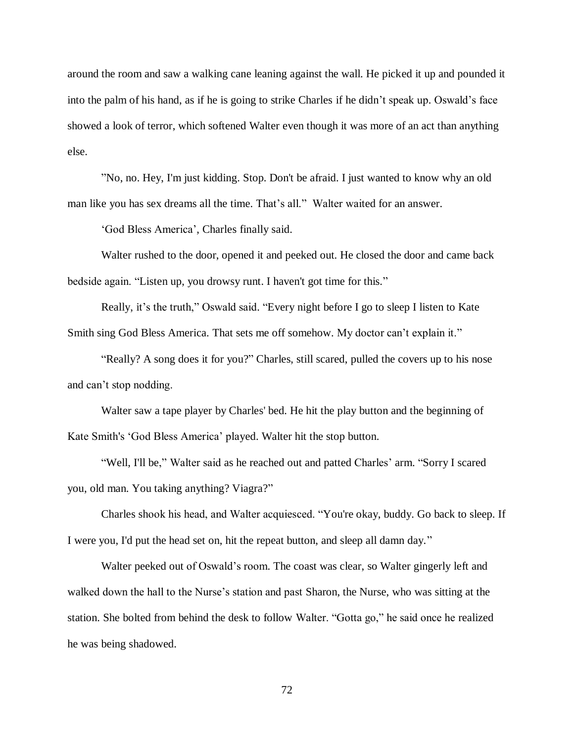around the room and saw a walking cane leaning against the wall. He picked it up and pounded it into the palm of his hand, as if he is going to strike Charles if he didn't speak up. Oswald's face showed a look of terror, which softened Walter even though it was more of an act than anything else.

"No, no. Hey, I'm just kidding. Stop. Don't be afraid. I just wanted to know why an old man like you has sex dreams all the time. That's all." Walter waited for an answer.

'God Bless America', Charles finally said.

Walter rushed to the door, opened it and peeked out. He closed the door and came back bedside again. "Listen up, you drowsy runt. I haven't got time for this."

Really, it's the truth," Oswald said. "Every night before I go to sleep I listen to Kate Smith sing God Bless America. That sets me off somehow. My doctor can't explain it."

"Really? A song does it for you?" Charles, still scared, pulled the covers up to his nose and can't stop nodding.

Walter saw a tape player by Charles' bed. He hit the play button and the beginning of Kate Smith's 'God Bless America' played. Walter hit the stop button.

"Well, I'll be," Walter said as he reached out and patted Charles' arm. "Sorry I scared you, old man. You taking anything? Viagra?"

Charles shook his head, and Walter acquiesced. "You're okay, buddy. Go back to sleep. If I were you, I'd put the head set on, hit the repeat button, and sleep all damn day."

Walter peeked out of Oswald's room. The coast was clear, so Walter gingerly left and walked down the hall to the Nurse's station and past Sharon, the Nurse, who was sitting at the station. She bolted from behind the desk to follow Walter. "Gotta go," he said once he realized he was being shadowed.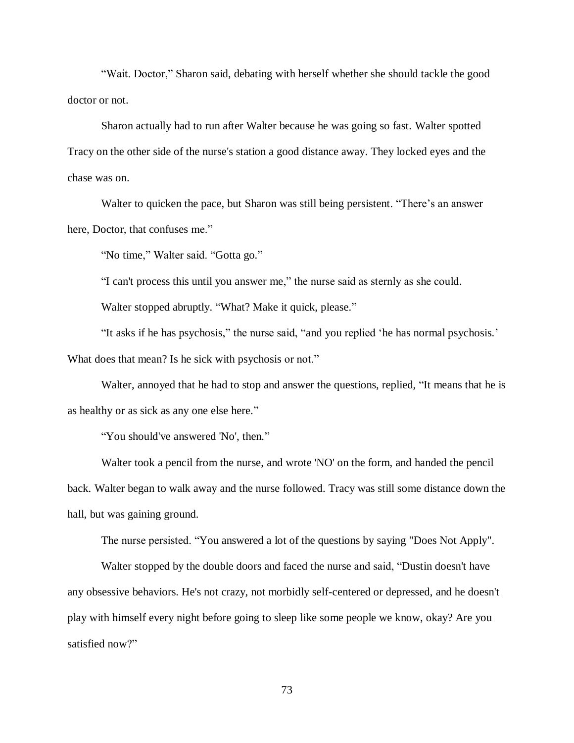"Wait. Doctor," Sharon said, debating with herself whether she should tackle the good doctor or not.

Sharon actually had to run after Walter because he was going so fast. Walter spotted Tracy on the other side of the nurse's station a good distance away. They locked eyes and the chase was on.

Walter to quicken the pace, but Sharon was still being persistent. "There's an answer here, Doctor, that confuses me."

"No time," Walter said. "Gotta go."

"I can't process this until you answer me," the nurse said as sternly as she could.

Walter stopped abruptly. "What? Make it quick, please."

"It asks if he has psychosis," the nurse said, "and you replied 'he has normal psychosis.' What does that mean? Is he sick with psychosis or not."

Walter, annoyed that he had to stop and answer the questions, replied, "It means that he is as healthy or as sick as any one else here."

"You should've answered 'No', then."

Walter took a pencil from the nurse, and wrote 'NO' on the form, and handed the pencil back. Walter began to walk away and the nurse followed. Tracy was still some distance down the hall, but was gaining ground.

The nurse persisted. "You answered a lot of the questions by saying "Does Not Apply".

Walter stopped by the double doors and faced the nurse and said, "Dustin doesn't have any obsessive behaviors. He's not crazy, not morbidly self-centered or depressed, and he doesn't play with himself every night before going to sleep like some people we know, okay? Are you satisfied now?"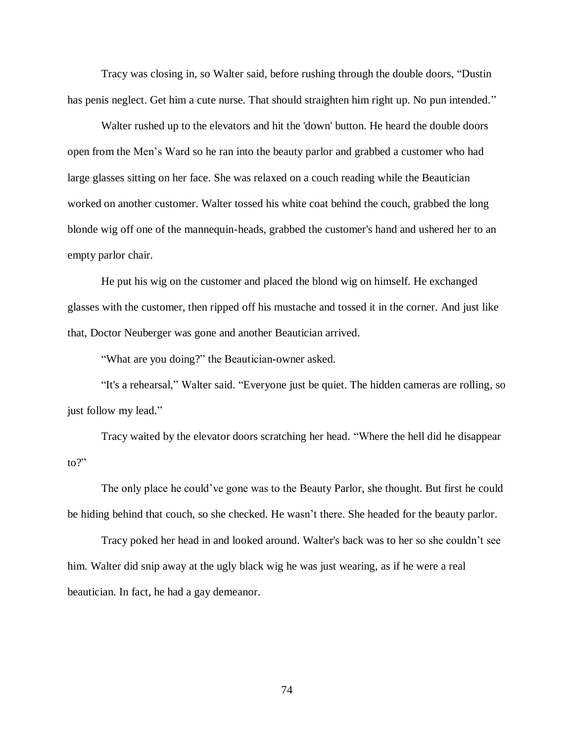Tracy was closing in, so Walter said, before rushing through the double doors, "Dustin has penis neglect. Get him a cute nurse. That should straighten him right up. No pun intended."

Walter rushed up to the elevators and hit the 'down' button. He heard the double doors open from the Men's Ward so he ran into the beauty parlor and grabbed a customer who had large glasses sitting on her face. She was relaxed on a couch reading while the Beautician worked on another customer. Walter tossed his white coat behind the couch, grabbed the long blonde wig off one of the mannequin-heads, grabbed the customer's hand and ushered her to an empty parlor chair.

He put his wig on the customer and placed the blond wig on himself. He exchanged glasses with the customer, then ripped off his mustache and tossed it in the corner. And just like that, Doctor Neuberger was gone and another Beautician arrived.

"What are you doing?" the Beautician-owner asked.

"It's a rehearsal," Walter said. "Everyone just be quiet. The hidden cameras are rolling, so just follow my lead."

Tracy waited by the elevator doors scratching her head. "Where the hell did he disappear to?"

The only place he could've gone was to the Beauty Parlor, she thought. But first he could be hiding behind that couch, so she checked. He wasn't there. She headed for the beauty parlor.

Tracy poked her head in and looked around. Walter's back was to her so she couldn't see him. Walter did snip away at the ugly black wig he was just wearing, as if he were a real beautician. In fact, he had a gay demeanor.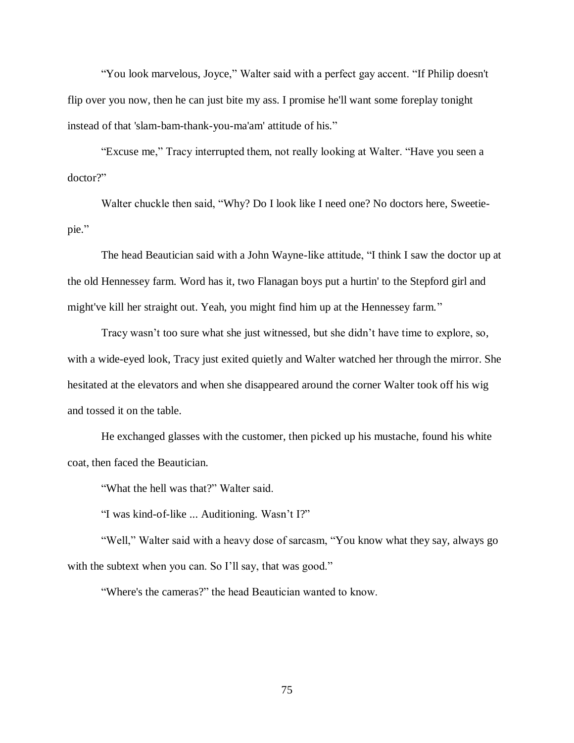"You look marvelous, Joyce," Walter said with a perfect gay accent. "If Philip doesn't flip over you now, then he can just bite my ass. I promise he'll want some foreplay tonight instead of that 'slam-bam-thank-you-ma'am' attitude of his."

"Excuse me," Tracy interrupted them, not really looking at Walter. "Have you seen a doctor?"

Walter chuckle then said, "Why? Do I look like I need one? No doctors here, Sweetiepie."

The head Beautician said with a John Wayne-like attitude, "I think I saw the doctor up at the old Hennessey farm. Word has it, two Flanagan boys put a hurtin' to the Stepford girl and might've kill her straight out. Yeah, you might find him up at the Hennessey farm."

Tracy wasn't too sure what she just witnessed, but she didn't have time to explore, so, with a wide-eyed look, Tracy just exited quietly and Walter watched her through the mirror. She hesitated at the elevators and when she disappeared around the corner Walter took off his wig and tossed it on the table.

He exchanged glasses with the customer, then picked up his mustache, found his white coat, then faced the Beautician.

"What the hell was that?" Walter said.

"I was kind-of-like ... Auditioning. Wasn't I?"

"Well," Walter said with a heavy dose of sarcasm, "You know what they say, always go with the subtext when you can. So I'll say, that was good."

"Where's the cameras?" the head Beautician wanted to know.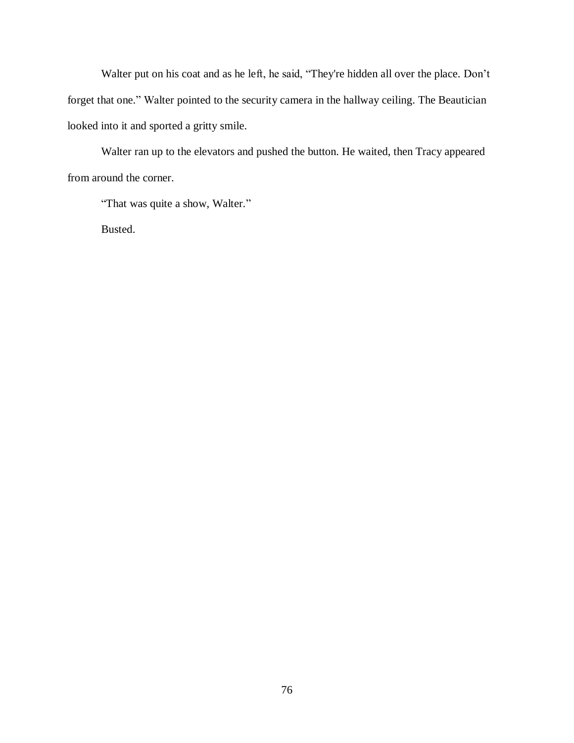Walter put on his coat and as he left, he said, "They're hidden all over the place. Don't forget that one." Walter pointed to the security camera in the hallway ceiling. The Beautician looked into it and sported a gritty smile.

Walter ran up to the elevators and pushed the button. He waited, then Tracy appeared from around the corner.

"That was quite a show, Walter."

Busted.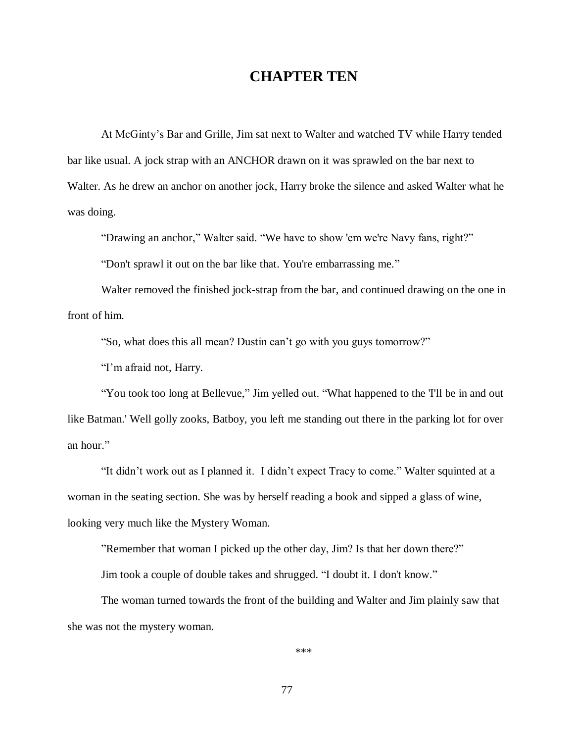### **CHAPTER TEN**

At McGinty's Bar and Grille, Jim sat next to Walter and watched TV while Harry tended bar like usual. A jock strap with an ANCHOR drawn on it was sprawled on the bar next to Walter. As he drew an anchor on another jock, Harry broke the silence and asked Walter what he was doing.

"Drawing an anchor," Walter said. "We have to show 'em we're Navy fans, right?"

"Don't sprawl it out on the bar like that. You're embarrassing me."

Walter removed the finished jock-strap from the bar, and continued drawing on the one in front of him.

"So, what does this all mean? Dustin can't go with you guys tomorrow?"

"I'm afraid not, Harry.

"You took too long at Bellevue," Jim yelled out. "What happened to the 'I'll be in and out like Batman.' Well golly zooks, Batboy, you left me standing out there in the parking lot for over an hour."

"It didn't work out as I planned it. I didn't expect Tracy to come." Walter squinted at a woman in the seating section. She was by herself reading a book and sipped a glass of wine, looking very much like the Mystery Woman.

"Remember that woman I picked up the other day, Jim? Is that her down there?"

Jim took a couple of double takes and shrugged. "I doubt it. I don't know."

The woman turned towards the front of the building and Walter and Jim plainly saw that she was not the mystery woman.

\*\*\*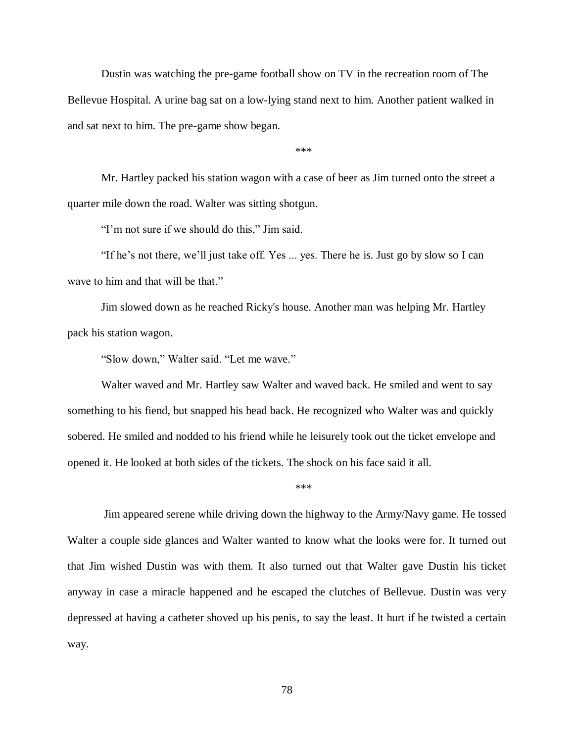Dustin was watching the pre-game football show on TV in the recreation room of The Bellevue Hospital. A urine bag sat on a low-lying stand next to him. Another patient walked in and sat next to him. The pre-game show began.

\*\*\*

Mr. Hartley packed his station wagon with a case of beer as Jim turned onto the street a quarter mile down the road. Walter was sitting shotgun.

"I'm not sure if we should do this," Jim said.

"If he's not there, we'll just take off. Yes ... yes. There he is. Just go by slow so I can wave to him and that will be that."

Jim slowed down as he reached Ricky's house. Another man was helping Mr. Hartley pack his station wagon.

"Slow down," Walter said. "Let me wave."

Walter waved and Mr. Hartley saw Walter and waved back. He smiled and went to say something to his fiend, but snapped his head back. He recognized who Walter was and quickly sobered. He smiled and nodded to his friend while he leisurely took out the ticket envelope and opened it. He looked at both sides of the tickets. The shock on his face said it all.

\*\*\*

Jim appeared serene while driving down the highway to the Army/Navy game. He tossed Walter a couple side glances and Walter wanted to know what the looks were for. It turned out that Jim wished Dustin was with them. It also turned out that Walter gave Dustin his ticket anyway in case a miracle happened and he escaped the clutches of Bellevue. Dustin was very depressed at having a catheter shoved up his penis, to say the least. It hurt if he twisted a certain way.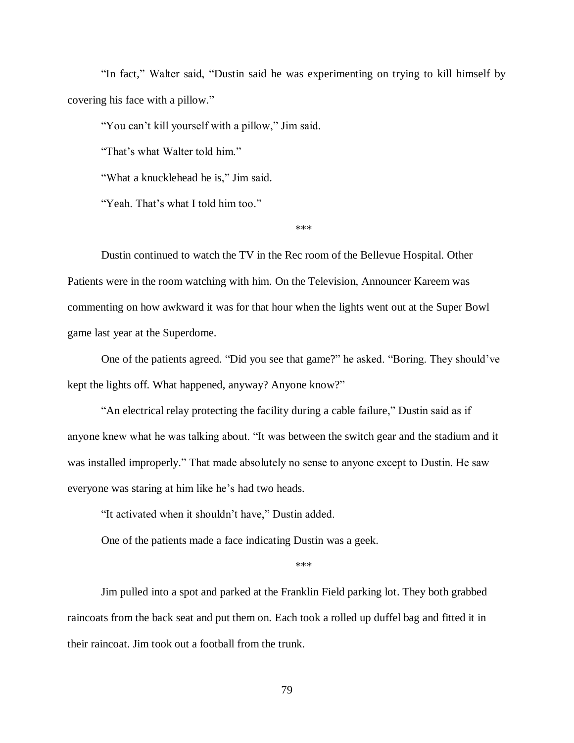"In fact," Walter said, "Dustin said he was experimenting on trying to kill himself by covering his face with a pillow."

"You can't kill yourself with a pillow," Jim said.

"That's what Walter told him."

"What a knucklehead he is," Jim said.

"Yeah. That's what I told him too."

\*\*\*

Dustin continued to watch the TV in the Rec room of the Bellevue Hospital. Other Patients were in the room watching with him. On the Television, Announcer Kareem was commenting on how awkward it was for that hour when the lights went out at the Super Bowl game last year at the Superdome.

One of the patients agreed. "Did you see that game?" he asked. "Boring. They should've kept the lights off. What happened, anyway? Anyone know?"

"An electrical relay protecting the facility during a cable failure," Dustin said as if anyone knew what he was talking about. "It was between the switch gear and the stadium and it was installed improperly." That made absolutely no sense to anyone except to Dustin. He saw everyone was staring at him like he's had two heads.

"It activated when it shouldn't have," Dustin added.

One of the patients made a face indicating Dustin was a geek.

\*\*\*

Jim pulled into a spot and parked at the Franklin Field parking lot. They both grabbed raincoats from the back seat and put them on. Each took a rolled up duffel bag and fitted it in their raincoat. Jim took out a football from the trunk.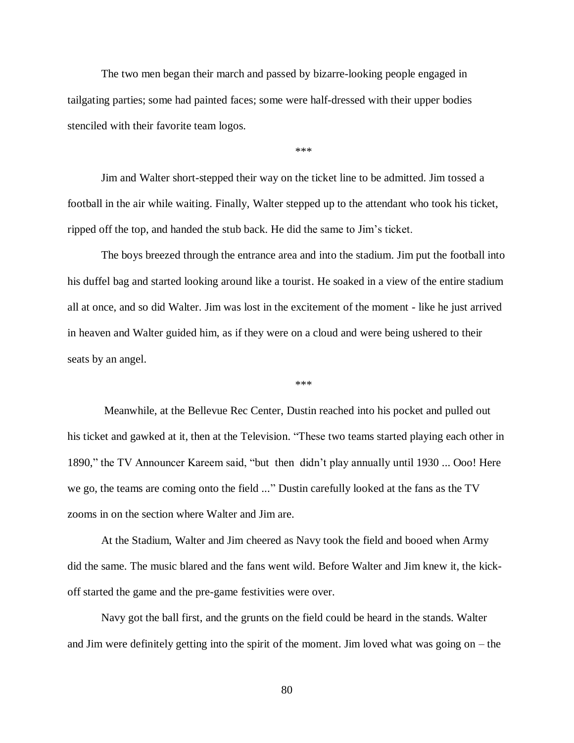The two men began their march and passed by bizarre-looking people engaged in tailgating parties; some had painted faces; some were half-dressed with their upper bodies stenciled with their favorite team logos.

\*\*\*

Jim and Walter short-stepped their way on the ticket line to be admitted. Jim tossed a football in the air while waiting. Finally, Walter stepped up to the attendant who took his ticket, ripped off the top, and handed the stub back. He did the same to Jim's ticket.

The boys breezed through the entrance area and into the stadium. Jim put the football into his duffel bag and started looking around like a tourist. He soaked in a view of the entire stadium all at once, and so did Walter. Jim was lost in the excitement of the moment - like he just arrived in heaven and Walter guided him, as if they were on a cloud and were being ushered to their seats by an angel.

\*\*\*

Meanwhile, at the Bellevue Rec Center, Dustin reached into his pocket and pulled out his ticket and gawked at it, then at the Television. "These two teams started playing each other in 1890," the TV Announcer Kareem said, "but then didn't play annually until 1930 ... Ooo! Here we go, the teams are coming onto the field ..." Dustin carefully looked at the fans as the TV zooms in on the section where Walter and Jim are.

At the Stadium, Walter and Jim cheered as Navy took the field and booed when Army did the same. The music blared and the fans went wild. Before Walter and Jim knew it, the kickoff started the game and the pre-game festivities were over.

Navy got the ball first, and the grunts on the field could be heard in the stands. Walter and Jim were definitely getting into the spirit of the moment. Jim loved what was going on – the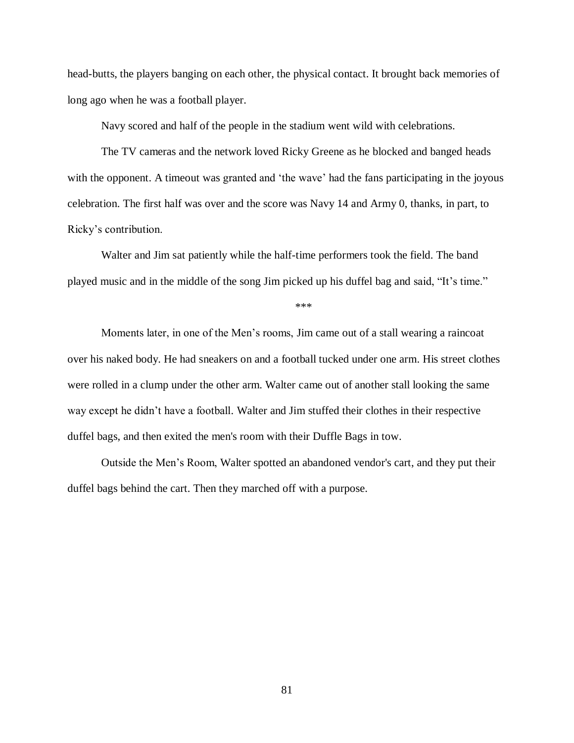head-butts, the players banging on each other, the physical contact. It brought back memories of long ago when he was a football player.

Navy scored and half of the people in the stadium went wild with celebrations.

The TV cameras and the network loved Ricky Greene as he blocked and banged heads with the opponent. A timeout was granted and 'the wave' had the fans participating in the joyous celebration. The first half was over and the score was Navy 14 and Army 0, thanks, in part, to Ricky's contribution.

Walter and Jim sat patiently while the half-time performers took the field. The band played music and in the middle of the song Jim picked up his duffel bag and said, "It's time."

\*\*\*

Moments later, in one of the Men's rooms, Jim came out of a stall wearing a raincoat over his naked body. He had sneakers on and a football tucked under one arm. His street clothes were rolled in a clump under the other arm. Walter came out of another stall looking the same way except he didn't have a football. Walter and Jim stuffed their clothes in their respective duffel bags, and then exited the men's room with their Duffle Bags in tow.

Outside the Men's Room, Walter spotted an abandoned vendor's cart, and they put their duffel bags behind the cart. Then they marched off with a purpose.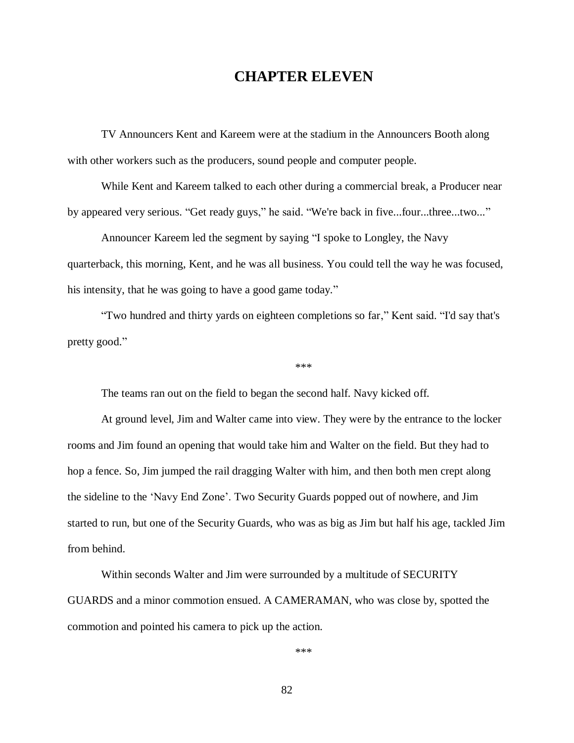## **CHAPTER ELEVEN**

TV Announcers Kent and Kareem were at the stadium in the Announcers Booth along with other workers such as the producers, sound people and computer people.

While Kent and Kareem talked to each other during a commercial break, a Producer near by appeared very serious. "Get ready guys," he said. "We're back in five...four...three...two..."

Announcer Kareem led the segment by saying "I spoke to Longley, the Navy quarterback, this morning, Kent, and he was all business. You could tell the way he was focused, his intensity, that he was going to have a good game today."

"Two hundred and thirty yards on eighteen completions so far," Kent said. "I'd say that's pretty good."

\*\*\*

The teams ran out on the field to began the second half. Navy kicked off.

At ground level, Jim and Walter came into view. They were by the entrance to the locker rooms and Jim found an opening that would take him and Walter on the field. But they had to hop a fence. So, Jim jumped the rail dragging Walter with him, and then both men crept along the sideline to the 'Navy End Zone'. Two Security Guards popped out of nowhere, and Jim started to run, but one of the Security Guards, who was as big as Jim but half his age, tackled Jim from behind.

Within seconds Walter and Jim were surrounded by a multitude of SECURITY GUARDS and a minor commotion ensued. A CAMERAMAN, who was close by, spotted the commotion and pointed his camera to pick up the action.

\*\*\*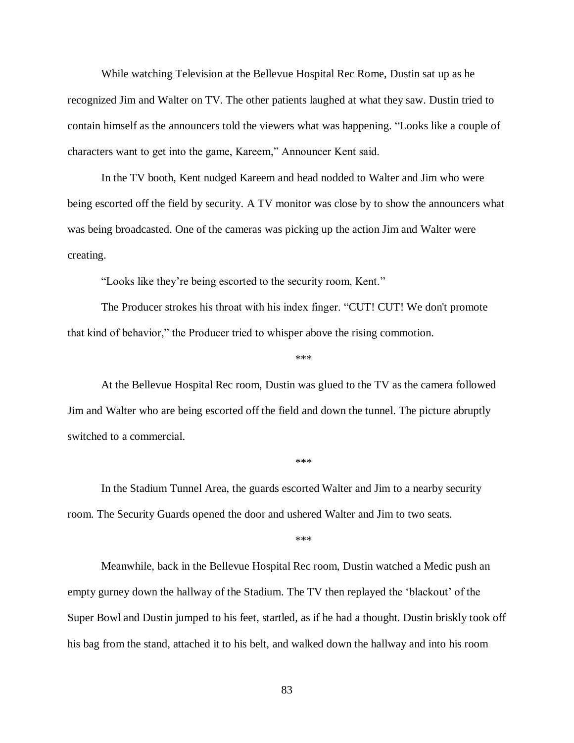While watching Television at the Bellevue Hospital Rec Rome, Dustin sat up as he recognized Jim and Walter on TV. The other patients laughed at what they saw. Dustin tried to contain himself as the announcers told the viewers what was happening. "Looks like a couple of characters want to get into the game, Kareem," Announcer Kent said.

In the TV booth, Kent nudged Kareem and head nodded to Walter and Jim who were being escorted off the field by security. A TV monitor was close by to show the announcers what was being broadcasted. One of the cameras was picking up the action Jim and Walter were creating.

"Looks like they're being escorted to the security room, Kent."

The Producer strokes his throat with his index finger. "CUT! CUT! We don't promote that kind of behavior," the Producer tried to whisper above the rising commotion.

At the Bellevue Hospital Rec room, Dustin was glued to the TV as the camera followed Jim and Walter who are being escorted off the field and down the tunnel. The picture abruptly switched to a commercial.

\*\*\*

In the Stadium Tunnel Area, the guards escorted Walter and Jim to a nearby security room. The Security Guards opened the door and ushered Walter and Jim to two seats.

\*\*\*

\*\*\*

Meanwhile, back in the Bellevue Hospital Rec room, Dustin watched a Medic push an empty gurney down the hallway of the Stadium. The TV then replayed the 'blackout' of the Super Bowl and Dustin jumped to his feet, startled, as if he had a thought. Dustin briskly took off his bag from the stand, attached it to his belt, and walked down the hallway and into his room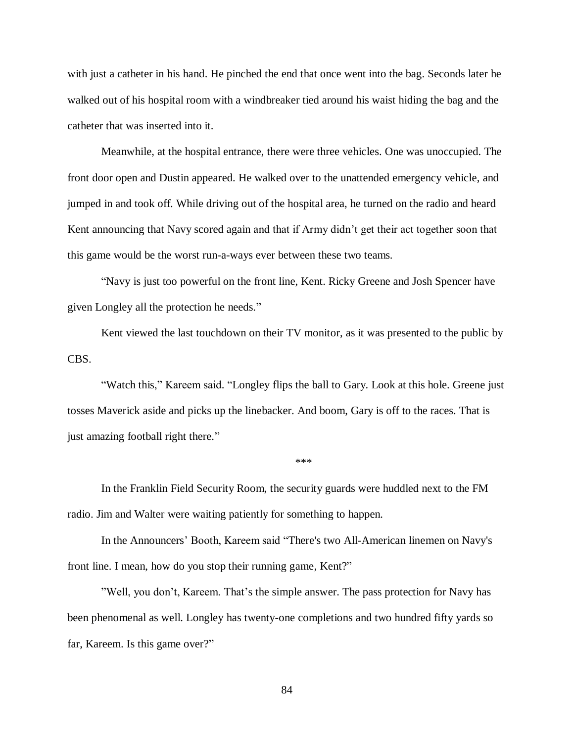with just a catheter in his hand. He pinched the end that once went into the bag. Seconds later he walked out of his hospital room with a windbreaker tied around his waist hiding the bag and the catheter that was inserted into it.

Meanwhile, at the hospital entrance, there were three vehicles. One was unoccupied. The front door open and Dustin appeared. He walked over to the unattended emergency vehicle, and jumped in and took off. While driving out of the hospital area, he turned on the radio and heard Kent announcing that Navy scored again and that if Army didn't get their act together soon that this game would be the worst run-a-ways ever between these two teams.

"Navy is just too powerful on the front line, Kent. Ricky Greene and Josh Spencer have given Longley all the protection he needs."

Kent viewed the last touchdown on their TV monitor, as it was presented to the public by CBS.

"Watch this," Kareem said. "Longley flips the ball to Gary. Look at this hole. Greene just tosses Maverick aside and picks up the linebacker. And boom, Gary is off to the races. That is just amazing football right there."

\*\*\*

In the Franklin Field Security Room, the security guards were huddled next to the FM radio. Jim and Walter were waiting patiently for something to happen.

In the Announcers' Booth, Kareem said "There's two All-American linemen on Navy's front line. I mean, how do you stop their running game, Kent?"

"Well, you don't, Kareem. That's the simple answer. The pass protection for Navy has been phenomenal as well. Longley has twenty-one completions and two hundred fifty yards so far, Kareem. Is this game over?"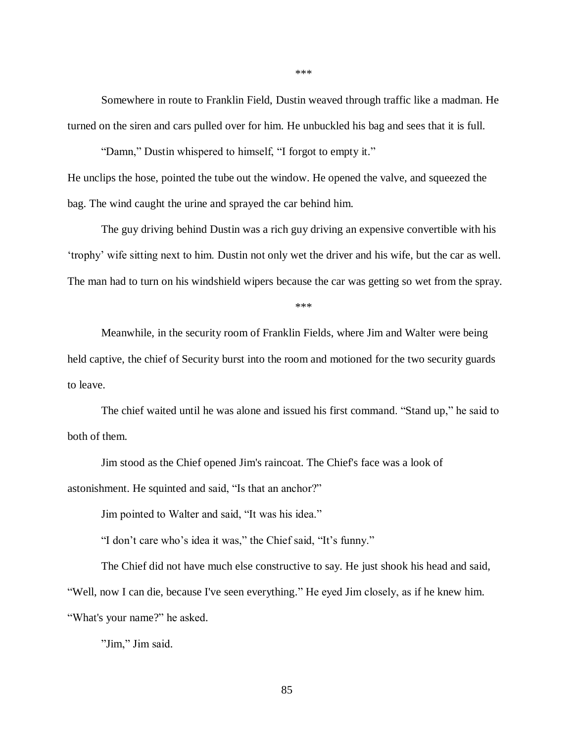Somewhere in route to Franklin Field, Dustin weaved through traffic like a madman. He turned on the siren and cars pulled over for him. He unbuckled his bag and sees that it is full.

"Damn," Dustin whispered to himself, "I forgot to empty it." He unclips the hose, pointed the tube out the window. He opened the valve, and squeezed the bag. The wind caught the urine and sprayed the car behind him.

The guy driving behind Dustin was a rich guy driving an expensive convertible with his 'trophy' wife sitting next to him. Dustin not only wet the driver and his wife, but the car as well. The man had to turn on his windshield wipers because the car was getting so wet from the spray.

\*\*\*

Meanwhile, in the security room of Franklin Fields, where Jim and Walter were being held captive, the chief of Security burst into the room and motioned for the two security guards to leave.

The chief waited until he was alone and issued his first command. "Stand up," he said to both of them.

Jim stood as the Chief opened Jim's raincoat. The Chief's face was a look of astonishment. He squinted and said, "Is that an anchor?"

Jim pointed to Walter and said, "It was his idea."

"I don't care who's idea it was," the Chief said, "It's funny."

The Chief did not have much else constructive to say. He just shook his head and said, "Well, now I can die, because I've seen everything." He eyed Jim closely, as if he knew him. "What's your name?" he asked.

"Jim," Jim said.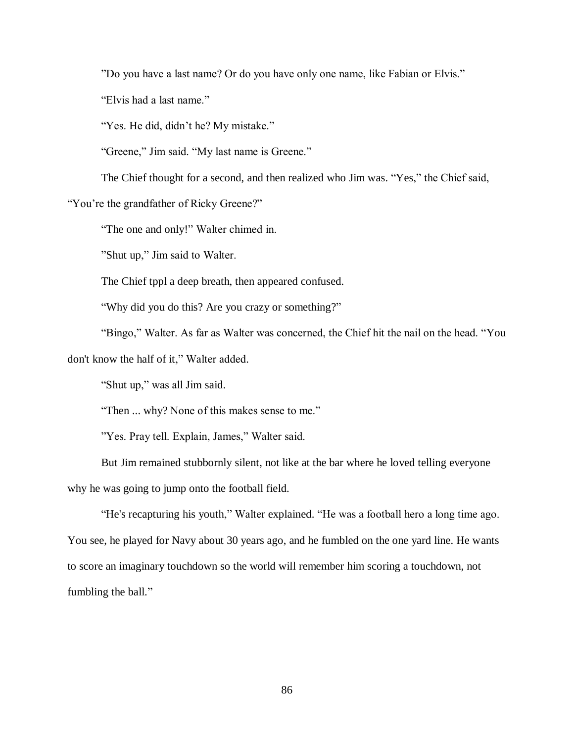"Do you have a last name? Or do you have only one name, like Fabian or Elvis."

"Elvis had a last name."

"Yes. He did, didn't he? My mistake."

"Greene," Jim said. "My last name is Greene."

The Chief thought for a second, and then realized who Jim was. "Yes," the Chief said,

"You're the grandfather of Ricky Greene?"

"The one and only!" Walter chimed in.

"Shut up," Jim said to Walter.

The Chief tppl a deep breath, then appeared confused.

"Why did you do this? Are you crazy or something?"

"Bingo," Walter. As far as Walter was concerned, the Chief hit the nail on the head. "You don't know the half of it," Walter added.

"Shut up," was all Jim said.

"Then ... why? None of this makes sense to me."

"Yes. Pray tell. Explain, James," Walter said.

But Jim remained stubbornly silent, not like at the bar where he loved telling everyone why he was going to jump onto the football field.

"He's recapturing his youth," Walter explained. "He was a football hero a long time ago. You see, he played for Navy about 30 years ago, and he fumbled on the one yard line. He wants to score an imaginary touchdown so the world will remember him scoring a touchdown, not fumbling the ball."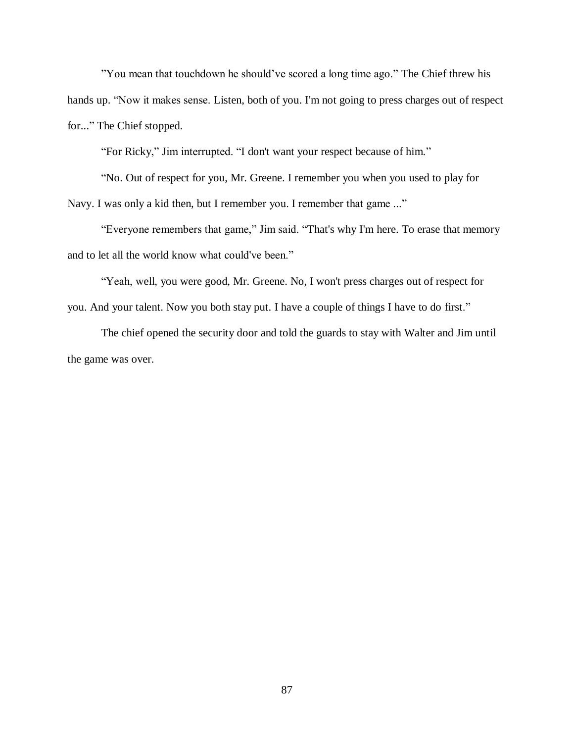"You mean that touchdown he should've scored a long time ago." The Chief threw his hands up. "Now it makes sense. Listen, both of you. I'm not going to press charges out of respect for..." The Chief stopped.

"For Ricky," Jim interrupted. "I don't want your respect because of him."

"No. Out of respect for you, Mr. Greene. I remember you when you used to play for Navy. I was only a kid then, but I remember you. I remember that game ..."

"Everyone remembers that game," Jim said. "That's why I'm here. To erase that memory and to let all the world know what could've been."

"Yeah, well, you were good, Mr. Greene. No, I won't press charges out of respect for you. And your talent. Now you both stay put. I have a couple of things I have to do first."

The chief opened the security door and told the guards to stay with Walter and Jim until the game was over.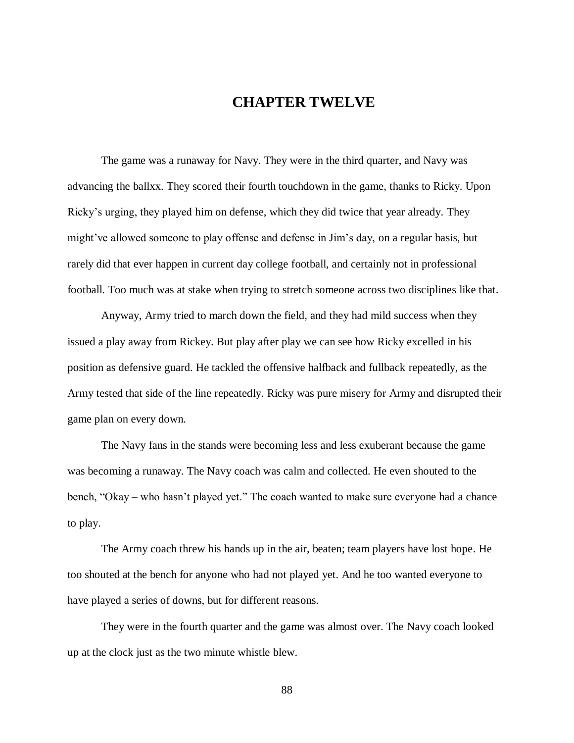### **CHAPTER TWELVE**

The game was a runaway for Navy. They were in the third quarter, and Navy was advancing the ballxx. They scored their fourth touchdown in the game, thanks to Ricky. Upon Ricky's urging, they played him on defense, which they did twice that year already. They might've allowed someone to play offense and defense in Jim's day, on a regular basis, but rarely did that ever happen in current day college football, and certainly not in professional football. Too much was at stake when trying to stretch someone across two disciplines like that.

Anyway, Army tried to march down the field, and they had mild success when they issued a play away from Rickey. But play after play we can see how Ricky excelled in his position as defensive guard. He tackled the offensive halfback and fullback repeatedly, as the Army tested that side of the line repeatedly. Ricky was pure misery for Army and disrupted their game plan on every down.

The Navy fans in the stands were becoming less and less exuberant because the game was becoming a runaway. The Navy coach was calm and collected. He even shouted to the bench, "Okay – who hasn't played yet." The coach wanted to make sure everyone had a chance to play.

The Army coach threw his hands up in the air, beaten; team players have lost hope. He too shouted at the bench for anyone who had not played yet. And he too wanted everyone to have played a series of downs, but for different reasons.

They were in the fourth quarter and the game was almost over. The Navy coach looked up at the clock just as the two minute whistle blew.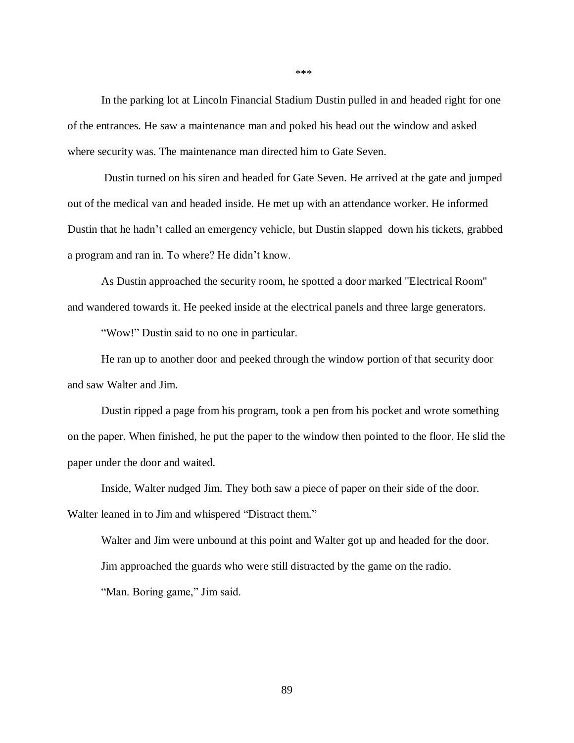In the parking lot at Lincoln Financial Stadium Dustin pulled in and headed right for one of the entrances. He saw a maintenance man and poked his head out the window and asked where security was. The maintenance man directed him to Gate Seven.

Dustin turned on his siren and headed for Gate Seven. He arrived at the gate and jumped out of the medical van and headed inside. He met up with an attendance worker. He informed Dustin that he hadn't called an emergency vehicle, but Dustin slapped down his tickets, grabbed a program and ran in. To where? He didn't know.

As Dustin approached the security room, he spotted a door marked "Electrical Room" and wandered towards it. He peeked inside at the electrical panels and three large generators.

"Wow!" Dustin said to no one in particular.

He ran up to another door and peeked through the window portion of that security door and saw Walter and Jim.

Dustin ripped a page from his program, took a pen from his pocket and wrote something on the paper. When finished, he put the paper to the window then pointed to the floor. He slid the paper under the door and waited.

Inside, Walter nudged Jim. They both saw a piece of paper on their side of the door. Walter leaned in to Jim and whispered "Distract them."

Walter and Jim were unbound at this point and Walter got up and headed for the door. Jim approached the guards who were still distracted by the game on the radio. "Man. Boring game," Jim said.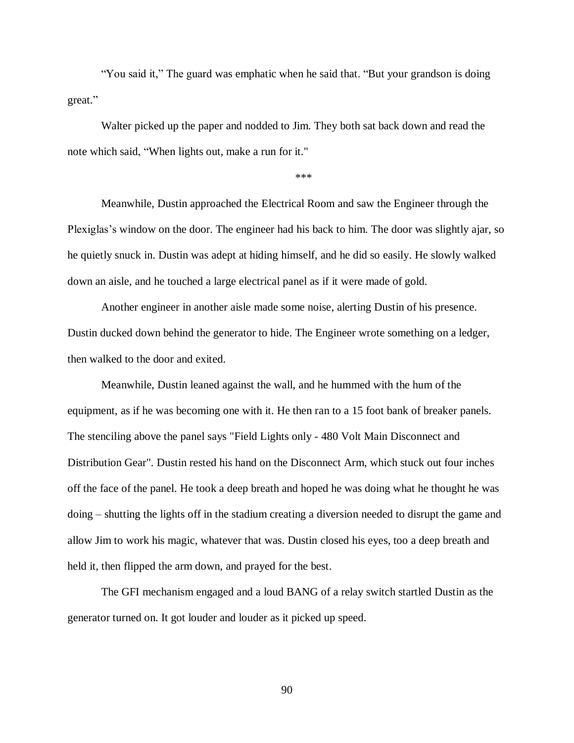"You said it," The guard was emphatic when he said that. "But your grandson is doing great."

Walter picked up the paper and nodded to Jim. They both sat back down and read the note which said, "When lights out, make a run for it."

\*\*\*

Meanwhile, Dustin approached the Electrical Room and saw the Engineer through the Plexiglas's window on the door. The engineer had his back to him. The door was slightly ajar, so he quietly snuck in. Dustin was adept at hiding himself, and he did so easily. He slowly walked down an aisle, and he touched a large electrical panel as if it were made of gold.

Another engineer in another aisle made some noise, alerting Dustin of his presence. Dustin ducked down behind the generator to hide. The Engineer wrote something on a ledger, then walked to the door and exited.

Meanwhile, Dustin leaned against the wall, and he hummed with the hum of the equipment, as if he was becoming one with it. He then ran to a 15 foot bank of breaker panels. The stenciling above the panel says "Field Lights only - 480 Volt Main Disconnect and Distribution Gear". Dustin rested his hand on the Disconnect Arm, which stuck out four inches off the face of the panel. He took a deep breath and hoped he was doing what he thought he was doing – shutting the lights off in the stadium creating a diversion needed to disrupt the game and allow Jim to work his magic, whatever that was. Dustin closed his eyes, too a deep breath and held it, then flipped the arm down, and prayed for the best.

The GFI mechanism engaged and a loud BANG of a relay switch startled Dustin as the generator turned on. It got louder and louder as it picked up speed.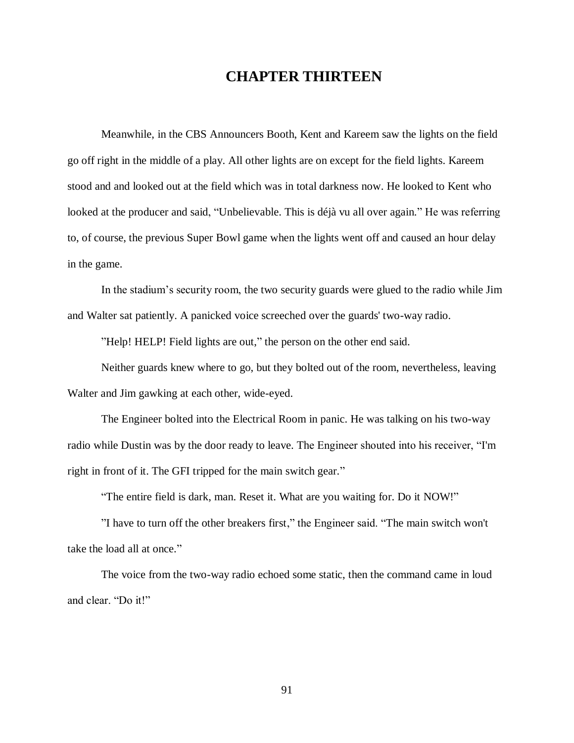## **CHAPTER THIRTEEN**

Meanwhile, in the CBS Announcers Booth, Kent and Kareem saw the lights on the field go off right in the middle of a play. All other lights are on except for the field lights. Kareem stood and and looked out at the field which was in total darkness now. He looked to Kent who looked at the producer and said, "Unbelievable. This is déjà vu all over again." He was referring to, of course, the previous Super Bowl game when the lights went off and caused an hour delay in the game.

In the stadium's security room, the two security guards were glued to the radio while Jim and Walter sat patiently. A panicked voice screeched over the guards' two-way radio.

"Help! HELP! Field lights are out," the person on the other end said.

Neither guards knew where to go, but they bolted out of the room, nevertheless, leaving Walter and Jim gawking at each other, wide-eyed.

The Engineer bolted into the Electrical Room in panic. He was talking on his two-way radio while Dustin was by the door ready to leave. The Engineer shouted into his receiver, "I'm right in front of it. The GFI tripped for the main switch gear."

"The entire field is dark, man. Reset it. What are you waiting for. Do it NOW!"

"I have to turn off the other breakers first," the Engineer said. "The main switch won't take the load all at once."

The voice from the two-way radio echoed some static, then the command came in loud and clear. "Do it!"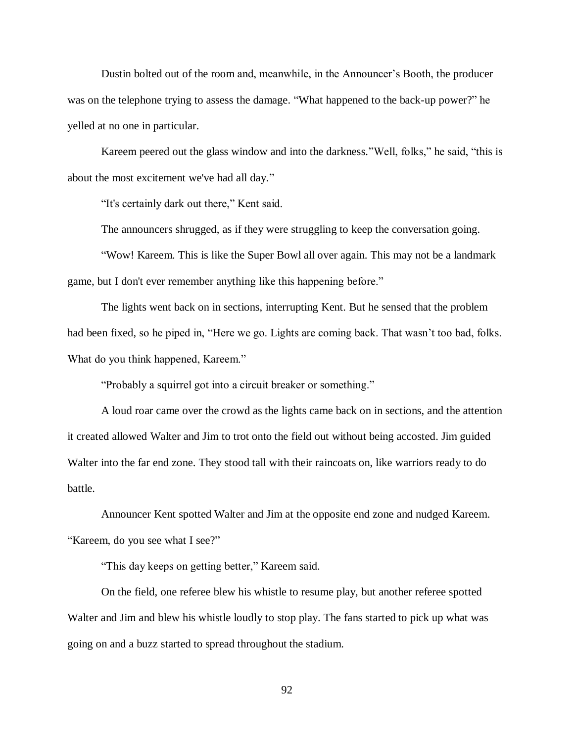Dustin bolted out of the room and, meanwhile, in the Announcer's Booth, the producer was on the telephone trying to assess the damage. "What happened to the back-up power?" he yelled at no one in particular.

Kareem peered out the glass window and into the darkness."Well, folks," he said, "this is about the most excitement we've had all day."

"It's certainly dark out there," Kent said.

The announcers shrugged, as if they were struggling to keep the conversation going.

"Wow! Kareem. This is like the Super Bowl all over again. This may not be a landmark game, but I don't ever remember anything like this happening before."

The lights went back on in sections, interrupting Kent. But he sensed that the problem had been fixed, so he piped in, "Here we go. Lights are coming back. That wasn't too bad, folks. What do you think happened, Kareem."

"Probably a squirrel got into a circuit breaker or something."

A loud roar came over the crowd as the lights came back on in sections, and the attention it created allowed Walter and Jim to trot onto the field out without being accosted. Jim guided Walter into the far end zone. They stood tall with their raincoats on, like warriors ready to do battle.

Announcer Kent spotted Walter and Jim at the opposite end zone and nudged Kareem. "Kareem, do you see what I see?"

"This day keeps on getting better," Kareem said.

On the field, one referee blew his whistle to resume play, but another referee spotted Walter and Jim and blew his whistle loudly to stop play. The fans started to pick up what was going on and a buzz started to spread throughout the stadium.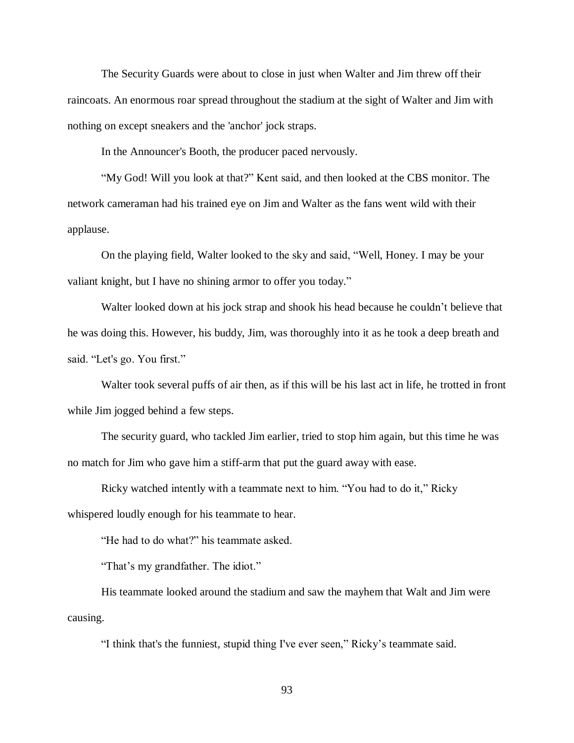The Security Guards were about to close in just when Walter and Jim threw off their raincoats. An enormous roar spread throughout the stadium at the sight of Walter and Jim with nothing on except sneakers and the 'anchor' jock straps.

In the Announcer's Booth, the producer paced nervously.

"My God! Will you look at that?" Kent said, and then looked at the CBS monitor. The network cameraman had his trained eye on Jim and Walter as the fans went wild with their applause.

On the playing field, Walter looked to the sky and said, "Well, Honey. I may be your valiant knight, but I have no shining armor to offer you today."

Walter looked down at his jock strap and shook his head because he couldn't believe that he was doing this. However, his buddy, Jim, was thoroughly into it as he took a deep breath and said. "Let's go. You first."

Walter took several puffs of air then, as if this will be his last act in life, he trotted in front while Jim jogged behind a few steps.

The security guard, who tackled Jim earlier, tried to stop him again, but this time he was no match for Jim who gave him a stiff-arm that put the guard away with ease.

Ricky watched intently with a teammate next to him. "You had to do it," Ricky whispered loudly enough for his teammate to hear.

"He had to do what?" his teammate asked.

"That's my grandfather. The idiot."

His teammate looked around the stadium and saw the mayhem that Walt and Jim were causing.

"I think that's the funniest, stupid thing I've ever seen," Ricky's teammate said.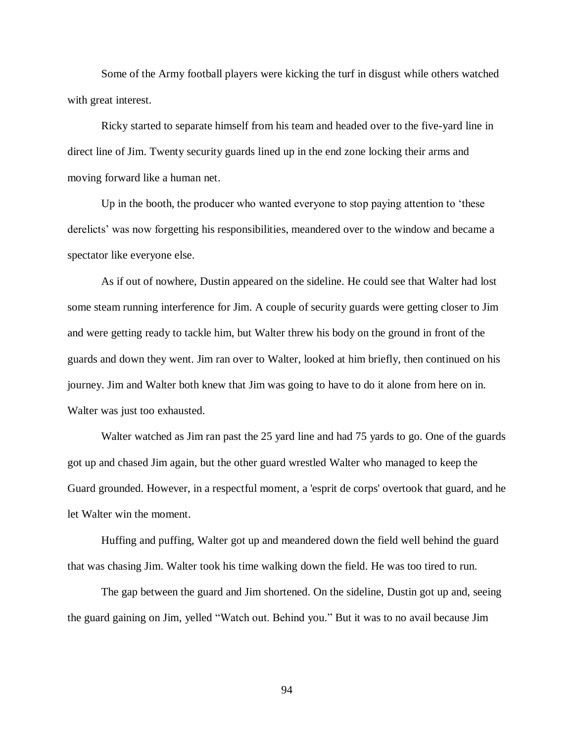Some of the Army football players were kicking the turf in disgust while others watched with great interest.

Ricky started to separate himself from his team and headed over to the five-yard line in direct line of Jim. Twenty security guards lined up in the end zone locking their arms and moving forward like a human net.

Up in the booth, the producer who wanted everyone to stop paying attention to 'these derelicts' was now forgetting his responsibilities, meandered over to the window and became a spectator like everyone else.

As if out of nowhere, Dustin appeared on the sideline. He could see that Walter had lost some steam running interference for Jim. A couple of security guards were getting closer to Jim and were getting ready to tackle him, but Walter threw his body on the ground in front of the guards and down they went. Jim ran over to Walter, looked at him briefly, then continued on his journey. Jim and Walter both knew that Jim was going to have to do it alone from here on in. Walter was just too exhausted.

Walter watched as Jim ran past the 25 yard line and had 75 yards to go. One of the guards got up and chased Jim again, but the other guard wrestled Walter who managed to keep the Guard grounded. However, in a respectful moment, a 'esprit de corps' overtook that guard, and he let Walter win the moment.

Huffing and puffing, Walter got up and meandered down the field well behind the guard that was chasing Jim. Walter took his time walking down the field. He was too tired to run.

The gap between the guard and Jim shortened. On the sideline, Dustin got up and, seeing the guard gaining on Jim, yelled "Watch out. Behind you." But it was to no avail because Jim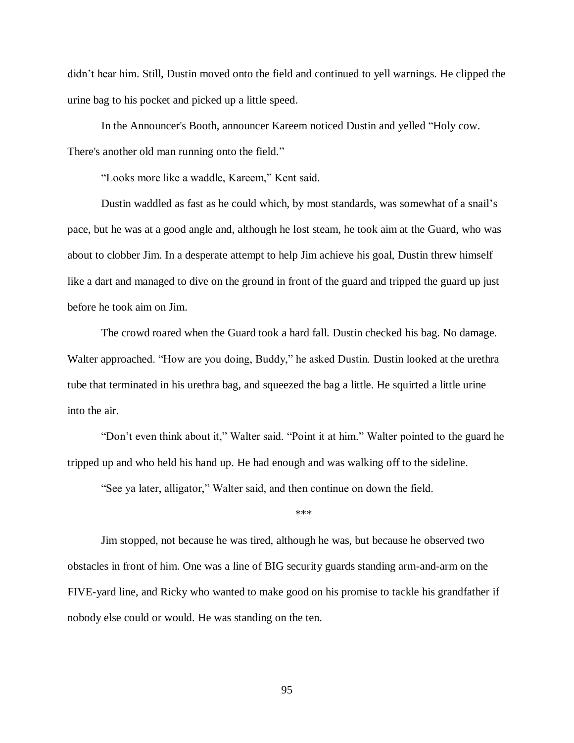didn't hear him. Still, Dustin moved onto the field and continued to yell warnings. He clipped the urine bag to his pocket and picked up a little speed.

In the Announcer's Booth, announcer Kareem noticed Dustin and yelled "Holy cow. There's another old man running onto the field."

"Looks more like a waddle, Kareem," Kent said.

Dustin waddled as fast as he could which, by most standards, was somewhat of a snail's pace, but he was at a good angle and, although he lost steam, he took aim at the Guard, who was about to clobber Jim. In a desperate attempt to help Jim achieve his goal, Dustin threw himself like a dart and managed to dive on the ground in front of the guard and tripped the guard up just before he took aim on Jim.

The crowd roared when the Guard took a hard fall. Dustin checked his bag. No damage. Walter approached. "How are you doing, Buddy," he asked Dustin. Dustin looked at the urethra tube that terminated in his urethra bag, and squeezed the bag a little. He squirted a little urine into the air.

"Don't even think about it," Walter said. "Point it at him." Walter pointed to the guard he tripped up and who held his hand up. He had enough and was walking off to the sideline.

"See ya later, alligator," Walter said, and then continue on down the field.

\*\*\*

Jim stopped, not because he was tired, although he was, but because he observed two obstacles in front of him. One was a line of BIG security guards standing arm-and-arm on the FIVE-yard line, and Ricky who wanted to make good on his promise to tackle his grandfather if nobody else could or would. He was standing on the ten.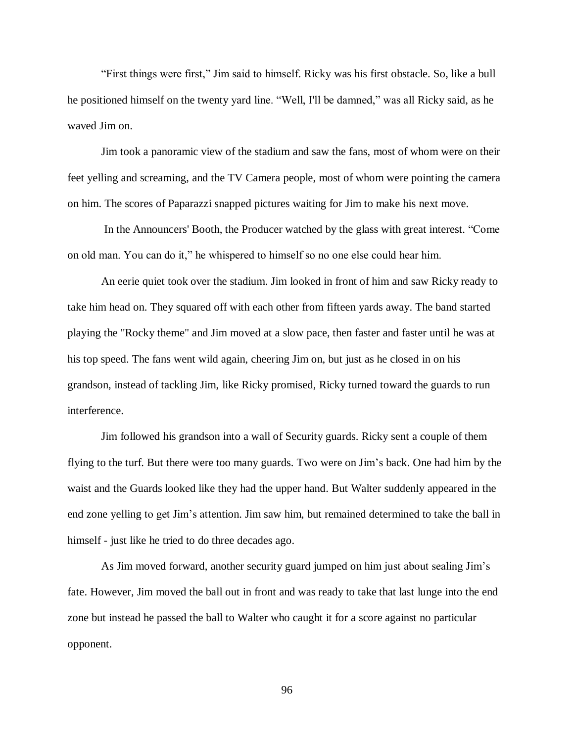"First things were first," Jim said to himself. Ricky was his first obstacle. So, like a bull he positioned himself on the twenty yard line. "Well, I'll be damned," was all Ricky said, as he waved Jim on.

Jim took a panoramic view of the stadium and saw the fans, most of whom were on their feet yelling and screaming, and the TV Camera people, most of whom were pointing the camera on him. The scores of Paparazzi snapped pictures waiting for Jim to make his next move.

In the Announcers' Booth, the Producer watched by the glass with great interest. "Come on old man. You can do it," he whispered to himself so no one else could hear him.

An eerie quiet took over the stadium. Jim looked in front of him and saw Ricky ready to take him head on. They squared off with each other from fifteen yards away. The band started playing the "Rocky theme" and Jim moved at a slow pace, then faster and faster until he was at his top speed. The fans went wild again, cheering Jim on, but just as he closed in on his grandson, instead of tackling Jim, like Ricky promised, Ricky turned toward the guards to run interference.

Jim followed his grandson into a wall of Security guards. Ricky sent a couple of them flying to the turf. But there were too many guards. Two were on Jim's back. One had him by the waist and the Guards looked like they had the upper hand. But Walter suddenly appeared in the end zone yelling to get Jim's attention. Jim saw him, but remained determined to take the ball in himself - just like he tried to do three decades ago.

As Jim moved forward, another security guard jumped on him just about sealing Jim's fate. However, Jim moved the ball out in front and was ready to take that last lunge into the end zone but instead he passed the ball to Walter who caught it for a score against no particular opponent.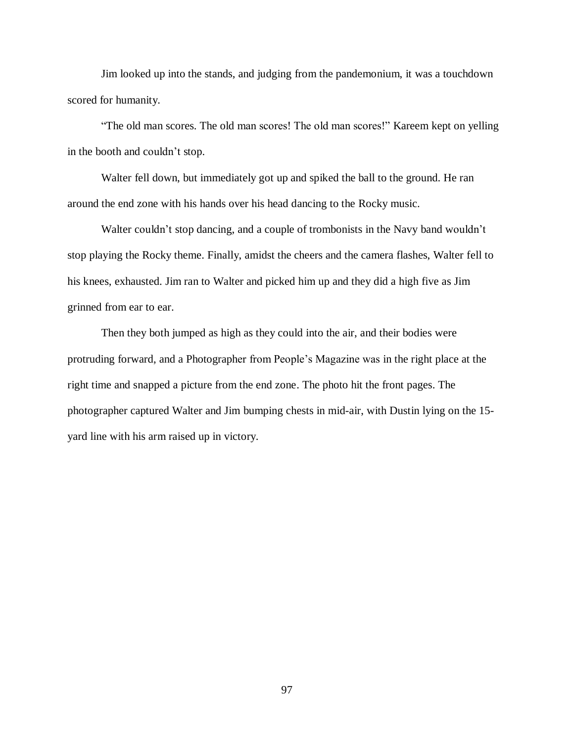Jim looked up into the stands, and judging from the pandemonium, it was a touchdown scored for humanity.

"The old man scores. The old man scores! The old man scores!" Kareem kept on yelling in the booth and couldn't stop.

Walter fell down, but immediately got up and spiked the ball to the ground. He ran around the end zone with his hands over his head dancing to the Rocky music.

Walter couldn't stop dancing, and a couple of trombonists in the Navy band wouldn't stop playing the Rocky theme. Finally, amidst the cheers and the camera flashes, Walter fell to his knees, exhausted. Jim ran to Walter and picked him up and they did a high five as Jim grinned from ear to ear.

Then they both jumped as high as they could into the air, and their bodies were protruding forward, and a Photographer from People's Magazine was in the right place at the right time and snapped a picture from the end zone. The photo hit the front pages. The photographer captured Walter and Jim bumping chests in mid-air, with Dustin lying on the 15 yard line with his arm raised up in victory.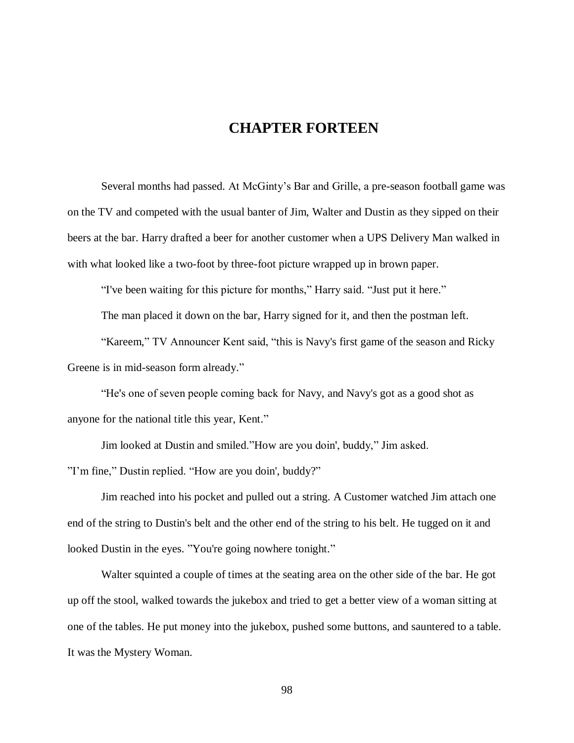# **CHAPTER FORTEEN**

Several months had passed. At McGinty's Bar and Grille, a pre-season football game was on the TV and competed with the usual banter of Jim, Walter and Dustin as they sipped on their beers at the bar. Harry drafted a beer for another customer when a UPS Delivery Man walked in with what looked like a two-foot by three-foot picture wrapped up in brown paper.

"I've been waiting for this picture for months," Harry said. "Just put it here."

The man placed it down on the bar, Harry signed for it, and then the postman left.

"Kareem," TV Announcer Kent said, "this is Navy's first game of the season and Ricky Greene is in mid-season form already."

"He's one of seven people coming back for Navy, and Navy's got as a good shot as anyone for the national title this year, Kent."

Jim looked at Dustin and smiled."How are you doin', buddy," Jim asked.

"I'm fine," Dustin replied. "How are you doin', buddy?"

Jim reached into his pocket and pulled out a string. A Customer watched Jim attach one end of the string to Dustin's belt and the other end of the string to his belt. He tugged on it and looked Dustin in the eyes. "You're going nowhere tonight."

Walter squinted a couple of times at the seating area on the other side of the bar. He got up off the stool, walked towards the jukebox and tried to get a better view of a woman sitting at one of the tables. He put money into the jukebox, pushed some buttons, and sauntered to a table. It was the Mystery Woman.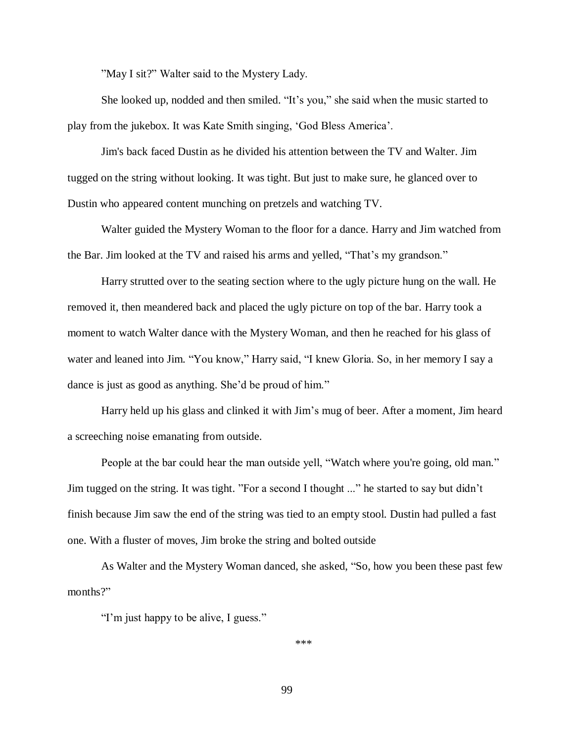"May I sit?" Walter said to the Mystery Lady.

She looked up, nodded and then smiled. "It's you," she said when the music started to play from the jukebox. It was Kate Smith singing, 'God Bless America'.

Jim's back faced Dustin as he divided his attention between the TV and Walter. Jim tugged on the string without looking. It was tight. But just to make sure, he glanced over to Dustin who appeared content munching on pretzels and watching TV.

Walter guided the Mystery Woman to the floor for a dance. Harry and Jim watched from the Bar. Jim looked at the TV and raised his arms and yelled, "That's my grandson."

Harry strutted over to the seating section where to the ugly picture hung on the wall. He removed it, then meandered back and placed the ugly picture on top of the bar. Harry took a moment to watch Walter dance with the Mystery Woman, and then he reached for his glass of water and leaned into Jim. "You know," Harry said, "I knew Gloria. So, in her memory I say a dance is just as good as anything. She'd be proud of him."

Harry held up his glass and clinked it with Jim's mug of beer. After a moment, Jim heard a screeching noise emanating from outside.

People at the bar could hear the man outside yell, "Watch where you're going, old man." Jim tugged on the string. It was tight. "For a second I thought ..." he started to say but didn't finish because Jim saw the end of the string was tied to an empty stool. Dustin had pulled a fast one. With a fluster of moves, Jim broke the string and bolted outside

As Walter and the Mystery Woman danced, she asked, "So, how you been these past few months?"

"I'm just happy to be alive, I guess."

\*\*\*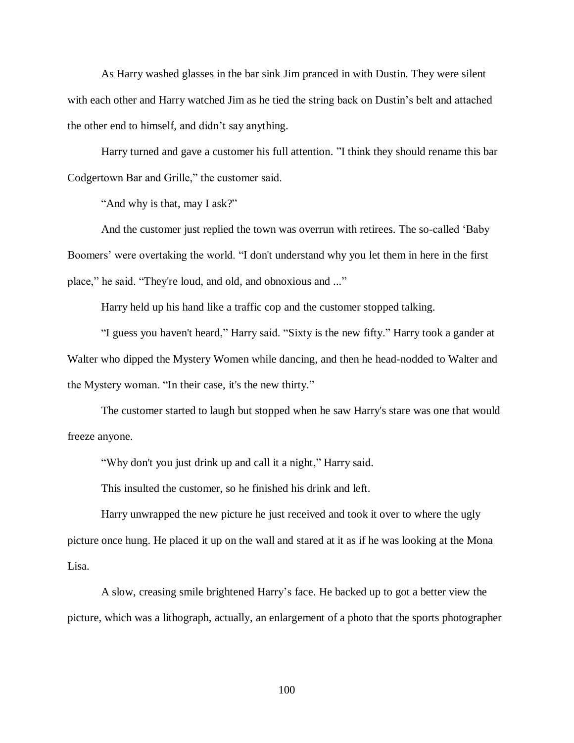As Harry washed glasses in the bar sink Jim pranced in with Dustin. They were silent with each other and Harry watched Jim as he tied the string back on Dustin's belt and attached the other end to himself, and didn't say anything.

Harry turned and gave a customer his full attention. "I think they should rename this bar Codgertown Bar and Grille," the customer said.

"And why is that, may I ask?"

And the customer just replied the town was overrun with retirees. The so-called 'Baby Boomers' were overtaking the world. "I don't understand why you let them in here in the first place," he said. "They're loud, and old, and obnoxious and ..."

Harry held up his hand like a traffic cop and the customer stopped talking.

"I guess you haven't heard," Harry said. "Sixty is the new fifty." Harry took a gander at Walter who dipped the Mystery Women while dancing, and then he head-nodded to Walter and the Mystery woman. "In their case, it's the new thirty."

The customer started to laugh but stopped when he saw Harry's stare was one that would freeze anyone.

"Why don't you just drink up and call it a night," Harry said.

This insulted the customer, so he finished his drink and left.

Harry unwrapped the new picture he just received and took it over to where the ugly picture once hung. He placed it up on the wall and stared at it as if he was looking at the Mona Lisa.

A slow, creasing smile brightened Harry's face. He backed up to got a better view the picture, which was a lithograph, actually, an enlargement of a photo that the sports photographer